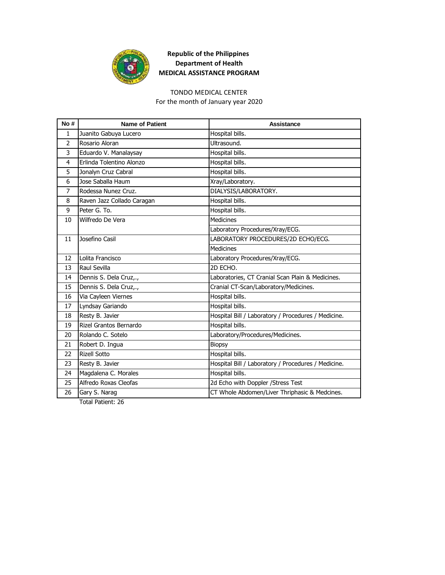

#### TONDO MEDICAL CENTER

For the month of January year 2020

| No#            | <b>Name of Patient</b>     | Assistance                                          |
|----------------|----------------------------|-----------------------------------------------------|
| $\mathbf{1}$   | Juanito Gabuya Lucero      | Hospital bills.                                     |
| 2              | Rosario Aloran             | Ultrasound.                                         |
| 3              | Eduardo V. Manalaysay      | Hospital bills.                                     |
| 4              | Erlinda Tolentino Alonzo   | Hospital bills.                                     |
| 5              | Jonalyn Cruz Cabral        | Hospital bills.                                     |
| 6              | Jose Saballa Haum          | Xray/Laboratory.                                    |
| $\overline{7}$ | Rodessa Nunez Cruz.        | DIALYSIS/LABORATORY.                                |
| 8              | Raven Jazz Collado Caragan | Hospital bills.                                     |
| 9              | Peter G. To.               | Hospital bills.                                     |
| 10             | Wilfredo De Vera           | <b>Medicines</b>                                    |
|                |                            | Laboratory Procedures/Xray/ECG.                     |
| 11             | Josefino Casil             | LABORATORY PROCEDURES/2D ECHO/ECG.                  |
|                |                            | Medicines                                           |
| 12             | Lolita Francisco           | Laboratory Procedures/Xray/ECG.                     |
| 13             | Raul Sevilla               | 2D ECHO.                                            |
| 14             | Dennis S. Dela Cruz,.,     | Laboratories, CT Cranial Scan Plain & Medicines.    |
| 15             | Dennis S. Dela Cruz,.,     | Cranial CT-Scan/Laboratory/Medicines.               |
| 16             | Via Cayleen Viernes        | Hospital bills.                                     |
| 17             | Lyndsay Gariando           | Hospital bills.                                     |
| 18             | Resty B. Javier            | Hospital Bill / Laboratory / Procedures / Medicine. |
| 19             | Rizel Grantos Bernardo     | Hospital bills.                                     |
| 20             | Rolando C. Sotelo          | Laboratory/Procedures/Medicines.                    |
| 21             | Robert D. Ingua            | <b>Biopsy</b>                                       |
| 22             | <b>Rizell Sotto</b>        | Hospital bills.                                     |
| 23             | Resty B. Javier            | Hospital Bill / Laboratory / Procedures / Medicine. |
| 24             | Magdalena C. Morales       | Hospital bills.                                     |
| 25             | Alfredo Roxas Cleofas      | 2d Echo with Doppler / Stress Test                  |
| 26             | Gary S. Narag              | CT Whole Abdomen/Liver Thriphasic & Medcines.       |
|                |                            |                                                     |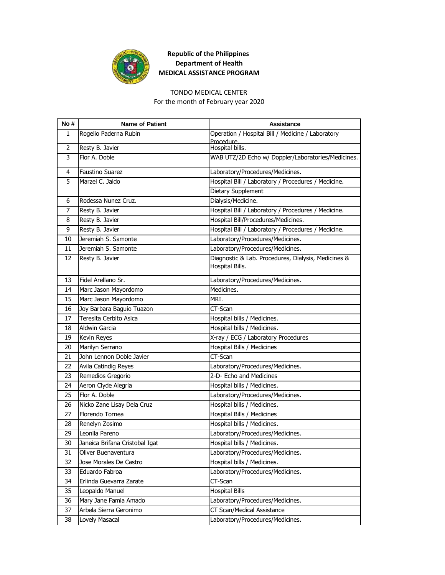

#### TONDO MEDICAL CENTER

For the month of February year 2020

| No #           | <b>Name of Patient</b>         | <b>Assistance</b>                                                      |
|----------------|--------------------------------|------------------------------------------------------------------------|
| 1              | Rogelio Paderna Rubin          | Operation / Hospital Bill / Medicine / Laboratory<br>Procedure.        |
| $\overline{2}$ | Resty B. Javier                | Hospital bills.                                                        |
| 3              | Flor A. Doble                  | WAB UTZ/2D Echo w/ Doppler/Laboratories/Medicines.                     |
| 4              | Faustino Suarez                | Laboratory/Procedures/Medicines.                                       |
| 5              | Marzel C. Jaldo                | Hospital Bill / Laboratory / Procedures / Medicine.                    |
|                |                                | Dietary Supplement                                                     |
| 6              | Rodessa Nunez Cruz.            | Dialysis/Medicine.                                                     |
| 7              | Resty B. Javier                | Hospital Bill / Laboratory / Procedures / Medicine.                    |
| 8              | Resty B. Javier                | Hospital Bill/Procedures/Medicines.                                    |
| 9              | Resty B. Javier                | Hospital Bill / Laboratory / Procedures / Medicine.                    |
| 10             | Jeremiah S. Samonte            | Laboratory/Procedures/Medicines.                                       |
| 11             | Jeremiah S. Samonte            | Laboratory/Procedures/Medicines.                                       |
| 12             | Resty B. Javier                | Diagnostic & Lab. Procedures, Dialysis, Medicines &<br>Hospital Bills. |
| 13             | Fidel Arellano Sr.             | Laboratory/Procedures/Medicines.                                       |
| 14             | Marc Jason Mayordomo           | Medicines.                                                             |
| 15             | Marc Jason Mayordomo           | MRI.                                                                   |
| 16             | Joy Barbara Baguio Tuazon      | CT-Scan                                                                |
| 17             | Teresita Cerbito Asica         | Hospital bills / Medicines.                                            |
| 18             | Aldwin Garcia                  | Hospital bills / Medicines.                                            |
| 19             | Kevin Reyes                    | X-ray / ECG / Laboratory Procedures                                    |
| 20             | Marilyn Serrano                | Hospital Bills / Medicines                                             |
| 21             | John Lennon Doble Javier       | CT-Scan                                                                |
| 22             | Avila Catindig Reyes           | Laboratory/Procedures/Medicines.                                       |
| 23             | Remedios Gregorio              | 2-D- Echo and Medicines                                                |
| 24             | Aeron Clyde Alegria            | Hospital bills / Medicines.                                            |
| 25             | Flor A. Doble                  | Laboratory/Procedures/Medicines.                                       |
| 26             | Nicko Zane Lisay Dela Cruz     | Hospital bills / Medicines.                                            |
| 27             | Florendo Tornea                | Hospital Bills / Medicines                                             |
| 28             | Renelyn Zosimo                 | Hospital bills / Medicines.                                            |
| 29             | Leonila Pareno                 | Laboratory/Procedures/Medicines.                                       |
| 30             | Janeica Brifana Cristobal Igat | Hospital bills / Medicines.                                            |
| 31             | Oliver Buenaventura            | Laboratory/Procedures/Medicines.                                       |
| 32             | Jose Morales De Castro         | Hospital bills / Medicines.                                            |
| 33             | Eduardo Fabroa                 | Laboratory/Procedures/Medicines.                                       |
| 34             | Erlinda Guevarra Zarate        | CT-Scan                                                                |
| 35             | Leopaldo Manuel                | <b>Hospital Bills</b>                                                  |
| 36             | Mary Jane Famia Amado          | Laboratory/Procedures/Medicines.                                       |
| 37             | Arbela Sierra Geronimo         | CT Scan/Medical Assistance                                             |
| 38             | Lovely Masacal                 | Laboratory/Procedures/Medicines.                                       |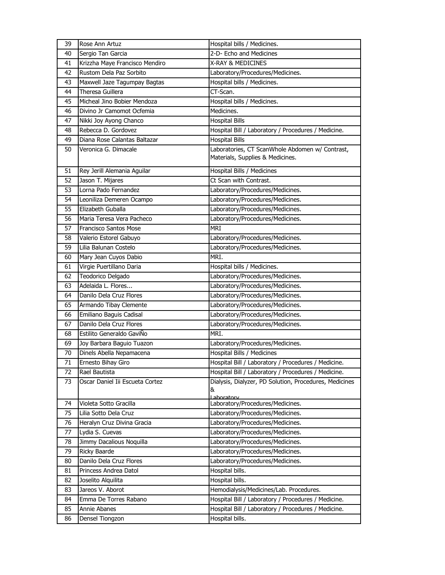| 39 | Rose Ann Artuz                  | Hospital bills / Medicines.                            |
|----|---------------------------------|--------------------------------------------------------|
| 40 | Sergio Tan Garcia               | 2-D- Echo and Medicines                                |
| 41 | Krizzha Maye Francisco Mendiro  | X-RAY & MEDICINES                                      |
| 42 | Rustom Dela Paz Sorbito         | Laboratory/Procedures/Medicines.                       |
| 43 | Maxwell Jaze Tagumpay Bagtas    | Hospital bills / Medicines.                            |
| 44 | Theresa Guillera                | CT-Scan.                                               |
| 45 | Micheal Jino Bobier Mendoza     | Hospital bills / Medicines.                            |
| 46 | Divino Jr Camomot Ocfemia       | Medicines.                                             |
| 47 | Nikki Joy Ayong Chanco          | <b>Hospital Bills</b>                                  |
| 48 | Rebecca D. Gordovez             | Hospital Bill / Laboratory / Procedures / Medicine.    |
| 49 | Diana Rose Calantas Baltazar    | <b>Hospital Bills</b>                                  |
| 50 | Veronica G. Dimacale            | Laboratories, CT ScanWhole Abdomen w/ Contrast,        |
|    |                                 | Materials, Supplies & Medicines.                       |
| 51 | Rey Jerill Alemania Aguilar     | Hospital Bills / Medicines                             |
| 52 | Jason T. Mijares                | Ct Scan with Contrast.                                 |
| 53 | Lorna Pado Fernandez            | Laboratory/Procedures/Medicines.                       |
| 54 | Leoniliza Demeren Ocampo        | Laboratory/Procedures/Medicines.                       |
| 55 | Elizabeth Guballa               | Laboratory/Procedures/Medicines.                       |
| 56 | Maria Teresa Vera Pacheco       | Laboratory/Procedures/Medicines.                       |
| 57 | <b>Francisco Santos Mose</b>    | <b>MRI</b>                                             |
| 58 | Valerio Estorel Gabuyo          | Laboratory/Procedures/Medicines.                       |
| 59 | Lilia Balunan Costelo           | Laboratory/Procedures/Medicines.                       |
| 60 | Mary Jean Cuyos Dabio           | MRI.                                                   |
| 61 | Virgie Puertillano Daria        | Hospital bills / Medicines.                            |
| 62 | Teodorico Delgado               | Laboratory/Procedures/Medicines.                       |
| 63 | Adelaida L. Flores              | Laboratory/Procedures/Medicines.                       |
| 64 | Danilo Dela Cruz Flores         | Laboratory/Procedures/Medicines.                       |
| 65 | Armando Tibay Clemente          | Laboratory/Procedures/Medicines.                       |
| 66 | Emiliano Baguis Cadisal         | Laboratory/Procedures/Medicines.                       |
| 67 | Danilo Dela Cruz Flores         | Laboratory/Procedures/Medicines.                       |
| 68 | Estilito Generaldo GaviÑo       | MRI.                                                   |
| 69 | Joy Barbara Baguio Tuazon       | Laboratory/Procedures/Medicines.                       |
| 70 | Dinels Abella Nepamacena        | Hospital Bills / Medicines                             |
| 71 | Ernesto Bihay Giro              | Hospital Bill / Laboratory / Procedures / Medicine.    |
| 72 | Rael Bautista                   | Hospital Bill / Laboratory / Procedures / Medicine.    |
| 73 | Oscar Daniel Iii Escueta Cortez | Dialysis, Dialyzer, PD Solution, Procedures, Medicines |
|    |                                 | &<br>Lahoratory                                        |
| 74 | Violeta Sotto Gracilla          | Laboratory/Procedures/Medicines.                       |
| 75 | Lilia Sotto Dela Cruz           | Laboratory/Procedures/Medicines.                       |
| 76 | Heralyn Cruz Divina Gracia      | Laboratory/Procedures/Medicines.                       |
| 77 | Lydia S. Cuevas                 | Laboratory/Procedures/Medicines.                       |
| 78 | Jimmy Dacalious Noquilla        | Laboratory/Procedures/Medicines.                       |
| 79 | Ricky Baarde                    | Laboratory/Procedures/Medicines.                       |
| 80 | Danilo Dela Cruz Flores         | Laboratory/Procedures/Medicines.                       |
| 81 | Princess Andrea Datol           | Hospital bills.                                        |
| 82 | Joselito Alquilita              | Hospital bills.                                        |
| 83 | Jareos V. Aborot                | Hemodialysis/Medicines/Lab. Procedures.                |
| 84 | Emma De Torres Rabano           | Hospital Bill / Laboratory / Procedures / Medicine.    |
| 85 | Annie Abanes                    | Hospital Bill / Laboratory / Procedures / Medicine.    |
| 86 | Densel Tiongzon                 | Hospital bills.                                        |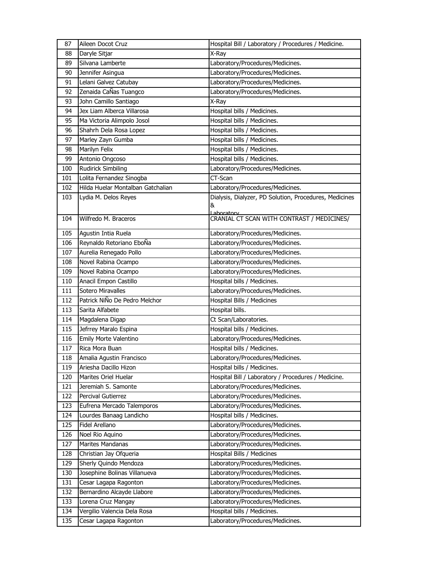| 87               | Aileen Docot Cruz                 | Hospital Bill / Laboratory / Procedures / Medicine.      |
|------------------|-----------------------------------|----------------------------------------------------------|
| 88               | Daryle Sitjar                     | X-Ray                                                    |
| 89               | Silvana Lamberte                  | Laboratory/Procedures/Medicines.                         |
| 90               | Jennifer Asingua                  | Laboratory/Procedures/Medicines.                         |
| 91               | Lelani Galvez Catubay             | Laboratory/Procedures/Medicines.                         |
| 92               | Zenaida CaÑas Tuangco             | Laboratory/Procedures/Medicines.                         |
| 93               | John Camillo Santiago             | X-Ray                                                    |
| 94               | Jex Liam Alberca Villarosa        | Hospital bills / Medicines.                              |
| 95               | Ma Victoria Alimpolo Josol        | Hospital bills / Medicines.                              |
| 96               | Shahrh Dela Rosa Lopez            | Hospital bills / Medicines.                              |
| 97               | Marley Zayn Gumba                 | Hospital bills / Medicines.                              |
| 98               | Marilyn Felix                     | Hospital bills / Medicines.                              |
| 99               | Antonio Ongcoso                   | Hospital bills / Medicines.                              |
| 100              | <b>Rudirick Simbiling</b>         | Laboratory/Procedures/Medicines.                         |
| 101              | Lolita Fernandez Sinogba          | CT-Scan                                                  |
| 102              | Hilda Huelar Montalban Gatchalian | Laboratory/Procedures/Medicines.                         |
| 103              | Lydia M. Delos Reyes              | Dialysis, Dialyzer, PD Solution, Procedures, Medicines   |
|                  |                                   | &                                                        |
| 104              | Wilfredo M. Braceros              | Lahoratory<br>CRANIAL CT SCAN WITH CONTRAST / MEDICINES/ |
|                  |                                   |                                                          |
| 105              | Agustin Intia Ruela               | Laboratory/Procedures/Medicines.                         |
| 106              | Reynaldo Retoriano EboÑa          | Laboratory/Procedures/Medicines.                         |
| 107              | Aurelia Renegado Pollo            | Laboratory/Procedures/Medicines.                         |
| 108              | Novel Rabina Ocampo               | Laboratory/Procedures/Medicines.                         |
| 109              | Novel Rabina Ocampo               | Laboratory/Procedures/Medicines.                         |
| 110              | Anacil Empon Castillo             | Hospital bills / Medicines.                              |
| 111              | Sotero Miravalles                 | Laboratory/Procedures/Medicines.                         |
| 112              | Patrick NiÑo De Pedro Melchor     | Hospital Bills / Medicines                               |
| 113              | Sarita Alfabete                   | Hospital bills.                                          |
| 114              | Magdalena Digap                   | Ct Scan/Laboratories.                                    |
| 115              | Jefrrey Maralo Espina             | Hospital bills / Medicines.                              |
| 116              | Emily Morte Valentino             | Laboratory/Procedures/Medicines.                         |
| $11\overline{7}$ | Rica Mora Buan                    | Hospital bills / Medicines.                              |
| 118              | Amalia Agustin Francisco          | Laboratory/Procedures/Medicines.                         |
| 119              | Ariesha Dacillo Hizon             | Hospital bills / Medicines.                              |
| 120              | Marites Oriel Huelar              | Hospital Bill / Laboratory / Procedures / Medicine.      |
| 121              | Jeremiah S. Samonte               | Laboratory/Procedures/Medicines.                         |
| 122              | Percival Gutierrez                | Laboratory/Procedures/Medicines.                         |
| 123              | Eufrena Mercado Talemporos        | Laboratory/Procedures/Medicines.                         |
| 124              | Lourdes Banaag Landicho           | Hospital bills / Medicines.                              |
| 125              | Fidel Arellano                    | Laboratory/Procedures/Medicines.                         |
| 126              | Noel Rio Aquino                   | Laboratory/Procedures/Medicines.                         |
| 127              | Marites Mandanas                  | Laboratory/Procedures/Medicines.                         |
| 128              | Christian Jay Ofqueria            | Hospital Bills / Medicines                               |
| 129              | Sherly Quindo Mendoza             | Laboratory/Procedures/Medicines.                         |
| 130              | Josephine Bolinas Villanueva      | Laboratory/Procedures/Medicines.                         |
| 131              | Cesar Lagapa Ragonton             | Laboratory/Procedures/Medicines.                         |
| 132              | Bernardino Alcayde Llabore        | Laboratory/Procedures/Medicines.                         |
| 133              | Lorena Cruz Mangay                | Laboratory/Procedures/Medicines.                         |
| 134              | Vergilio Valencia Dela Rosa       | Hospital bills / Medicines.                              |
| 135              | Cesar Lagapa Ragonton             | Laboratory/Procedures/Medicines.                         |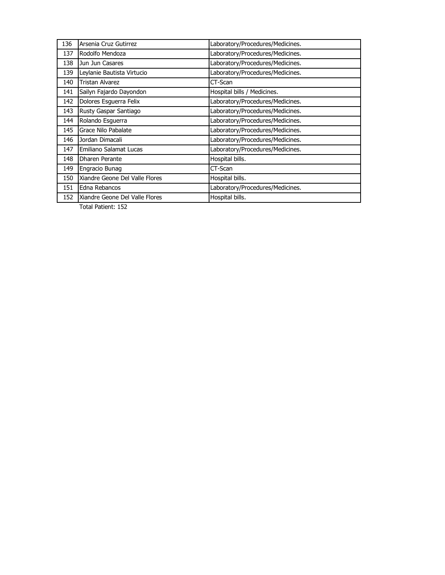| 136 | Arsenia Cruz Gutirrez          | Laboratory/Procedures/Medicines. |
|-----|--------------------------------|----------------------------------|
| 137 | Rodolfo Mendoza                | Laboratory/Procedures/Medicines. |
| 138 | Jun Jun Casares                | Laboratory/Procedures/Medicines. |
| 139 | Leylanie Bautista Virtucio     | Laboratory/Procedures/Medicines. |
| 140 | Tristan Alvarez                | CT-Scan                          |
| 141 | Sailyn Fajardo Dayondon        | Hospital bills / Medicines.      |
| 142 | Dolores Esguerra Felix         | Laboratory/Procedures/Medicines. |
| 143 | Rusty Gaspar Santiago          | Laboratory/Procedures/Medicines. |
| 144 | Rolando Esguerra               | Laboratory/Procedures/Medicines. |
| 145 | Grace Nilo Pabalate            | Laboratory/Procedures/Medicines. |
| 146 | Jordan Dimacali                | Laboratory/Procedures/Medicines. |
| 147 | Emiliano Salamat Lucas         | Laboratory/Procedures/Medicines. |
| 148 | Dharen Perante                 | Hospital bills.                  |
| 149 | Engracio Bunag                 | CT-Scan                          |
| 150 | Xiandre Geone Del Valle Flores | Hospital bills.                  |
| 151 | Edna Rebancos                  | Laboratory/Procedures/Medicines. |
| 152 | Xiandre Geone Del Valle Flores | Hospital bills.                  |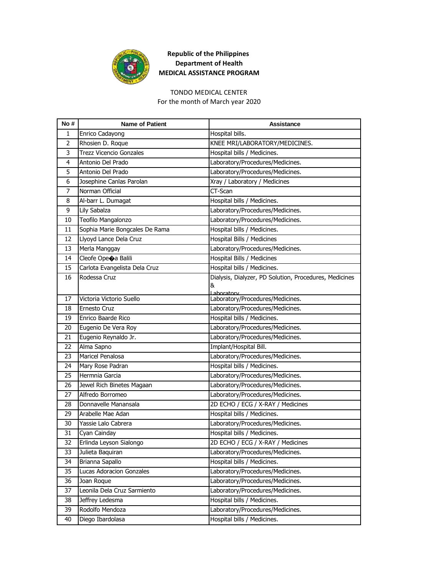

#### TONDO MEDICAL CENTER

For the month of March year 2020

| No# | <b>Name of Patient</b>           | <b>Assistance</b>                                           |
|-----|----------------------------------|-------------------------------------------------------------|
| 1   | Enrico Cadayong                  | Hospital bills.                                             |
| 2   | Rhosien D. Roque                 | KNEE MRI/LABORATORY/MEDICINES.                              |
| 3   | <b>Trezz Vicencio Gonzales</b>   | Hospital bills / Medicines.                                 |
| 4   | Antonio Del Prado                | Laboratory/Procedures/Medicines.                            |
| 5   | Antonio Del Prado                | Laboratory/Procedures/Medicines.                            |
| 6   | Josephine Canlas Parolan         | Xray / Laboratory / Medicines                               |
| 7   | Norman Official                  | CT-Scan                                                     |
| 8   | Al-barr L. Dumagat               | Hospital bills / Medicines.                                 |
| 9   | Lily Sabalza                     | Laboratory/Procedures/Medicines.                            |
| 10  | Teofilo Mangalonzo               | Laboratory/Procedures/Medicines.                            |
| 11  | Sophia Marie Bongcales De Rama   | Hospital bills / Medicines.                                 |
| 12  | Llyoyd Lance Dela Cruz           | Hospital Bills / Medicines                                  |
| 13  | Merla Manggay                    | Laboratory/Procedures/Medicines.                            |
| 14  | Cleofe Ope $\spadesuit$ a Balili | Hospital Bills / Medicines                                  |
| 15  | Carlota Evangelista Dela Cruz    | Hospital bills / Medicines.                                 |
| 16  | Rodessa Cruz                     | Dialysis, Dialyzer, PD Solution, Procedures, Medicines<br>& |
| 17  | Victoria Victorio Suello         | Laboratory<br>Laboratory/Procedures/Medicines.              |
| 18  | Ernesto Cruz                     | Laboratory/Procedures/Medicines.                            |
| 19  | Enrico Baarde Rico               | Hospital bills / Medicines.                                 |
| 20  | Eugenio De Vera Roy              | Laboratory/Procedures/Medicines.                            |
| 21  | Eugenio Reynaldo Jr.             | Laboratory/Procedures/Medicines.                            |
| 22  | Alma Sapno                       | Implant/Hospital Bill.                                      |
| 23  | Maricel Penalosa                 | Laboratory/Procedures/Medicines.                            |
| 24  | Mary Rose Padran                 | Hospital bills / Medicines.                                 |
| 25  | Hermnia Garcia                   | Laboratory/Procedures/Medicines.                            |
| 26  | Jewel Rich Binetes Magaan        | Laboratory/Procedures/Medicines.                            |
| 27  | Alfredo Borromeo                 | Laboratory/Procedures/Medicines.                            |
| 28  | Donnavelle Manansala             | 2D ECHO / ECG / X-RAY / Medicines                           |
| 29  | Arabelle Mae Adan                | Hospital bills / Medicines.                                 |
| 30  | Yassie Lalo Cabrera              | Laboratory/Procedures/Medicines.                            |
| 31  | Cyan Cainday                     | Hospital bills / Medicines.                                 |
| 32  | Erlinda Leyson Sialongo          | 2D ECHO / ECG / X-RAY / Medicines                           |
| 33  | Julieta Baquiran                 | Laboratory/Procedures/Medicines.                            |
| 34  | Brianna Sapallo                  | Hospital bills / Medicines.                                 |
| 35  | <b>Lucas Adoracion Gonzales</b>  | Laboratory/Procedures/Medicines.                            |
| 36  | Joan Roque                       | Laboratory/Procedures/Medicines.                            |
| 37  | Leonila Dela Cruz Sarmiento      | Laboratory/Procedures/Medicines.                            |
| 38  | Jeffrey Ledesma                  | Hospital bills / Medicines.                                 |
| 39  | Rodolfo Mendoza                  | Laboratory/Procedures/Medicines.                            |
| 40  | Diego Ibardolasa                 | Hospital bills / Medicines.                                 |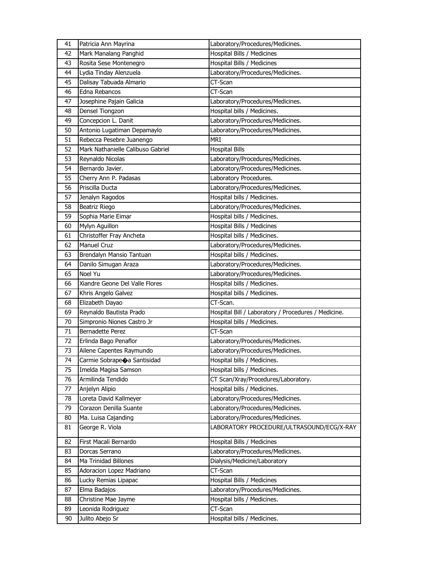| 41 | Patricia Ann Mayrina              | Laboratory/Procedures/Medicines.                    |
|----|-----------------------------------|-----------------------------------------------------|
| 42 | Mark Manalang Panghid             | Hospital Bills / Medicines                          |
| 43 | Rosita Sese Montenegro            | Hospital Bills / Medicines                          |
| 44 | Lydia Tinday Alenzuela            | Laboratory/Procedures/Medicines.                    |
| 45 | Dalisay Tabuada Almario           | CT-Scan                                             |
| 46 | Edna Rebancos                     | CT-Scan                                             |
| 47 | Josephine Pajain Galicia          | Laboratory/Procedures/Medicines.                    |
| 48 | Densel Tiongzon                   | Hospital bills / Medicines.                         |
| 49 | Concepcion L. Danit               | Laboratory/Procedures/Medicines.                    |
| 50 | Antonio Lugatiman Depamaylo       | Laboratory/Procedures/Medicines.                    |
| 51 | Rebecca Pesebre Juanengo          | <b>MRI</b>                                          |
| 52 | Mark Nathanielle Calibuso Gabriel | <b>Hospital Bills</b>                               |
| 53 | Reynaldo Nicolas                  | Laboratory/Procedures/Medicines.                    |
| 54 | Bernardo Javier.                  | Laboratory/Procedures/Medicines.                    |
| 55 | Cherry Ann P. Padasas             | Laboratory Procedures.                              |
| 56 | Priscilla Ducta                   | Laboratory/Procedures/Medicines.                    |
| 57 | Jenalyn Ragodos                   | Hospital bills / Medicines.                         |
| 58 | Beatriz Riego                     | Laboratory/Procedures/Medicines.                    |
| 59 | Sophia Marie Eimar                | Hospital bills / Medicines.                         |
| 60 | Mylyn Aguillon                    | Hospital Bills / Medicines                          |
| 61 | Christoffer Fray Ancheta          | Hospital bills / Medicines.                         |
| 62 | Manuel Cruz                       | Laboratory/Procedures/Medicines.                    |
| 63 | Brendalyn Mansio Tantuan          | Hospital bills / Medicines.                         |
| 64 | Danilo Simugan Araza              | Laboratory/Procedures/Medicines.                    |
| 65 | Noel Yu                           | Laboratory/Procedures/Medicines.                    |
| 66 | Xiandre Geone Del Valle Flores    | Hospital bills / Medicines.                         |
| 67 | Khris Angelo Galvez               | Hospital bills / Medicines.                         |
| 68 | Elizabeth Dayao                   | CT-Scan.                                            |
| 69 | Reynaldo Bautista Prado           | Hospital Bill / Laboratory / Procedures / Medicine. |
| 70 | Simpronio Niones Castro Jr        | Hospital bills / Medicines.                         |
| 71 | <b>Bernadette Perez</b>           | CT-Scan                                             |
| 72 | Erlinda Bago Penaflor             | Laboratory/Procedures/Medicines.                    |
| 73 | Ailene Capentes Raymundo          | Laboratory/Procedures/Medicines.                    |
| 74 | Carmie Sobrapeoa Santisidad       | Hospital bills / Medicines.                         |
| 75 | Imelda Magisa Samson              | Hospital bills / Medicines.                         |
| 76 | Armilinda Tendido                 | CT Scan/Xray/Procedures/Laboratory.                 |
| 77 | Anjelyn Alipio                    | Hospital bills / Medicines.                         |
| 78 | Loreta David Kallmeyer            | Laboratory/Procedures/Medicines.                    |
| 79 | Corazon Denilla Suante            | Laboratory/Procedures/Medicines.                    |
| 80 | Ma. Luisa Cajanding               | Laboratory/Procedures/Medicines.                    |
| 81 | George R. Viola                   | LABORATORY PROCEDURE/ULTRASOUND/ECG/X-RAY           |
| 82 | First Macali Bernardo             | Hospital Bills / Medicines                          |
| 83 | Dorcas Serrano                    | Laboratory/Procedures/Medicines.                    |
| 84 | Ma Trinidad Billones              | Dialysis/Medicine/Laboratory                        |
| 85 | Adoracion Lopez Madriano          | CT-Scan                                             |
| 86 | Lucky Remias Lipapac              | Hospital Bills / Medicines                          |
| 87 | Elma Badajos                      | Laboratory/Procedures/Medicines.                    |
| 88 | Christine Mae Jayme               | Hospital bills / Medicines.                         |
| 89 | Leonida Rodriguez                 | CT-Scan                                             |
| 90 | Julito Abejo Sr                   | Hospital bills / Medicines.                         |
|    |                                   |                                                     |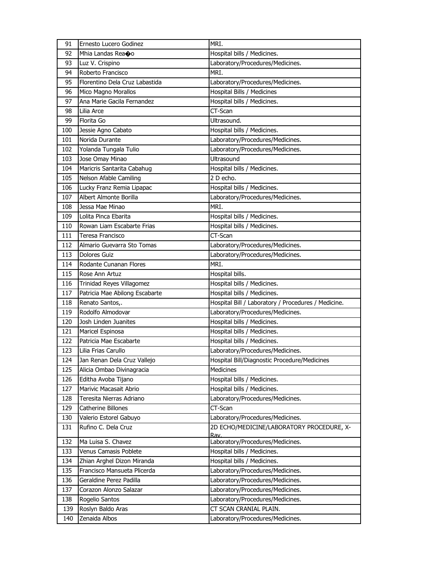| 91  | Ernesto Lucero Godinez         | MRI.                                                |
|-----|--------------------------------|-----------------------------------------------------|
| 92  | Mhia Landas Rea�o              | Hospital bills / Medicines.                         |
| 93  | Luz V. Crispino                | Laboratory/Procedures/Medicines.                    |
| 94  | Roberto Francisco              | MRI.                                                |
| 95  | Florentino Dela Cruz Labastida | Laboratory/Procedures/Medicines.                    |
| 96  | Mico Magno Morallos            | Hospital Bills / Medicines                          |
| 97  | Ana Marie Gacila Fernandez     | Hospital bills / Medicines.                         |
| 98  | Lilia Arce                     | CT-Scan                                             |
| 99  | Florita Go                     | Ultrasound.                                         |
| 100 | Jessie Agno Cabato             | Hospital bills / Medicines.                         |
| 101 | Norida Durante                 | Laboratory/Procedures/Medicines.                    |
| 102 | Yolanda Tungala Tulio          | Laboratory/Procedures/Medicines.                    |
| 103 | Jose Omay Minao                | Ultrasound                                          |
| 104 | Maricris Santarita Cabahug     | Hospital bills / Medicines.                         |
| 105 | Nelson Afable Camiling         | 2 D echo.                                           |
| 106 | Lucky Franz Remia Lipapac      | Hospital bills / Medicines.                         |
| 107 | Albert Almonte Borilla         | Laboratory/Procedures/Medicines.                    |
| 108 | Jessa Mae Minao                | MRI.                                                |
| 109 | Lolita Pinca Ebarita           | Hospital bills / Medicines.                         |
| 110 | Rowan Liam Escabarte Frias     | Hospital bills / Medicines.                         |
| 111 | Teresa Francisco               | CT-Scan                                             |
| 112 | Almario Guevarra Sto Tomas     | Laboratory/Procedures/Medicines.                    |
| 113 | <b>Dolores Guiz</b>            | Laboratory/Procedures/Medicines.                    |
| 114 | Rodante Cunanan Flores         | MRI.                                                |
| 115 | Rose Ann Artuz                 | Hospital bills.                                     |
| 116 | Trinidad Reyes Villagomez      | Hospital bills / Medicines.                         |
| 117 | Patricia Mae Abilong Escabarte | Hospital bills / Medicines.                         |
| 118 | Renato Santos,.                | Hospital Bill / Laboratory / Procedures / Medicine. |
| 119 | Rodolfo Almodovar              | Laboratory/Procedures/Medicines.                    |
| 120 | Josh Linden Juanites           | Hospital bills / Medicines.                         |
| 121 | Maricel Espinosa               | Hospital bills / Medicines.                         |
| 122 | Patricia Mae Escabarte         | Hospital bills / Medicines.                         |
| 123 | Lilia Frias Carullo            | Laboratory/Procedures/Medicines.                    |
| 124 | Jan Renan Dela Cruz Vallejo    | Hospital Bill/Diagnostic Procedure/Medicines        |
| 125 | Alicia Ombao Divinagracia      | Medicines                                           |
| 126 | Editha Avoba Tijano            | Hospital bills / Medicines.                         |
| 127 | Marivic Macasait Abrio         | Hospital bills / Medicines.                         |
| 128 | Teresita Nierras Adriano       | Laboratory/Procedures/Medicines.                    |
| 129 | Catherine Billones             | CT-Scan                                             |
| 130 | Valerio Estorel Gabuyo         | Laboratory/Procedures/Medicines.                    |
| 131 | Rufino C. Dela Cruz            | 2D ECHO/MEDICINE/LABORATORY PROCEDURE, X-<br>Rav.   |
| 132 | Ma Luisa S. Chavez             | Laboratory/Procedures/Medicines.                    |
| 133 | Venus Camasis Poblete          | Hospital bills / Medicines.                         |
| 134 | Zhian Arghel Dizon Miranda     | Hospital bills / Medicines.                         |
| 135 | Francisco Mansueta Plicerda    | Laboratory/Procedures/Medicines.                    |
| 136 | Geraldine Perez Padilla        | Laboratory/Procedures/Medicines.                    |
| 137 | Corazon Alonzo Salazar         | Laboratory/Procedures/Medicines.                    |
| 138 | Rogelio Santos                 | Laboratory/Procedures/Medicines.                    |
| 139 | Roslyn Baldo Aras              | CT SCAN CRANIAL PLAIN.                              |
| 140 | Zenaida Albos                  | Laboratory/Procedures/Medicines.                    |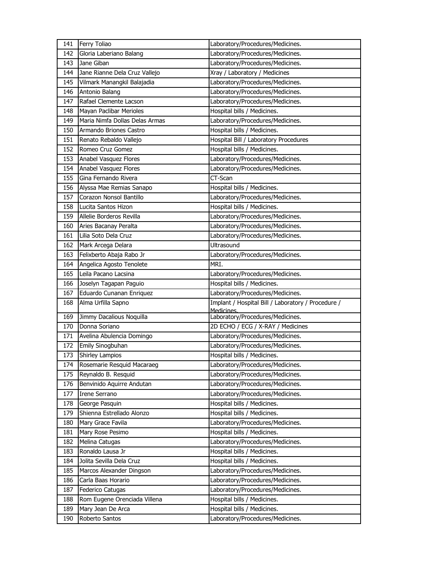| 141 | Ferry Toliao                   | Laboratory/Procedures/Medicines.                                 |
|-----|--------------------------------|------------------------------------------------------------------|
| 142 | Gloria Laberiano Balang        | Laboratory/Procedures/Medicines.                                 |
| 143 | Jane Giban                     | Laboratory/Procedures/Medicines.                                 |
| 144 | Jane Rianne Dela Cruz Vallejo  | Xray / Laboratory / Medicines                                    |
| 145 | Vilmark Manangkil Balajadia    | Laboratory/Procedures/Medicines.                                 |
| 146 | Antonio Balang                 | Laboratory/Procedures/Medicines.                                 |
| 147 | Rafael Clemente Lacson         | Laboratory/Procedures/Medicines.                                 |
| 148 | Mayan Paclibar Merioles        | Hospital bills / Medicines.                                      |
| 149 | Maria Nimfa Dollas Delas Armas | Laboratory/Procedures/Medicines.                                 |
| 150 | Armando Briones Castro         | Hospital bills / Medicines.                                      |
| 151 | Renato Rebaldo Vallejo         | Hospital Bill / Laboratory Procedures                            |
| 152 | Romeo Cruz Gomez               | Hospital bills / Medicines.                                      |
| 153 | Anabel Vasquez Flores          | Laboratory/Procedures/Medicines.                                 |
| 154 | Anabel Vasquez Flores          | Laboratory/Procedures/Medicines.                                 |
| 155 | Gina Fernando Rivera           | CT-Scan                                                          |
| 156 | Alyssa Mae Remias Sanapo       | Hospital bills / Medicines.                                      |
| 157 | Corazon Nonsol Bantillo        | Laboratory/Procedures/Medicines.                                 |
| 158 | Lucita Santos Hizon            | Hospital bills / Medicines.                                      |
| 159 | Allelie Borderos Revilla       | Laboratory/Procedures/Medicines.                                 |
| 160 | Aries Bacanay Peralta          | Laboratory/Procedures/Medicines.                                 |
| 161 | Lilia Soto Dela Cruz           | Laboratory/Procedures/Medicines.                                 |
| 162 | Mark Arcega Delara             | Ultrasound                                                       |
| 163 | Felixberto Abaja Rabo Jr       | Laboratory/Procedures/Medicines.                                 |
| 164 | Angelica Agosto Tenolete       | MRI.                                                             |
| 165 | Leila Pacano Lacsina           | Laboratory/Procedures/Medicines.                                 |
| 166 | Joselyn Tagapan Paguio         | Hospital bills / Medicines.                                      |
| 167 | Eduardo Cunanan Enriquez       | Laboratory/Procedures/Medicines.                                 |
| 168 | Alma Urfilla Sapno             | Implant / Hospital Bill / Laboratory / Procedure /<br>Medicines. |
| 169 | Jimmy Dacalious Noquilla       | Laboratory/Procedures/Medicines.                                 |
| 170 | Donna Soriano                  | 2D ECHO / ECG / X-RAY / Medicines                                |
| 171 | Avelina Abulencia Domingo      | Laboratory/Procedures/Medicines.                                 |
| 172 | Emily Sinogbuhan               | Laboratory/Procedures/Medicines.                                 |
| 173 | Shirley Lampios                | Hospital bills / Medicines.                                      |
| 174 | Rosemarie Resquid Macaraeg     | Laboratory/Procedures/Medicines.                                 |
| 175 | Reynaldo B. Resquid            | Laboratory/Procedures/Medicines.                                 |
| 176 | Benvinido Aquirre Andutan      | Laboratory/Procedures/Medicines.                                 |
| 177 | Irene Serrano                  | Laboratory/Procedures/Medicines.                                 |
| 178 | George Pasquin                 | Hospital bills / Medicines.                                      |
| 179 | Shienna Estrellado Alonzo      | Hospital bills / Medicines.                                      |
| 180 | Mary Grace Favila              | Laboratory/Procedures/Medicines.                                 |
| 181 | Mary Rose Pesimo               | Hospital bills / Medicines.                                      |
| 182 | Melina Catugas                 | Laboratory/Procedures/Medicines.                                 |
| 183 | Ronaldo Lausa Jr               | Hospital bills / Medicines.                                      |
| 184 | Jolita Sevilla Dela Cruz       | Hospital bills / Medicines.                                      |
| 185 | Marcos Alexander Dingson       | Laboratory/Procedures/Medicines.                                 |
| 186 | Carla Baas Horario             | Laboratory/Procedures/Medicines.                                 |
| 187 | Federico Catugas               | Laboratory/Procedures/Medicines.                                 |
| 188 | Rom Eugene Orenciada Villena   | Hospital bills / Medicines.                                      |
| 189 | Mary Jean De Arca              | Hospital bills / Medicines.                                      |
| 190 | Roberto Santos                 | Laboratory/Procedures/Medicines.                                 |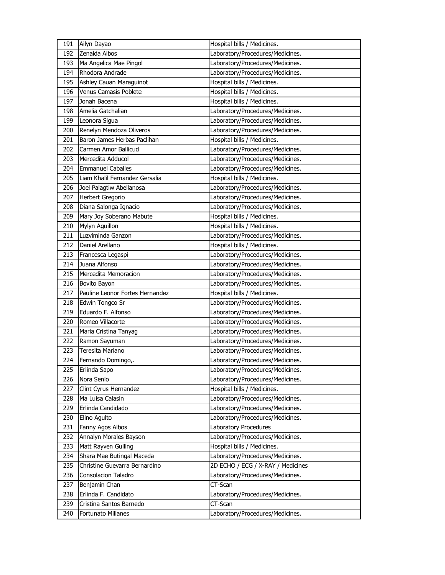| 191 | Ailyn Dayao                     | Hospital bills / Medicines.       |
|-----|---------------------------------|-----------------------------------|
| 192 | Zenaida Albos                   | Laboratory/Procedures/Medicines.  |
| 193 | Ma Angelica Mae Pingol          | Laboratory/Procedures/Medicines.  |
| 194 | Rhodora Andrade                 | Laboratory/Procedures/Medicines.  |
| 195 | Ashley Cauan Maraguinot         | Hospital bills / Medicines.       |
| 196 | Venus Camasis Poblete           | Hospital bills / Medicines.       |
| 197 | Jonah Bacena                    | Hospital bills / Medicines.       |
| 198 | Amelia Gatchalian               | Laboratory/Procedures/Medicines.  |
| 199 | Leonora Sigua                   | Laboratory/Procedures/Medicines.  |
| 200 | Renelyn Mendoza Oliveros        | Laboratory/Procedures/Medicines.  |
| 201 | Baron James Herbas Paclihan     | Hospital bills / Medicines.       |
| 202 | Carmen Amor Ballicud            | Laboratory/Procedures/Medicines.  |
| 203 | Mercedita Adducol               | Laboratory/Procedures/Medicines.  |
| 204 | <b>Emmanuel Caballes</b>        | Laboratory/Procedures/Medicines.  |
| 205 | Liam Khalil Fernandez Gersalia  | Hospital bills / Medicines.       |
| 206 | Joel Palagtiw Abellanosa        | Laboratory/Procedures/Medicines.  |
| 207 | <b>Herbert Gregorio</b>         | Laboratory/Procedures/Medicines.  |
| 208 | Diana Salonga Ignacio           | Laboratory/Procedures/Medicines.  |
| 209 | Mary Joy Soberano Mabute        | Hospital bills / Medicines.       |
| 210 | Mylyn Aguillon                  | Hospital bills / Medicines.       |
| 211 | Luzviminda Ganzon               | Laboratory/Procedures/Medicines.  |
| 212 | Daniel Arellano                 | Hospital bills / Medicines.       |
| 213 | Francesca Legaspi               | Laboratory/Procedures/Medicines.  |
| 214 | Juana Alfonso                   | Laboratory/Procedures/Medicines.  |
| 215 | Mercedita Memoracion            | Laboratory/Procedures/Medicines.  |
| 216 | Bovito Bayon                    | Laboratory/Procedures/Medicines.  |
| 217 | Pauline Leonor Fortes Hernandez | Hospital bills / Medicines.       |
| 218 | Edwin Tongco Sr                 | Laboratory/Procedures/Medicines.  |
| 219 | Eduardo F. Alfonso              | Laboratory/Procedures/Medicines.  |
| 220 | Romeo Villacorte                | Laboratory/Procedures/Medicines.  |
| 221 | Maria Cristina Tanyag           | Laboratory/Procedures/Medicines.  |
| 222 | Ramon Sayuman                   | Laboratory/Procedures/Medicines.  |
| 223 | Teresita Mariano                | Laboratory/Procedures/Medicines.  |
| 224 | Fernando Domingo,.              | Laboratory/Procedures/Medicines.  |
| 225 | Erlinda Sapo                    | Laboratory/Procedures/Medicines.  |
| 226 | Nora Senio                      | Laboratory/Procedures/Medicines.  |
| 227 | Clint Cyrus Hernandez           | Hospital bills / Medicines.       |
| 228 | Ma Luisa Calasin                | Laboratory/Procedures/Medicines.  |
| 229 | Erlinda Candidado               | Laboratory/Procedures/Medicines.  |
| 230 | Elino Agulto                    | Laboratory/Procedures/Medicines.  |
| 231 | Fanny Agos Albos                | Laboratory Procedures             |
| 232 | Annalyn Morales Bayson          | Laboratory/Procedures/Medicines.  |
| 233 | Matt Rayven Guiling             | Hospital bills / Medicines.       |
| 234 | Shara Mae Butingal Maceda       | Laboratory/Procedures/Medicines.  |
| 235 | Christine Guevarra Bernardino   | 2D ECHO / ECG / X-RAY / Medicines |
| 236 | Consolacion Taladro             | Laboratory/Procedures/Medicines.  |
| 237 | Benjamin Chan                   | $CT-Scan$                         |
| 238 | Erlinda F. Candidato            | Laboratory/Procedures/Medicines.  |
| 239 | Cristina Santos Barnedo         | CT-Scan                           |
| 240 | Fortunato Millanes              | Laboratory/Procedures/Medicines.  |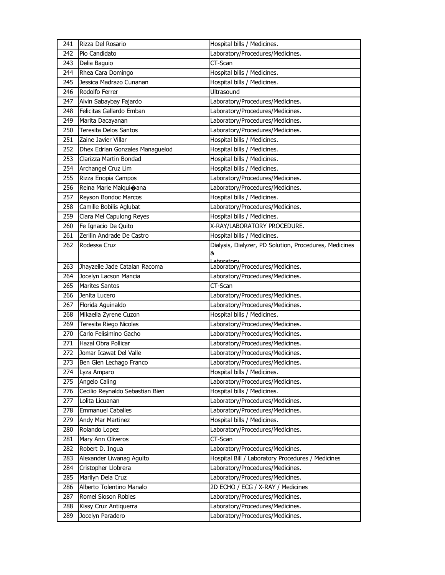| 241 | Rizza Del Rosario               | Hospital bills / Medicines.                            |
|-----|---------------------------------|--------------------------------------------------------|
| 242 | Pio Candidato                   | Laboratory/Procedures/Medicines.                       |
| 243 | Delia Baguio                    | CT-Scan                                                |
| 244 | Rhea Cara Domingo               | Hospital bills / Medicines.                            |
| 245 | Jessica Madrazo Cunanan         | Hospital bills / Medicines.                            |
| 246 | Rodolfo Ferrer                  | Ultrasound                                             |
| 247 | Alvin Sabaybay Fajardo          | Laboratory/Procedures/Medicines.                       |
| 248 | Felicitas Gallardo Emban        | Laboratory/Procedures/Medicines.                       |
| 249 | Marita Dacayanan                | Laboratory/Procedures/Medicines.                       |
| 250 | <b>Teresita Delos Santos</b>    | Laboratory/Procedures/Medicines.                       |
| 251 | Zaine Javier Villar             | Hospital bills / Medicines.                            |
| 252 | Dhex Edrian Gonzales Managuelod | Hospital bills / Medicines.                            |
| 253 | Clarizza Martin Bondad          | Hospital bills / Medicines.                            |
| 254 | Archangel Cruz Lim              | Hospital bills / Medicines.                            |
| 255 | Rizza Enopia Campos             | Laboratory/Procedures/Medicines.                       |
| 256 | Reina Marie Malquioana          | Laboratory/Procedures/Medicines.                       |
| 257 | Reyson Bondoc Marcos            | Hospital bills / Medicines.                            |
| 258 | Camille Bobilis Aglubat         | Laboratory/Procedures/Medicines.                       |
| 259 | Ciara Mel Capulong Reyes        | Hospital bills / Medicines.                            |
| 260 | Fe Ignacio De Quito             | X-RAY/LABORATORY PROCEDURE.                            |
| 261 | Zerilin Andrade De Castro       | Hospital bills / Medicines.                            |
| 262 | Rodessa Cruz                    | Dialysis, Dialyzer, PD Solution, Procedures, Medicines |
|     |                                 | &                                                      |
| 263 | Jhayzelle Jade Catalan Racoma   | Laboratory<br>Laboratory/Procedures/Medicines.         |
| 264 | Jocelyn Lacson Mancia           | Laboratory/Procedures/Medicines.                       |
| 265 | <b>Marites Santos</b>           | CT-Scan                                                |
| 266 | Jenita Lucero                   | Laboratory/Procedures/Medicines.                       |
| 267 | Florida Aguinaldo               | Laboratory/Procedures/Medicines.                       |
| 268 | Mikaella Zyrene Cuzon           | Hospital bills / Medicines.                            |
| 269 | Teresita Riego Nicolas          | Laboratory/Procedures/Medicines.                       |
| 270 | Carlo Felisimino Gacho          | Laboratory/Procedures/Medicines.                       |
| 271 | Hazal Obra Pollicar             | Laboratory/Procedures/Medicines.                       |
| 272 | Jomar Icawat Del Valle          | Laboratory/Procedures/Medicines.                       |
| 273 | Ben Glen Lechago Franco         | Laboratory/Procedures/Medicines.                       |
| 274 | Lyza Amparo                     | Hospital bills / Medicines.                            |
| 275 | Angelo Caling                   | Laboratory/Procedures/Medicines.                       |
| 276 | Cecilio Reynaldo Sebastian Bien | Hospital bills / Medicines.                            |
| 277 | Lolita Licuanan                 | Laboratory/Procedures/Medicines.                       |
| 278 | <b>Emmanuel Caballes</b>        | Laboratory/Procedures/Medicines.                       |
| 279 | Andy Mar Martinez               | Hospital bills / Medicines.                            |
| 280 | Rolando Lopez                   | Laboratory/Procedures/Medicines.                       |
| 281 | Mary Ann Oliveros               | CT-Scan                                                |
| 282 | Robert D. Ingua                 | Laboratory/Procedures/Medicines.                       |
| 283 | Alexander Liwanag Agulto        | Hospital Bill / Laboratory Procedures / Medicines      |
| 284 | Cristopher Llobrera             | Laboratory/Procedures/Medicines.                       |
| 285 | Marilyn Dela Cruz               | Laboratory/Procedures/Medicines.                       |
| 286 | Alberto Tolentino Manalo        | 2D ECHO / ECG / X-RAY / Medicines                      |
| 287 | Romel Sioson Robles             | Laboratory/Procedures/Medicines.                       |
| 288 | Kissy Cruz Antiquerra           | Laboratory/Procedures/Medicines.                       |
| 289 | Jocelyn Paradero                | Laboratory/Procedures/Medicines.                       |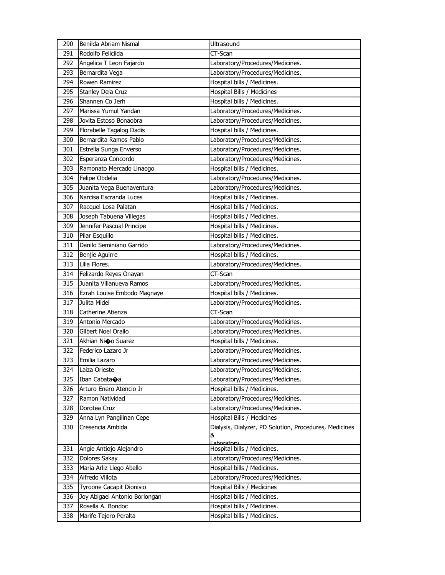| 290 | Benilda Abriam Nismal         | Ultrasound                                             |
|-----|-------------------------------|--------------------------------------------------------|
| 291 | Rodolfo Felicilda             | CT-Scan                                                |
| 292 | Angelica T Leon Fajardo       | Laboratory/Procedures/Medicines.                       |
| 293 | Bernardita Vega               | Laboratory/Procedures/Medicines.                       |
| 294 | Rowen Ramirez                 | Hospital bills / Medicines.                            |
| 295 | Stanley Dela Cruz             | Hospital Bills / Medicines                             |
| 296 | Shannen Co Jerh               | Hospital bills / Medicines.                            |
| 297 | Marissa Yumul Yandan          | Laboratory/Procedures/Medicines.                       |
| 298 | Jovita Estoso Bonaobra        | Laboratory/Procedures/Medicines.                       |
| 299 | Florabelle Tagalog Dadis      | Hospital bills / Medicines.                            |
| 300 | Bernardita Ramos Pablo        | Laboratory/Procedures/Medicines.                       |
| 301 | Estrella Sunga Enverso        | Laboratory/Procedures/Medicines.                       |
| 302 | Esperanza Concordo            | Laboratory/Procedures/Medicines.                       |
| 303 | Ramonato Mercado Linaogo      | Hospital bills / Medicines.                            |
| 304 | Felipe Obdelia                | Laboratory/Procedures/Medicines.                       |
| 305 | Juanita Vega Buenaventura     | Laboratory/Procedures/Medicines.                       |
| 306 | Narcisa Escranda Luces        | Hospital bills / Medicines.                            |
| 307 | Racquel Losa Palatan          | Hospital bills / Medicines.                            |
| 308 | Joseph Tabuena Villegas       | Hospital bills / Medicines.                            |
| 309 | Jennifer Pascual Principe     | Hospital bills / Medicines.                            |
| 310 | Pilar Esquillo                | Hospital bills / Medicines.                            |
| 311 | Danilo Seminiano Garrido      | Laboratory/Procedures/Medicines.                       |
| 312 | Benjie Aguirre                | Hospital bills / Medicines.                            |
| 313 | Lilia Flores.                 | Laboratory/Procedures/Medicines.                       |
| 314 | Felizardo Reyes Onayan        | CT-Scan                                                |
| 315 | Juanita Villanueva Ramos      | Laboratory/Procedures/Medicines.                       |
| 316 | Ezrah Louise Embodo Magnaye   | Hospital bills / Medicines.                            |
| 317 | Julita Midel                  | Laboratory/Procedures/Medicines.                       |
| 318 | Catherine Atienza             | CT-Scan                                                |
| 319 | Antonio Mercado               | Laboratory/Procedures/Medicines.                       |
| 320 | Gilbert Noel Orallo           | Laboratory/Procedures/Medicines.                       |
| 321 | Akhian Nioo Suarez            | Hospital bills / Medicines.                            |
| 322 | Federico Lazaro Jr            | Laboratory/Procedures/Medicines.                       |
| 323 | Emilia Lazaro                 | Laboratory/Procedures/Medicines.                       |
| 324 | Laiza Orieste                 | Laboratory/Procedures/Medicines.                       |
| 325 | Iban Cabata�a                 | Laboratory/Procedures/Medicines.                       |
| 326 | Arturo Enero Atencio Jr       | Hospital bills / Medicines.                            |
| 327 | Ramon Natividad               | Laboratory/Procedures/Medicines.                       |
| 328 | Dorotea Cruz                  | Laboratory/Procedures/Medicines.                       |
| 329 | Anna Lyn Pangilinan Cepe      | Hospital Bills / Medicines                             |
| 330 | Cresencia Ambida              | Dialysis, Dialyzer, PD Solution, Procedures, Medicines |
|     |                               | &<br>Lahoratory                                        |
| 331 | Angie Antiojo Alejandro       | Hospital bills / Medicines.                            |
| 332 | Dolores Sakay                 | Laboratory/Procedures/Medicines.                       |
| 333 | Maria Arliz Llego Abello      | Hospital bills / Medicines.                            |
| 334 | Alfredo Villota               | Laboratory/Procedures/Medicines.                       |
| 335 | Tyroone Cacapit Dionisio      | Hospital Bills / Medicines                             |
| 336 | Joy Abigael Antonio Borlongan | Hospital bills / Medicines.                            |
| 337 | Rosella A. Bondoc             | Hospital bills / Medicines.                            |
| 338 | Marife Tejero Peralta         | Hospital bills / Medicines.                            |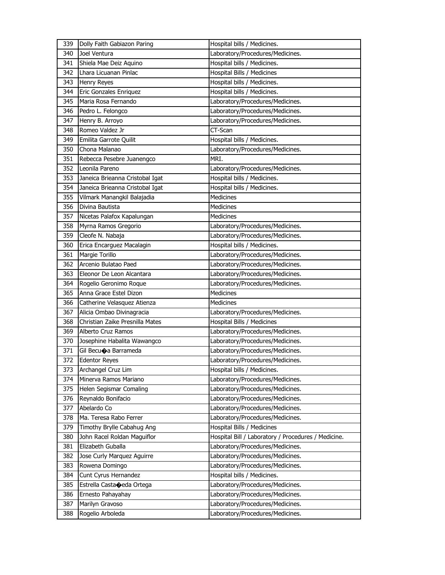| 339 | Dolly Faith Gabiazon Paring          | Hospital bills / Medicines.                         |
|-----|--------------------------------------|-----------------------------------------------------|
| 340 | Joel Ventura                         | Laboratory/Procedures/Medicines.                    |
| 341 | Shiela Mae Deiz Aquino               | Hospital bills / Medicines.                         |
| 342 | Lhara Licuanan Pinlac                | Hospital Bills / Medicines                          |
| 343 | <b>Henry Reyes</b>                   | Hospital bills / Medicines.                         |
| 344 | Eric Gonzales Enriquez               | Hospital bills / Medicines.                         |
| 345 | Maria Rosa Fernando                  | Laboratory/Procedures/Medicines.                    |
| 346 | Pedro L. Felongco                    | Laboratory/Procedures/Medicines.                    |
| 347 | Henry B. Arroyo                      | Laboratory/Procedures/Medicines.                    |
| 348 | Romeo Valdez Jr                      | CT-Scan                                             |
| 349 | Emilita Garrote Quilit               | Hospital bills / Medicines.                         |
| 350 | Chona Malanao                        | Laboratory/Procedures/Medicines.                    |
| 351 | Rebecca Pesebre Juanengco            | MRI.                                                |
| 352 | Leonila Pareno                       | Laboratory/Procedures/Medicines.                    |
| 353 | Janeica Brieanna Cristobal Igat      | Hospital bills / Medicines.                         |
| 354 | Janeica Brieanna Cristobal Igat      | Hospital bills / Medicines.                         |
| 355 | Vilmark Manangkil Balajadia          | Medicines                                           |
| 356 | Divina Bautista                      | Medicines                                           |
| 357 | Nicetas Palafox Kapalungan           | <b>Medicines</b>                                    |
| 358 | Myrna Ramos Gregorio                 | Laboratory/Procedures/Medicines.                    |
| 359 | Cleofe N. Nabaja                     | Laboratory/Procedures/Medicines.                    |
| 360 | Erica Encarguez Macalagin            | Hospital bills / Medicines.                         |
| 361 | Margie Torillo                       | Laboratory/Procedures/Medicines.                    |
| 362 | Arcenio Bulatao Paed                 | Laboratory/Procedures/Medicines.                    |
| 363 | Eleonor De Leon Alcantara            | Laboratory/Procedures/Medicines.                    |
| 364 | Rogelio Geronimo Roque               | Laboratory/Procedures/Medicines.                    |
| 365 | Anna Grace Estel Dizon               | Medicines                                           |
| 366 | Catherine Velasquez Atienza          | Medicines                                           |
| 367 | Alicia Ombao Divinagracia            | Laboratory/Procedures/Medicines.                    |
| 368 | Christian Zaike Presnilla Mates      | Hospital Bills / Medicines                          |
| 369 | Alberto Cruz Ramos                   | Laboratory/Procedures/Medicines.                    |
| 370 | Josephine Habalita Wawangco          | Laboratory/Procedures/Medicines.                    |
| 371 | Gil Becu $\bigcirc$ a Barrameda      | Laboratory/Procedures/Medicines.                    |
| 372 | <b>Edentor Reyes</b>                 | Laboratory/Procedures/Medicines.                    |
| 373 | Archangel Cruz Lim                   | Hospital bills / Medicines.                         |
| 374 | Minerva Ramos Mariano                | Laboratory/Procedures/Medicines.                    |
| 375 | Helen Segismar Comaling              | Laboratory/Procedures/Medicines.                    |
| 376 | Reynaldo Bonifacio                   | Laboratory/Procedures/Medicines.                    |
| 377 | Abelardo Co                          | Laboratory/Procedures/Medicines.                    |
| 378 | Ma. Teresa Rabo Ferrer               | Laboratory/Procedures/Medicines.                    |
| 379 | Timothy Brylle Cabahug Ang           | Hospital Bills / Medicines                          |
| 380 | John Racel Roldan Maguiflor          | Hospital Bill / Laboratory / Procedures / Medicine. |
| 381 | Elizabeth Guballa                    | Laboratory/Procedures/Medicines.                    |
| 382 | Jose Curly Marquez Aguirre           | Laboratory/Procedures/Medicines.                    |
| 383 | Rowena Domingo                       | Laboratory/Procedures/Medicines.                    |
| 384 | Cunt Cyrus Hernandez                 | Hospital bills / Medicines.                         |
| 385 | Estrella Casta $\bigcirc$ eda Ortega | Laboratory/Procedures/Medicines.                    |
| 386 | Ernesto Pahayahay                    | Laboratory/Procedures/Medicines.                    |
| 387 | Marilyn Gravoso                      | Laboratory/Procedures/Medicines.                    |
| 388 | Rogelio Arboleda                     | Laboratory/Procedures/Medicines.                    |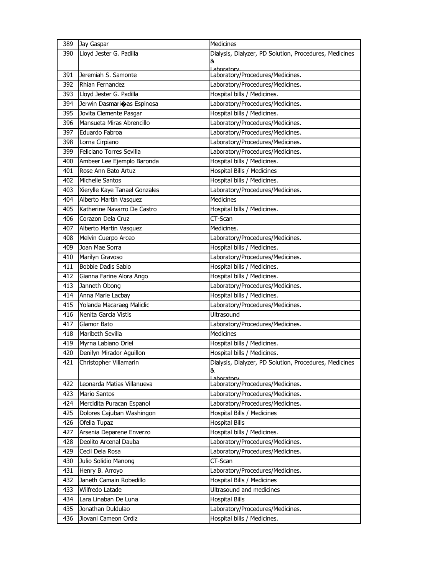| 389        | Jay Gaspar                                         | Medicines                                                       |
|------------|----------------------------------------------------|-----------------------------------------------------------------|
| 390        | Lloyd Jester G. Padilla                            | Dialysis, Dialyzer, PD Solution, Procedures, Medicines          |
|            |                                                    | &                                                               |
| 391        | Jeremiah S. Samonte                                | Lahoratory<br>Laboratory/Procedures/Medicines.                  |
| 392        | Rhian Fernandez                                    | Laboratory/Procedures/Medicines.                                |
| 393        | Lloyd Jester G. Padilla                            | Hospital bills / Medicines.                                     |
| 394        | Jerwin Dasmarioas Espinosa                         | Laboratory/Procedures/Medicines.                                |
| 395        | Jovita Clemente Pasgar                             | Hospital bills / Medicines.                                     |
| 396        | Mansueta Miras Abrencillo                          | Laboratory/Procedures/Medicines.                                |
| 397        | Eduardo Fabroa                                     | Laboratory/Procedures/Medicines.                                |
| 398        | Lorna Cirpiano                                     | Laboratory/Procedures/Medicines.                                |
| 399        | Feliciano Torres Sevilla                           | Laboratory/Procedures/Medicines.                                |
| 400        | Ambeer Lee Ejemplo Baronda                         | Hospital bills / Medicines.                                     |
| 401        | Rose Ann Bato Artuz                                | Hospital Bills / Medicines                                      |
| 402        | Michelle Santos                                    | Hospital bills / Medicines.                                     |
| 403        | Xierylle Kaye Tanael Gonzales                      | Laboratory/Procedures/Medicines.                                |
| 404        | Alberto Martin Vasquez                             | <b>Medicines</b>                                                |
| 405        | Katherine Navarro De Castro                        | Hospital bills / Medicines.                                     |
| 406        | Corazon Dela Cruz                                  | CT-Scan                                                         |
| 407        | Alberto Martin Vasquez                             | Medicines.                                                      |
| 408        | Melvin Cuerpo Arceo                                | Laboratory/Procedures/Medicines.                                |
| 409        | Joan Mae Sorra                                     | Hospital bills / Medicines.                                     |
| 410        | Marilyn Gravoso                                    | Laboratory/Procedures/Medicines.                                |
| 411        | Bobbie Dadis Sabio                                 | Hospital bills / Medicines.                                     |
| 412        | Gianna Farine Alora Ango                           | Hospital bills / Medicines.                                     |
| 413        | Janneth Obong                                      | Laboratory/Procedures/Medicines.                                |
|            |                                                    |                                                                 |
|            |                                                    |                                                                 |
| 414        | Anna Marie Lacbay                                  | Hospital bills / Medicines.                                     |
| 415        | Yolanda Macaraeg Maliclic<br>Nenita Garcia Vistis  | Laboratory/Procedures/Medicines.                                |
| 416<br>417 |                                                    | Ultrasound                                                      |
| 418        | Glamor Bato<br>Maribeth Sevilla                    | Laboratory/Procedures/Medicines.<br><b>Medicines</b>            |
| 419        |                                                    |                                                                 |
| 420        | Myrna Labiano Oriel                                | Hospital bills / Medicines.                                     |
| 421        | Denilyn Mirador Aguillon<br>Christopher Villamarin | Hospital bills / Medicines.                                     |
|            |                                                    | Dialysis, Dialyzer, PD Solution, Procedures, Medicines<br>&     |
|            |                                                    | ahoratory                                                       |
| 422        | Leonarda Matias Villanueva                         | Laboratory/Procedures/Medicines.                                |
| 423        | <b>Mario Santos</b>                                | Laboratory/Procedures/Medicines.                                |
| 424        | Mercidita Puracan Espanol                          | Laboratory/Procedures/Medicines.                                |
| 425        | Dolores Cajuban Washingon                          | <b>Hospital Bills / Medicines</b>                               |
| 426        | Ofelia Tupaz                                       | <b>Hospital Bills</b>                                           |
| 427        | Arsenia Deparene Enverzo                           | Hospital bills / Medicines.                                     |
| 428        | Deolito Arcenal Dauba                              | Laboratory/Procedures/Medicines.                                |
| 429        | Cecil Dela Rosa                                    | Laboratory/Procedures/Medicines.                                |
| 430        | Julio Solidio Manong                               | CT-Scan                                                         |
| 431        | Henry B. Arroyo                                    | Laboratory/Procedures/Medicines.                                |
| 432        | Janeth Camain Robedillo                            | Hospital Bills / Medicines                                      |
| 433        | Wilfredo Latade                                    | Ultrasound and medicines                                        |
| 434        | Lara Linaban De Luna                               | <b>Hospital Bills</b>                                           |
| 435<br>436 | Jonathan Duldulao<br>Jiovani Cameon Ordiz          | Laboratory/Procedures/Medicines.<br>Hospital bills / Medicines. |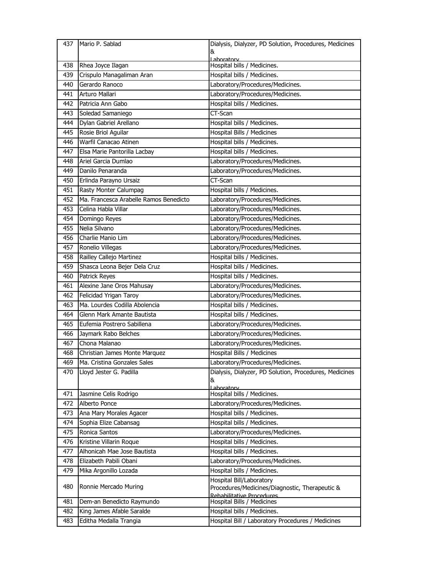| 437 | Mario P. Sablad                        | Dialysis, Dialyzer, PD Solution, Procedures, Medicines                     |
|-----|----------------------------------------|----------------------------------------------------------------------------|
|     |                                        | &                                                                          |
| 438 | Rhea Joyce Ilagan                      | aboratory<br>Hospital bills / Medicines.                                   |
| 439 | Crispulo Managaliman Aran              | Hospital bills / Medicines.                                                |
| 440 | Gerardo Ranoco                         | Laboratory/Procedures/Medicines.                                           |
| 441 | Arturo Mallari                         | Laboratory/Procedures/Medicines.                                           |
| 442 | Patricia Ann Gabo                      | Hospital bills / Medicines.                                                |
| 443 | Soledad Samaniego                      | CT-Scan                                                                    |
| 444 | Dylan Gabriel Arellano                 | Hospital bills / Medicines.                                                |
| 445 | Rosie Briol Aguilar                    | Hospital Bills / Medicines                                                 |
| 446 | Warfil Canacao Atinen                  | Hospital bills / Medicines.                                                |
| 447 | Elsa Marie Pantorilla Lacbay           | Hospital bills / Medicines.                                                |
| 448 | Ariel Garcia Dumlao                    | Laboratory/Procedures/Medicines.                                           |
| 449 | Danilo Penaranda                       | Laboratory/Procedures/Medicines.                                           |
| 450 | Erlinda Parayno Ursaiz                 | CT-Scan                                                                    |
| 451 | Rasty Monter Calumpag                  | Hospital bills / Medicines.                                                |
| 452 | Ma. Francesca Arabelle Ramos Benedicto | Laboratory/Procedures/Medicines.                                           |
| 453 | Celina Habla Villar                    | Laboratory/Procedures/Medicines.                                           |
| 454 | Domingo Reyes                          | Laboratory/Procedures/Medicines.                                           |
| 455 | Nelia Silvano                          | Laboratory/Procedures/Medicines.                                           |
| 456 | Charlie Manio Lim                      | Laboratory/Procedures/Medicines.                                           |
| 457 | Ronelio Villegas                       | Laboratory/Procedures/Medicines.                                           |
| 458 | Railley Callejo Martinez               | Hospital bills / Medicines.                                                |
| 459 | Shasca Leona Bejer Dela Cruz           | Hospital bills / Medicines.                                                |
| 460 | Patrick Reyes                          | Hospital bills / Medicines.                                                |
| 461 | Alexine Jane Oros Mahusay              | Laboratory/Procedures/Medicines.                                           |
| 462 | Felicidad Yrigan Taroy                 | Laboratory/Procedures/Medicines.                                           |
| 463 | Ma. Lourdes Codilla Abolencia          | Hospital bills / Medicines.                                                |
| 464 | Glenn Mark Amante Bautista             | Hospital bills / Medicines.                                                |
| 465 | Eufemia Postrero Sabillena             | Laboratory/Procedures/Medicines.                                           |
| 466 | Jaymark Rabo Belches                   | Laboratory/Procedures/Medicines.                                           |
| 467 | Chona Malanao                          | Laboratory/Procedures/Medicines.                                           |
| 468 | Christian James Monte Marquez          | Hospital Bills / Medicines                                                 |
| 469 | Ma. Cristina Gonzales Sales            | Laboratory/Procedures/Medicines.                                           |
| 470 | Lloyd Jester G. Padilla                | Dialysis, Dialyzer, PD Solution, Procedures, Medicines                     |
|     |                                        | &                                                                          |
|     |                                        | Laboratory                                                                 |
| 471 | Jasmine Celis Rodrigo                  | Hospital bills / Medicines.                                                |
| 472 | Alberto Ponce                          | Laboratory/Procedures/Medicines.                                           |
| 473 | Ana Mary Morales Agacer                | Hospital bills / Medicines.                                                |
| 474 | Sophia Elize Cabansag                  | Hospital bills / Medicines.                                                |
| 475 | Ronica Santos                          | Laboratory/Procedures/Medicines.                                           |
| 476 | Kristine Villarin Roque                | Hospital bills / Medicines.                                                |
| 477 | Alhonicah Mae Jose Bautista            | Hospital bills / Medicines.                                                |
| 478 | Elizabeth Pabili Obani                 | Laboratory/Procedures/Medicines.                                           |
| 479 | Mika Argonillo Lozada                  | Hospital bills / Medicines.                                                |
| 480 | Ronnie Mercado Muring                  | Hospital Bill/Laboratory<br>Procedures/Medicines/Diagnostic, Therapeutic & |
|     |                                        | Rehabilitative Procedures                                                  |
| 481 | Dem-an Benedicto Raymundo              | Hospital Bills / Medicines                                                 |
| 482 | King James Afable Saralde              | Hospital bills / Medicines.                                                |
| 483 | Editha Medalla Trangia                 | Hospital Bill / Laboratory Procedures / Medicines                          |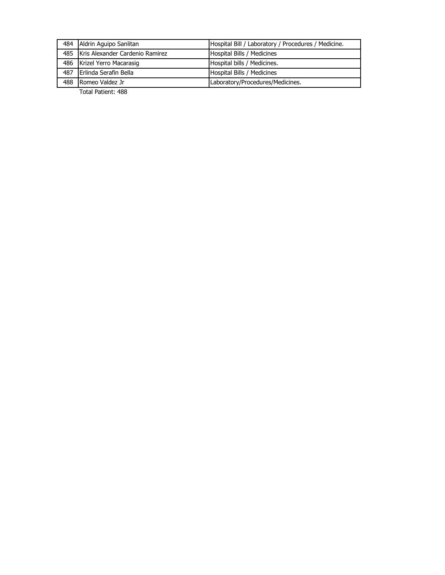|     | 484 Aldrin Aguipo Sanlitan          | Hospital Bill / Laboratory / Procedures / Medicine. |
|-----|-------------------------------------|-----------------------------------------------------|
|     | 485 Kris Alexander Cardenio Ramirez | Hospital Bills / Medicines                          |
|     | 486 Krizel Yerro Macarasig          | Hospital bills / Medicines.                         |
|     | 487 Erlinda Serafin Bella           | Hospital Bills / Medicines                          |
| 488 | Romeo Valdez Jr                     | Laboratory/Procedures/Medicines.                    |
|     |                                     |                                                     |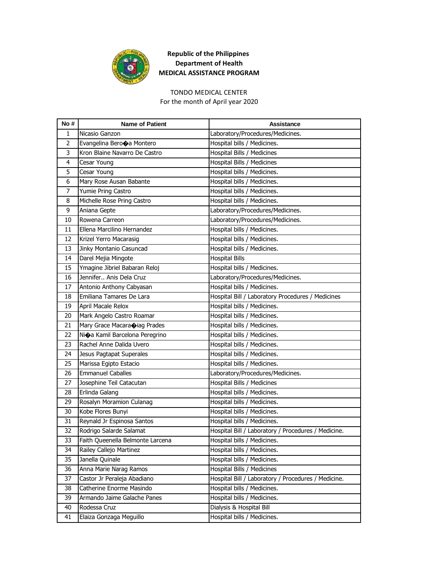

## TONDO MEDICAL CENTER

For the month of April year 2020

| No #           | <b>Name of Patient</b>                    | Assistance                                          |
|----------------|-------------------------------------------|-----------------------------------------------------|
| 1              | Nicasio Ganzon                            | Laboratory/Procedures/Medicines.                    |
| $\overline{2}$ | Evangelina Berooa Montero                 | Hospital bills / Medicines.                         |
| 3              | Kron Blaine Navarro De Castro             | Hospital Bills / Medicines                          |
| 4              | Cesar Young                               | Hospital Bills / Medicines                          |
| 5              | Cesar Young                               | Hospital bills / Medicines.                         |
| 6              | Mary Rose Ausan Babante                   | Hospital bills / Medicines.                         |
| 7              | Yumie Pring Castro                        | Hospital bills / Medicines.                         |
| 8              | Michelle Rose Pring Castro                | Hospital bills / Medicines.                         |
| 9              | Aniana Gepte                              | Laboratory/Procedures/Medicines.                    |
| 10             | Rowena Carreon                            | Laboratory/Procedures/Medicines.                    |
| 11             | Ellena Marcilino Hernandez                | Hospital bills / Medicines.                         |
| 12             | Krizel Yerro Macarasig                    | Hospital bills / Medicines.                         |
| 13             | Jinky Montanio Casuncad                   | Hospital bills / Medicines.                         |
| 14             | Darel Mejia Mingote                       | Hospital Bills                                      |
| 15             | Ymagine Jibriel Babaran Reloj             | Hospital bills / Medicines.                         |
| 16             | Jennifer Anis Dela Cruz                   | Laboratory/Procedures/Medicines.                    |
| 17             | Antonio Anthony Cabyasan                  | Hospital bills / Medicines.                         |
| 18             | Emiliana Tamares De Lara                  | Hospital Bill / Laboratory Procedures / Medicines   |
| 19             | April Macale Relox                        | Hospital bills / Medicines.                         |
| 20             | Mark Angelo Castro Roamar                 | Hospital bills / Medicines.                         |
| 21             | Mary Grace Macara piag Prades             | Hospital bills / Medicines.                         |
| 22             | Ni $\bigcirc$ a Kamil Barcelona Peregrino | Hospital bills / Medicines.                         |
| 23             | Rachel Anne Dalida Uvero                  | Hospital bills / Medicines.                         |
| 24             | Jesus Pagtapat Superales                  | Hospital bills / Medicines.                         |
| 25             | Marissa Egipto Estacio                    | Hospital bills / Medicines.                         |
| 26             | <b>Emmanuel Caballes</b>                  | Laboratory/Procedures/Medicines.                    |
| 27             | Josephine Teil Catacutan                  | Hospital Bills / Medicines                          |
| 28             | Erlinda Galang                            | Hospital bills / Medicines.                         |
| 29             | Rosalyn Moramion Culanag                  | Hospital bills / Medicines.                         |
| 30             | Kobe Flores Bunyi                         | Hospital bills / Medicines.                         |
| 31             | Reynald Jr Espinosa Santos                | Hospital bills / Medicines.                         |
| 32             | Rodrigo Salarde Salamat                   | Hospital Bill / Laboratory / Procedures / Medicine. |
| 33             | Faith Queenella Belmonte Larcena          | Hospital bills / Medicines.                         |
| 34             | Railey Callejo Martinez                   | Hospital bills / Medicines.                         |
| 35             | Janella Quinale                           | Hospital bills / Medicines.                         |
| 36             | Anna Marie Narag Ramos                    | Hospital Bills / Medicines                          |
| 37             | Castor Jr Peraleja Abadiano               | Hospital Bill / Laboratory / Procedures / Medicine. |
| 38             | Catherine Enorme Masindo                  | Hospital bills / Medicines.                         |
| 39             | Armando Jaime Galache Panes               | Hospital bills / Medicines.                         |
| 40             | Rodessa Cruz                              | Dialysis & Hospital Bill                            |
| 41             | Elaiza Gonzaga Meguillo                   | Hospital bills / Medicines.                         |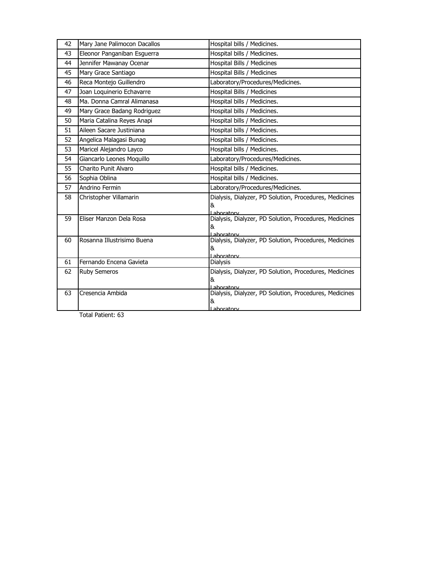| 42 | Mary Jane Palimocon Dacallos | Hospital bills / Medicines.                                          |
|----|------------------------------|----------------------------------------------------------------------|
| 43 | Eleonor Panganiban Esguerra  | Hospital bills / Medicines.                                          |
| 44 | Jennifer Mawanay Ocenar      | Hospital Bills / Medicines                                           |
| 45 | Mary Grace Santiago          | Hospital Bills / Medicines                                           |
| 46 | Reca Montejo Guillendro      | Laboratory/Procedures/Medicines.                                     |
| 47 | Joan Loquinerio Echavarre    | Hospital Bills / Medicines                                           |
| 48 | Ma. Donna Camral Alimanasa   | Hospital bills / Medicines.                                          |
| 49 | Mary Grace Badang Rodriguez  | Hospital bills / Medicines.                                          |
| 50 | Maria Catalina Reyes Anapi   | Hospital bills / Medicines.                                          |
| 51 | Aileen Sacare Justiniana     | Hospital bills / Medicines.                                          |
| 52 | Angelica Malagasi Bunag      | Hospital bills / Medicines.                                          |
| 53 | Maricel Alejandro Layco      | Hospital bills / Medicines.                                          |
| 54 | Giancarlo Leones Moquillo    | Laboratory/Procedures/Medicines.                                     |
| 55 | Charito Punit Alvaro         | Hospital bills / Medicines.                                          |
| 56 | Sophia Oblina                | Hospital bills / Medicines.                                          |
| 57 | Andrino Fermin               | Laboratory/Procedures/Medicines.                                     |
| 58 | Christopher Villamarin       | Dialysis, Dialyzer, PD Solution, Procedures, Medicines               |
|    |                              | &<br>Laboratory                                                      |
| 59 | Eliser Manzon Dela Rosa      | Dialysis, Dialyzer, PD Solution, Procedures, Medicines               |
|    |                              | &                                                                    |
| 60 | Rosanna Illustrisimo Buena   | Laboratory<br>Dialysis, Dialyzer, PD Solution, Procedures, Medicines |
|    |                              | &                                                                    |
| 61 | Fernando Encena Gavieta      | l aboratory                                                          |
|    |                              | Dialysis                                                             |
| 62 | <b>Ruby Semeros</b>          | Dialysis, Dialyzer, PD Solution, Procedures, Medicines<br>&          |
|    |                              | Lahoratory                                                           |
| 63 | Cresencia Ambida             | Dialysis, Dialyzer, PD Solution, Procedures, Medicines               |
|    |                              | &                                                                    |
|    |                              | aboratory                                                            |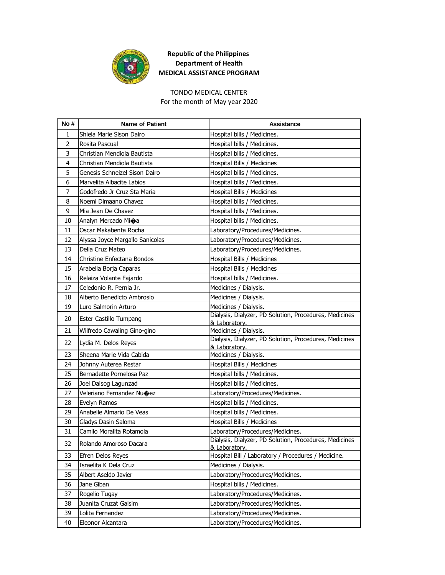

# TONDO MEDICAL CENTER

For the month of May year 2020

| No #           | <b>Name of Patient</b>          | <b>Assistance</b>                                                       |
|----------------|---------------------------------|-------------------------------------------------------------------------|
| 1              | Shiela Marie Sison Dairo        | Hospital bills / Medicines.                                             |
| $\overline{2}$ | Rosita Pascual                  | Hospital bills / Medicines.                                             |
| 3              | Christian Mendiola Bautista     | Hospital bills / Medicines.                                             |
| 4              | Christian Mendiola Bautista     | Hospital Bills / Medicines                                              |
| 5              | Genesis Schneizel Sison Dairo   | Hospital bills / Medicines.                                             |
| 6              | Marvelita Albacite Labios       | Hospital bills / Medicines.                                             |
| 7              | Godofredo Jr Cruz Sta Maria     | Hospital Bills / Medicines                                              |
| 8              | Noemi Dimaano Chavez            | Hospital bills / Medicines.                                             |
| 9              | Mia Jean De Chavez              | Hospital bills / Medicines.                                             |
| 10             | Analyn Mercado Mi�a             | Hospital bills / Medicines.                                             |
| 11             | Oscar Makabenta Rocha           | Laboratory/Procedures/Medicines.                                        |
| 12             | Alyssa Joyce Margallo Sanicolas | Laboratory/Procedures/Medicines.                                        |
| 13             | Delia Cruz Mateo                | Laboratory/Procedures/Medicines.                                        |
| 14             | Christine Enfectana Bondos      | Hospital Bills / Medicines                                              |
| 15             | Arabella Borja Caparas          | Hospital Bills / Medicines                                              |
| 16             | Relaiza Volante Fajardo         | Hospital bills / Medicines.                                             |
| 17             | Celedonio R. Pernia Jr.         | Medicines / Dialysis.                                                   |
| 18             | Alberto Benedicto Ambrosio      | Medicines / Dialysis.                                                   |
| 19             | Luro Salmorin Arturo            | Medicines / Dialysis.                                                   |
| 20             | Ester Castillo Tumpang          | Dialysis, Dialyzer, PD Solution, Procedures, Medicines<br>& Laboratory. |
| 21             | Wilfredo Cawaling Gino-gino     | Medicines / Dialysis.                                                   |
| 22             | Lydia M. Delos Reyes            | Dialysis, Dialyzer, PD Solution, Procedures, Medicines                  |
|                |                                 | & Laboratory.                                                           |
| 23             | Sheena Marie Vida Cabida        | Medicines / Dialysis.                                                   |
| 24             | Johnny Auterea Restar           | Hospital Bills / Medicines                                              |
| 25             | Bernadette Pornelosa Paz        | Hospital bills / Medicines.                                             |
| 26             | Joel Daisog Lagunzad            | Hospital bills / Medicines.                                             |
| 27             | Veleriano Fernandez Nu�ez       | Laboratory/Procedures/Medicines.                                        |
| 28             | Evelyn Ramos                    | Hospital bills / Medicines.                                             |
| 29             | Anabelle Almario De Veas        | Hospital bills / Medicines.                                             |
| 30             | Gladys Dasin Saloma             | Hospital Bills / Medicines                                              |
| 31             | Camilo Moralita Rotamola        | Laboratory/Procedures/Medicines.                                        |
| 32             | Rolando Amoroso Dacara          | Dialysis, Dialyzer, PD Solution, Procedures, Medicines<br>& Laboratory. |
| 33             | Efren Delos Reyes               | Hospital Bill / Laboratory / Procedures / Medicine.                     |
| 34             | Israelita K Dela Cruz           | Medicines / Dialysis.                                                   |
| 35             | Albert Aseldo Javier            | Laboratory/Procedures/Medicines.                                        |
| 36             | Jane Giban                      | Hospital bills / Medicines.                                             |
| 37             | Rogelio Tugay                   | Laboratory/Procedures/Medicines.                                        |
| 38             | Juanita Cruzat Galsim           | Laboratory/Procedures/Medicines.                                        |
| 39             | Lolita Fernandez                | Laboratory/Procedures/Medicines.                                        |
| 40             | Eleonor Alcantara               | Laboratory/Procedures/Medicines.                                        |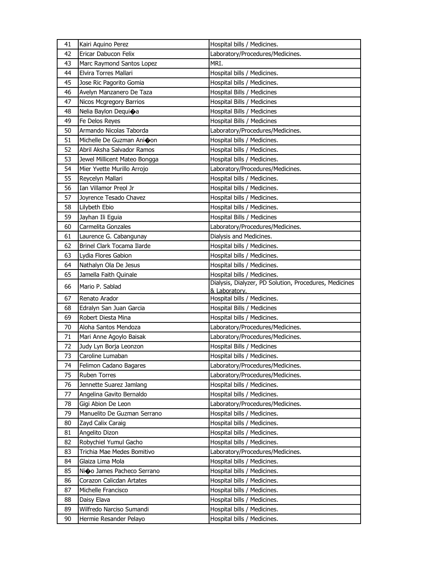| 41 | Kairi Aquino Perez           | Hospital bills / Medicines.                            |
|----|------------------------------|--------------------------------------------------------|
| 42 | Ericar Dabucon Felix         | Laboratory/Procedures/Medicines.                       |
| 43 | Marc Raymond Santos Lopez    | MRI.                                                   |
| 44 | Elvira Torres Mallari        | Hospital bills / Medicines.                            |
| 45 | Jose Ric Pagorito Gomia      | Hospital bills / Medicines.                            |
| 46 | Avelyn Manzanero De Taza     | Hospital Bills / Medicines                             |
| 47 | Nicos Mcgregory Barrios      | Hospital Bills / Medicines                             |
| 48 | Nelia Baylon Dequioa         | Hospital Bills / Medicines                             |
| 49 | Fe Delos Reyes               | Hospital Bills / Medicines                             |
| 50 | Armando Nicolas Taborda      | Laboratory/Procedures/Medicines.                       |
| 51 | Michelle De Guzman Ani�on    | Hospital bills / Medicines.                            |
| 52 | Abril Aksha Salvador Ramos   | Hospital bills / Medicines.                            |
| 53 | Jewel Millicent Mateo Bongga | Hospital bills / Medicines.                            |
| 54 | Mier Yvette Murillo Arrojo   | Laboratory/Procedures/Medicines.                       |
| 55 | Reycelyn Mallari             | Hospital bills / Medicines.                            |
| 56 | Ian Villamor Preol Jr        | Hospital bills / Medicines.                            |
| 57 | Joyrence Tesado Chavez       | Hospital bills / Medicines.                            |
| 58 | Lilybeth Ebio                | Hospital bills / Medicines.                            |
| 59 | Jayhan Ili Eguia             | Hospital Bills / Medicines                             |
| 60 | Carmelita Gonzales           | Laboratory/Procedures/Medicines.                       |
| 61 | Laurence G. Cabangunay       | Dialysis and Medicines.                                |
| 62 | Brinel Clark Tocama Ilarde   | Hospital bills / Medicines.                            |
| 63 | Lydia Flores Gabion          | Hospital bills / Medicines.                            |
| 64 | Nathalyn Ola De Jesus        | Hospital bills / Medicines.                            |
| 65 | Jamella Faith Quinale        | Hospital bills / Medicines.                            |
|    |                              | Dialysis, Dialyzer, PD Solution, Procedures, Medicines |
| 66 | Mario P. Sablad              | & Laboratory.                                          |
| 67 | Renato Arador                | Hospital bills / Medicines.                            |
| 68 | Edralyn San Juan Garcia      | Hospital Bills / Medicines                             |
| 69 | Robert Diesta Mina           | Hospital bills / Medicines.                            |
| 70 | Aloha Santos Mendoza         | Laboratory/Procedures/Medicines.                       |
| 71 | Mari Anne Agoylo Baisak      | Laboratory/Procedures/Medicines.                       |
| 72 | Judy Lyn Borja Leonzon       | Hospital Bills / Medicines                             |
| 73 | Caroline Lumaban             | Hospital bills / Medicines.                            |
| 74 | Felimon Cadano Bagares       | Laboratory/Procedures/Medicines.                       |
| 75 | <b>Ruben Torres</b>          | Laboratory/Procedures/Medicines.                       |
| 76 | Jennette Suarez Jamlang      | Hospital bills / Medicines.                            |
| 77 | Angelina Gavito Bernaldo     | Hospital bills / Medicines.                            |
| 78 | Gigi Abion De Leon           | Laboratory/Procedures/Medicines.                       |
| 79 | Manuelito De Guzman Serrano  | Hospital bills / Medicines.                            |
| 80 | Zayd Calix Caraig            | Hospital bills / Medicines.                            |
| 81 | Angelito Dizon               | Hospital bills / Medicines.                            |
| 82 | Robychiel Yumul Gacho        | Hospital bills / Medicines.                            |
| 83 | Trichia Mae Medes Bomitivo   | Laboratory/Procedures/Medicines.                       |
| 84 | Glaiza Lima Mola             | Hospital bills / Medicines.                            |
| 85 | Nio James Pacheco Serrano    | Hospital bills / Medicines.                            |
| 86 | Corazon Calicdan Artates     | Hospital bills / Medicines.                            |
| 87 | Michelle Francisco           | Hospital bills / Medicines.                            |
| 88 | Daisy Elava                  | Hospital bills / Medicines.                            |
| 89 | Wilfredo Narciso Sumandi     | Hospital bills / Medicines.                            |
| 90 | Hermie Resander Pelayo       | Hospital bills / Medicines.                            |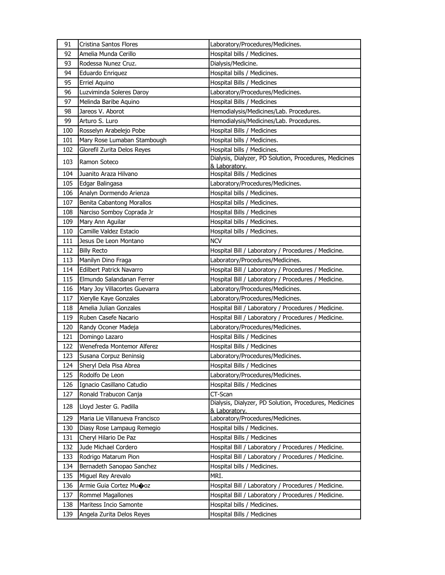| 91         | Cristina Santos Flores          | Laboratory/Procedures/Medicines.                                                        |
|------------|---------------------------------|-----------------------------------------------------------------------------------------|
| 92         | Amelia Munda Cerillo            | Hospital bills / Medicines.                                                             |
| 93         | Rodessa Nunez Cruz.             | Dialysis/Medicine.                                                                      |
| 94         | Eduardo Enriquez                | Hospital bills / Medicines.                                                             |
| 95         | Erriel Aquino                   | Hospital Bills / Medicines                                                              |
| 96         | Luzviminda Soleres Daroy        | Laboratory/Procedures/Medicines.                                                        |
| 97         | Melinda Baribe Aquino           | Hospital Bills / Medicines                                                              |
| 98         | Jareos V. Aborot                | Hemodialysis/Medicines/Lab. Procedures.                                                 |
| 99         | Arturo S. Luro                  | Hemodialysis/Medicines/Lab. Procedures.                                                 |
| 100        | Rosselyn Arabelejo Pobe         | Hospital Bills / Medicines                                                              |
| 101        | Mary Rose Lumaban Stambough     | Hospital bills / Medicines.                                                             |
| 102        | Glorefil Zurita Delos Reyes     | Hospital bills / Medicines.                                                             |
| 103        | Ramon Soteco                    | Dialysis, Dialyzer, PD Solution, Procedures, Medicines                                  |
| 104        | Juanito Araza Hilvano           | & Laboratory.<br>Hospital Bills / Medicines                                             |
| 105        | Edgar Balingasa                 | Laboratory/Procedures/Medicines.                                                        |
| 106        | Analyn Dormendo Arienza         | Hospital bills / Medicines.                                                             |
| 107        | Benita Cabantong Morallos       | Hospital bills / Medicines.                                                             |
| 108        | Narciso Somboy Coprada Jr       | Hospital Bills / Medicines                                                              |
| 109        | Mary Ann Aguilar                | Hospital bills / Medicines.                                                             |
|            | Camille Valdez Estacio          |                                                                                         |
| 110<br>111 | Jesus De Leon Montano           | Hospital bills / Medicines.<br><b>NCV</b>                                               |
| 112        | <b>Billy Recto</b>              |                                                                                         |
| 113        | Manilyn Dino Fraga              | Hospital Bill / Laboratory / Procedures / Medicine.<br>Laboratory/Procedures/Medicines. |
| 114        | <b>Edilbert Patrick Navarro</b> | Hospital Bill / Laboratory / Procedures / Medicine.                                     |
| 115        | Elmundo Salandanan Ferrer       | Hospital Bill / Laboratory / Procedures / Medicine.                                     |
| 116        | Mary Joy Villacortes Guevarra   | Laboratory/Procedures/Medicines.                                                        |
| 117        | Xierylle Kaye Gonzales          | Laboratory/Procedures/Medicines.                                                        |
| 118        | Amelia Julian Gonzales          | Hospital Bill / Laboratory / Procedures / Medicine.                                     |
| 119        | Ruben Casefe Nacario            | Hospital Bill / Laboratory / Procedures / Medicine.                                     |
| 120        | Randy Oconer Madeja             | Laboratory/Procedures/Medicines.                                                        |
| 121        | Domingo Lazaro                  | Hospital Bills / Medicines                                                              |
| 122        | Wenefreda Montemor Alferez      | Hospital Bills / Medicines                                                              |
| 123        | Susana Corpuz Beninsig          | Laboratory/Procedures/Medicines.                                                        |
| 124        | Sheryl Dela Pisa Abrea          | Hospital Bills / Medicines                                                              |
| 125        | Rodolfo De Leon                 | Laboratory/Procedures/Medicines.                                                        |
| 126        | Ignacio Casillano Catudio       | Hospital Bills / Medicines                                                              |
| 127        | Ronald Trabucon Canja           | CT-Scan                                                                                 |
| 128        | Lloyd Jester G. Padilla         | Dialysis, Dialyzer, PD Solution, Procedures, Medicines<br>& Laboratory.                 |
| 129        | Maria Lie Villanueva Francisco  | Laboratory/Procedures/Medicines.                                                        |
| 130        | Diasy Rose Lampaug Remegio      | Hospital bills / Medicines.                                                             |
| 131        | Cheryl Hilario De Paz           | Hospital Bills / Medicines                                                              |
| 132        | Jude Michael Cordero            | Hospital Bill / Laboratory / Procedures / Medicine.                                     |
| 133        | Rodrigo Matarum Pion            | Hospital Bill / Laboratory / Procedures / Medicine.                                     |
| 134        | Bernadeth Sanopao Sanchez       | Hospital bills / Medicines.                                                             |
| 135        | Miguel Rey Arevalo              | MRI.                                                                                    |
| 136        | Armie Guia Cortez Muooz         | Hospital Bill / Laboratory / Procedures / Medicine.                                     |
| 137        | Rommel Magallones               | Hospital Bill / Laboratory / Procedures / Medicine.                                     |
| 138        | Maritess Incio Samonte          | Hospital bills / Medicines.                                                             |
| 139        | Angela Zurita Delos Reyes       | Hospital Bills / Medicines                                                              |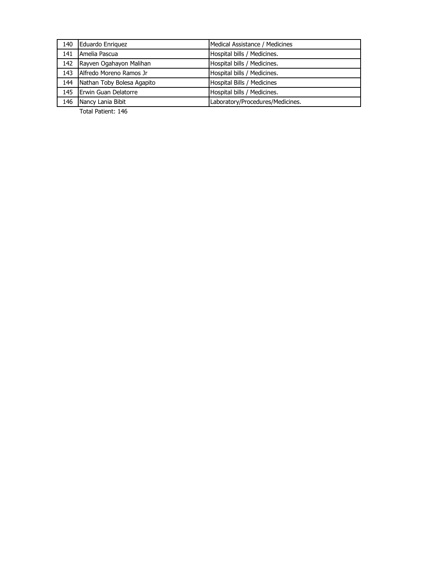| 140 | Eduardo Enriguez           | Medical Assistance / Medicines   |
|-----|----------------------------|----------------------------------|
| 141 | Amelia Pascua              | Hospital bills / Medicines.      |
| 142 | Rayven Ogahayon Malihan    | Hospital bills / Medicines.      |
| 143 | Alfredo Moreno Ramos Jr    | Hospital bills / Medicines.      |
| 144 | Nathan Toby Bolesa Agapito | Hospital Bills / Medicines       |
| 145 | Erwin Guan Delatorre       | Hospital bills / Medicines.      |
| 146 | Nancy Lania Bibit          | Laboratory/Procedures/Medicines. |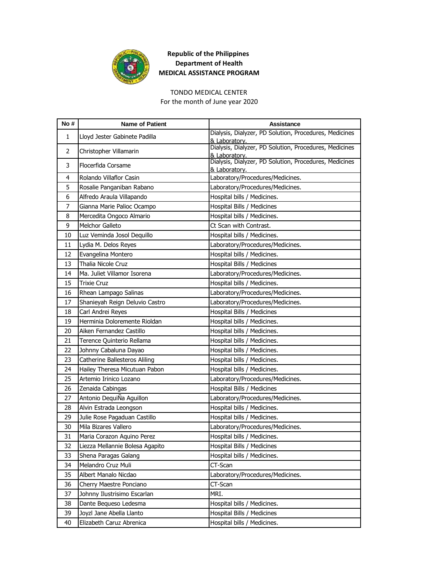

#### TONDO MEDICAL CENTER

For the month of June year 2020

| No# | <b>Name of Patient</b>          | <b>Assistance</b>                                                       |
|-----|---------------------------------|-------------------------------------------------------------------------|
| 1   | Lloyd Jester Gabinete Padilla   | Dialysis, Dialyzer, PD Solution, Procedures, Medicines<br>& Laboratory. |
| 2   | Christopher Villamarin          | Dialysis, Dialyzer, PD Solution, Procedures, Medicines<br>& Laboratory. |
| 3   | Flocerfida Corsame              | Dialysis, Dialyzer, PD Solution, Procedures, Medicines<br>& Laboratory. |
| 4   | Rolando Villaflor Casin         | Laboratory/Procedures/Medicines.                                        |
| 5   | Rosalie Panganiban Rabano       | Laboratory/Procedures/Medicines.                                        |
| 6   | Alfredo Araula Villapando       | Hospital bills / Medicines.                                             |
| 7   | Gianna Marie Palioc Ocampo      | Hospital Bills / Medicines                                              |
| 8   | Mercedita Ongoco Almario        | Hospital bills / Medicines.                                             |
| 9   | Melchor Galleto                 | Ct Scan with Contrast.                                                  |
| 10  | Luz Veminda Josol Dequillo      | Hospital bills / Medicines.                                             |
| 11  | Lydia M. Delos Reyes            | Laboratory/Procedures/Medicines.                                        |
| 12  | Evangelina Montero              | Hospital bills / Medicines.                                             |
| 13  | Thalia Nicole Cruz              | Hospital Bills / Medicines                                              |
| 14  | Ma. Juliet Villamor Isorena     | Laboratory/Procedures/Medicines.                                        |
| 15  | <b>Trixie Cruz</b>              | Hospital bills / Medicines.                                             |
| 16  | Rhean Lampago Salinas           | Laboratory/Procedures/Medicines.                                        |
| 17  | Shanieyah Reign Deluvio Castro  | Laboratory/Procedures/Medicines.                                        |
| 18  | Carl Andrei Reyes               | Hospital Bills / Medicines                                              |
| 19  | Herminia Doloremente Rioldan    | Hospital bills / Medicines.                                             |
| 20  | Aiken Fernandez Castillo        | Hospital bills / Medicines.                                             |
| 21  | Terence Quinterio Rellama       | Hospital bills / Medicines.                                             |
| 22  | Johnny Cabaluna Dayao           | Hospital bills / Medicines.                                             |
| 23  | Catherine Ballesteros Aliling   | Hospital bills / Medicines.                                             |
| 24  | Hailey Theresa Micutuan Pabon   | Hospital bills / Medicines.                                             |
| 25  | Artemio Irinico Lozano          | Laboratory/Procedures/Medicines.                                        |
| 26  | Zenaida Cabingas                | Hospital Bills / Medicines                                              |
| 27  | Antonio DequiÑa Aguillon        | Laboratory/Procedures/Medicines.                                        |
| 28  | Alvin Estrada Leongson          | Hospital bills / Medicines.                                             |
| 29  | Julie Rose Pagaduan Castillo    | Hospital bills / Medicines.                                             |
| 30  | Mila Bizares Vallero            | Laboratory/Procedures/Medicines.                                        |
| 31  | Maria Corazon Aquino Perez      | Hospital bills / Medicines.                                             |
| 32  | Liezza Mellannie Bolesa Agapito | Hospital Bills / Medicines                                              |
| 33  | Shena Paragas Galang            | Hospital bills / Medicines.                                             |
| 34  | Melandro Cruz Muli              | CT-Scan                                                                 |
| 35  | Albert Manalo Nicdao            | Laboratory/Procedures/Medicines.                                        |
| 36  | Cherry Maestre Ponciano         | CT-Scan                                                                 |
| 37  | Johnny Ilustrisimo Escarlan     | MRI.                                                                    |
| 38  | Dante Bequeso Ledesma           | Hospital bills / Medicines.                                             |
| 39  | Joyzl Jane Abella Llanto        | Hospital Bills / Medicines                                              |
| 40  | Elizabeth Caruz Abrenica        | Hospital bills / Medicines.                                             |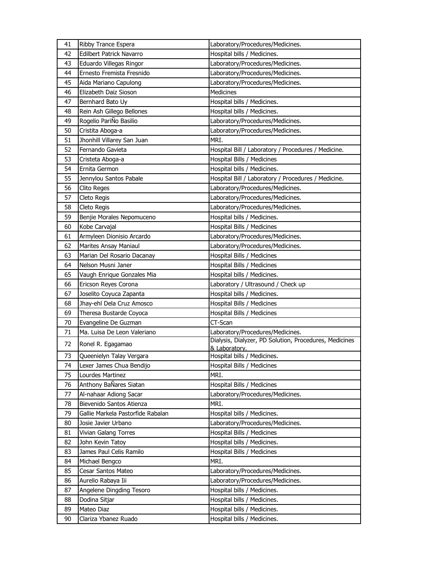| 41 | Ribby Trance Espera               | Laboratory/Procedures/Medicines.                       |
|----|-----------------------------------|--------------------------------------------------------|
| 42 | Edilbert Patrick Navarro          | Hospital bills / Medicines.                            |
| 43 | Eduardo Villegas Ringor           | Laboratory/Procedures/Medicines.                       |
| 44 | Ernesto Fremista Fresnido         | Laboratory/Procedures/Medicines.                       |
| 45 | Aida Mariano Capulong             | Laboratory/Procedures/Medicines.                       |
| 46 | Elizabeth Daiz Sioson             | Medicines                                              |
| 47 | Bernhard Bato Uy                  | Hospital bills / Medicines.                            |
| 48 | Rein Ash Gillego Bellones         | Hospital bills / Medicines.                            |
| 49 | Rogelio PariÑo Basilio            | Laboratory/Procedures/Medicines.                       |
| 50 | Cristita Aboga-a                  | Laboratory/Procedures/Medicines.                       |
| 51 | Jhonhill Villarey San Juan        | MRI.                                                   |
| 52 | Fernando Gavieta                  | Hospital Bill / Laboratory / Procedures / Medicine.    |
| 53 | Cristeta Aboga-a                  | Hospital Bills / Medicines                             |
| 54 | Ernita Germon                     | Hospital bills / Medicines.                            |
| 55 | Jennylou Santos Pabale            | Hospital Bill / Laboratory / Procedures / Medicine.    |
| 56 | Clito Reges                       | Laboratory/Procedures/Medicines.                       |
| 57 | Cleto Regis                       | Laboratory/Procedures/Medicines.                       |
| 58 | Cleto Regis                       | Laboratory/Procedures/Medicines.                       |
| 59 | Benjie Morales Nepomuceno         | Hospital bills / Medicines.                            |
| 60 | Kobe Carvajal                     | Hospital Bills / Medicines                             |
| 61 | Armyleen Dionisio Arcardo         | Laboratory/Procedures/Medicines.                       |
| 62 | Marites Ansay Maniaul             | Laboratory/Procedures/Medicines.                       |
| 63 | Marian Del Rosario Dacanay        | Hospital Bills / Medicines                             |
| 64 | Nelson Musni Janer                | Hospital Bills / Medicines                             |
| 65 | Vaugh Enrique Gonzales Mia        | Hospital bills / Medicines.                            |
| 66 | Ericson Reyes Corona              | Laboratory / Ultrasound / Check up                     |
| 67 | Joselito Coyuca Zapanta           | Hospital bills / Medicines.                            |
| 68 | Jhay-ehl Dela Cruz Amosco         | Hospital Bills / Medicines                             |
| 69 | Theresa Bustarde Coyoca           | Hospital Bills / Medicines                             |
| 70 | Evangeline De Guzman              | CT-Scan                                                |
| 71 | Ma. Luisa De Leon Valeriano       | Laboratory/Procedures/Medicines.                       |
| 72 | Ronel R. Egagamao                 | Dialysis, Dialyzer, PD Solution, Procedures, Medicines |
|    |                                   | & Laboratory.                                          |
| 73 | Queenielyn Talay Vergara          | Hospital bills / Medicines.                            |
| 74 | Lexer James Chua Bendijo          | Hospital Bills / Medicines                             |
| 75 | Lourdes Martinez                  | MRI.                                                   |
| 76 | Anthony BaÑares Siatan            | Hospital Bills / Medicines                             |
| 77 | Al-nahaar Adiong Sacar            | Laboratory/Procedures/Medicines.                       |
| 78 | Bievenido Santos Atienza          | MRI.                                                   |
| 79 | Gallie Markela Pastorfide Rabalan | Hospital bills / Medicines.                            |
| 80 | Josie Javier Urbano               | Laboratory/Procedures/Medicines.                       |
| 81 | Vivian Galang Torres              | Hospital Bills / Medicines                             |
| 82 | John Kevin Tatoy                  | Hospital bills / Medicines.                            |
| 83 | James Paul Celis Ramilo           | Hospital Bills / Medicines                             |
| 84 | Michael Bengco                    | MRI.                                                   |
| 85 | Cesar Santos Mateo                | Laboratory/Procedures/Medicines.                       |
| 86 | Aurelio Rabaya Iii                | Laboratory/Procedures/Medicines.                       |
| 87 | Angelene Dingding Tesoro          | Hospital bills / Medicines.                            |
| 88 | Dodina Sitjar                     | Hospital bills / Medicines.                            |
| 89 | Mateo Diaz                        | Hospital bills / Medicines.                            |
| 90 | Clariza Ybanez Ruado              | Hospital bills / Medicines.                            |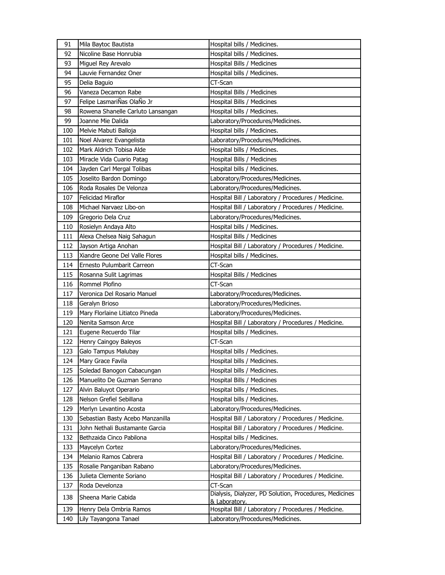| 91  | Mila Baytoc Bautista              | Hospital bills / Medicines.                            |
|-----|-----------------------------------|--------------------------------------------------------|
| 92  | Nicoline Base Honrubia            | Hospital bills / Medicines.                            |
| 93  | Miguel Rey Arevalo                | Hospital Bills / Medicines                             |
| 94  | Lauvie Fernandez Oner             | Hospital bills / Medicines.                            |
| 95  | Delia Baguio                      | CT-Scan                                                |
| 96  | Vaneza Decamon Rabe               | Hospital Bills / Medicines                             |
| 97  | Felipe LasmariÑas OlaÑo Jr        | Hospital Bills / Medicines                             |
| 98  | Rowena Shanelle Carluto Lansangan | Hospital bills / Medicines.                            |
| 99  | Joanne Mie Dalida                 | Laboratory/Procedures/Medicines.                       |
| 100 | Melvie Mabuti Balloja             | Hospital bills / Medicines.                            |
| 101 | Noel Alvarez Evangelista          | Laboratory/Procedures/Medicines.                       |
| 102 | Mark Aldrich Tobisa Alde          | Hospital bills / Medicines.                            |
| 103 | Miracle Vida Cuario Patag         | Hospital Bills / Medicines                             |
| 104 | Jayden Carl Mergal Tolibas        | Hospital bills / Medicines.                            |
| 105 | Joselito Bardon Domingo           | Laboratory/Procedures/Medicines.                       |
| 106 | Roda Rosales De Velonza           | Laboratory/Procedures/Medicines.                       |
| 107 | Felicidad Miraflor                | Hospital Bill / Laboratory / Procedures / Medicine.    |
| 108 | Michael Narvaez Libo-on           | Hospital Bill / Laboratory / Procedures / Medicine.    |
| 109 | Gregorio Dela Cruz                | Laboratory/Procedures/Medicines.                       |
| 110 | Rosielyn Andaya Alto              | Hospital bills / Medicines.                            |
| 111 | Alexa Chelsea Naig Sahagun        | Hospital Bills / Medicines                             |
| 112 | Jayson Artiga Anohan              | Hospital Bill / Laboratory / Procedures / Medicine.    |
| 113 | Xiandre Geone Del Valle Flores    | Hospital bills / Medicines.                            |
| 114 | Ernesto Pulumbarit Carreon        | CT-Scan                                                |
| 115 | Rosanna Sulit Lagrimas            | Hospital Bills / Medicines                             |
| 116 | Rommel Plofino                    | CT-Scan                                                |
| 117 | Veronica Del Rosario Manuel       | Laboratory/Procedures/Medicines.                       |
| 118 | Geralyn Brioso                    | Laboratory/Procedures/Medicines.                       |
| 119 | Mary Florlaine Litiatco Pineda    | Laboratory/Procedures/Medicines.                       |
| 120 | Nenita Samson Arce                | Hospital Bill / Laboratory / Procedures / Medicine.    |
| 121 | Eugene Recuerdo Tilar             | Hospital bills / Medicines.                            |
| 122 | Henry Caingoy Baleyos             | CT-Scan                                                |
| 123 | Galo Tampus Malubay               | Hospital bills / Medicines.                            |
| 124 | Mary Grace Favila                 | Hospital bills / Medicines.                            |
| 125 | Soledad Banogon Cabacungan        | Hospital bills / Medicines.                            |
| 126 | Manuelito De Guzman Serrano       | Hospital Bills / Medicines                             |
| 127 | Alvin Baluyot Operario            | Hospital bills / Medicines.                            |
| 128 | Nelson Grefiel Sebillana          | Hospital bills / Medicines.                            |
| 129 | Merlyn Levantino Acosta           | Laboratory/Procedures/Medicines.                       |
| 130 | Sebastian Basty Acebo Manzanilla  | Hospital Bill / Laboratory / Procedures / Medicine.    |
| 131 | John Nethali Bustamante Garcia    | Hospital Bill / Laboratory / Procedures / Medicine.    |
| 132 | Bethzaida Cinco Pabilona          | Hospital bills / Medicines.                            |
| 133 | Maycelyn Cortez                   | Laboratory/Procedures/Medicines.                       |
| 134 | Melanio Ramos Cabrera             | Hospital Bill / Laboratory / Procedures / Medicine.    |
| 135 | Rosalie Panganiban Rabano         | Laboratory/Procedures/Medicines.                       |
| 136 | Julieta Clemente Soriano          | Hospital Bill / Laboratory / Procedures / Medicine.    |
| 137 | Roda Develonza                    | CT-Scan                                                |
|     |                                   | Dialysis, Dialyzer, PD Solution, Procedures, Medicines |
| 138 | Sheena Marie Cabida               | & Laboratory.                                          |
| 139 | Henry Dela Ombria Ramos           | Hospital Bill / Laboratory / Procedures / Medicine.    |
| 140 | Lily Tayangona Tanael             | Laboratory/Procedures/Medicines.                       |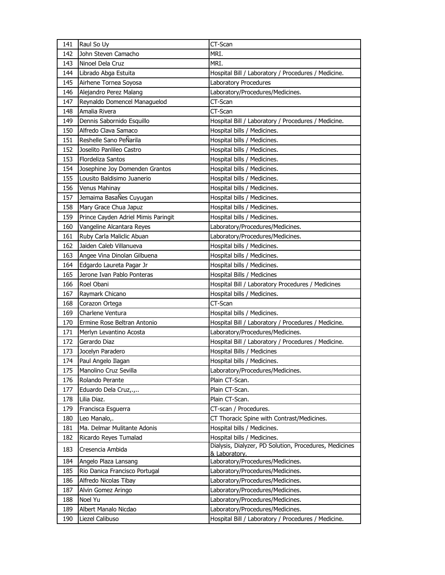| 141 | Raul So Uy                          | CT-Scan                                                |
|-----|-------------------------------------|--------------------------------------------------------|
| 142 | John Steven Camacho                 | MRI.                                                   |
| 143 | Ninoel Dela Cruz                    | MRI.                                                   |
| 144 | Librado Abga Estuita                | Hospital Bill / Laboratory / Procedures / Medicine.    |
| 145 | Airhene Tornea Soyosa               | Laboratory Procedures                                  |
| 146 | Alejandro Perez Malang              | Laboratory/Procedures/Medicines.                       |
| 147 | Reynaldo Domencel Managuelod        | CT-Scan                                                |
| 148 | Amalia Rivera                       | CT-Scan                                                |
| 149 | Dennis Sabornido Esquillo           | Hospital Bill / Laboratory / Procedures / Medicine.    |
| 150 | Alfredo Clava Samaco                | Hospital bills / Medicines.                            |
| 151 | Reshelle Sano PeÑarila              | Hospital bills / Medicines.                            |
| 152 | Joselito Panlileo Castro            | Hospital bills / Medicines.                            |
| 153 | Flordeliza Santos                   | Hospital bills / Medicines.                            |
| 154 | Josephine Joy Domenden Grantos      | Hospital bills / Medicines.                            |
| 155 | Lousito Baldisimo Juanerio          | Hospital bills / Medicines.                            |
| 156 | Venus Mahinay                       | Hospital bills / Medicines.                            |
| 157 | Jemaima BasaÑes Cuyugan             | Hospital bills / Medicines.                            |
| 158 | Mary Grace Chua Japuz               | Hospital bills / Medicines.                            |
| 159 | Prince Cayden Adriel Mimis Paringit | Hospital bills / Medicines.                            |
| 160 | Vangeline Alcantara Reyes           | Laboratory/Procedures/Medicines.                       |
| 161 | Ruby Carla Maliclic Abuan           | Laboratory/Procedures/Medicines.                       |
| 162 | Jaiden Caleb Villanueva             | Hospital bills / Medicines.                            |
| 163 | Angee Vina Dinolan Gilbuena         | Hospital bills / Medicines.                            |
| 164 | Edgardo Laureta Pagar Jr            | Hospital bills / Medicines.                            |
| 165 | Jerone Ivan Pablo Ponteras          | Hospital Bills / Medicines                             |
| 166 | Roel Obani                          | Hospital Bill / Laboratory Procedures / Medicines      |
| 167 | Raymark Chicano                     | Hospital bills / Medicines.                            |
| 168 | Corazon Ortega                      | CT-Scan                                                |
| 169 | Charlene Ventura                    | Hospital bills / Medicines.                            |
| 170 | Ermine Rose Beltran Antonio         | Hospital Bill / Laboratory / Procedures / Medicine.    |
| 171 | Merlyn Levantino Acosta             | Laboratory/Procedures/Medicines.                       |
| 172 | Gerardo Diaz                        | Hospital Bill / Laboratory / Procedures / Medicine.    |
| 173 | Jocelyn Paradero                    | Hospital Bills / Medicines                             |
| 174 | Paul Angelo Ilagan                  | Hospital bills / Medicines.                            |
| 175 | Manolino Cruz Sevilla               | Laboratory/Procedures/Medicines.                       |
| 176 | Rolando Perante                     | Plain CT-Scan.                                         |
| 177 | Eduardo Dela Cruz,.,                | Plain CT-Scan.                                         |
| 178 | Lilia Diaz.                         | Plain CT-Scan.                                         |
| 179 | Francisca Esguerra                  | CT-scan / Procedures.                                  |
| 180 | Leo Manalo,.                        | CT Thoracic Spine with Contrast/Medicines.             |
| 181 | Ma. Delmar Mulitante Adonis         | Hospital bills / Medicines.                            |
| 182 | Ricardo Reyes Tumalad               | Hospital bills / Medicines.                            |
|     |                                     | Dialysis, Dialyzer, PD Solution, Procedures, Medicines |
| 183 | Cresencia Ambida                    | & Laboratory.                                          |
| 184 | Angelo Plaza Lansang                | Laboratory/Procedures/Medicines.                       |
| 185 | Rio Danica Francisco Portugal       | Laboratory/Procedures/Medicines.                       |
| 186 | Alfredo Nicolas Tibay               | Laboratory/Procedures/Medicines.                       |
| 187 | Alvin Gomez Aringo                  | Laboratory/Procedures/Medicines.                       |
| 188 | Noel Yu                             | Laboratory/Procedures/Medicines.                       |
| 189 | Albert Manalo Nicdao                | Laboratory/Procedures/Medicines.                       |
| 190 | Liezel Calibuso                     | Hospital Bill / Laboratory / Procedures / Medicine.    |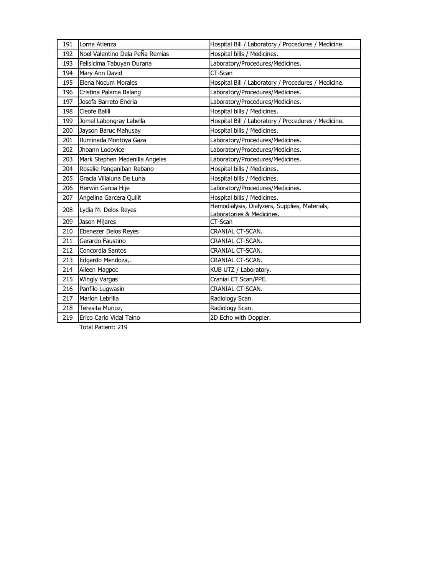| 191 | Lorna Atienza                   | Hospital Bill / Laboratory / Procedures / Medicine.                        |
|-----|---------------------------------|----------------------------------------------------------------------------|
| 192 | Noel Valentino Dela PeÑa Remias | Hospital bills / Medicines.                                                |
| 193 |                                 | Laboratory/Procedures/Medicines.                                           |
|     | Felisicima Tabuyan Durana       |                                                                            |
| 194 | Mary Ann David                  | CT-Scan                                                                    |
| 195 | Elena Nocum Morales             | Hospital Bill / Laboratory / Procedures / Medicine.                        |
| 196 | Cristina Palama Balang          | Laboratory/Procedures/Medicines.                                           |
| 197 | Josefa Barreto Eneria           | Laboratory/Procedures/Medicines.                                           |
| 198 | Cleofe Balili                   | Hospital bills / Medicines.                                                |
| 199 | Jomel Labongray Labella         | Hospital Bill / Laboratory / Procedures / Medicine.                        |
| 200 | Jayson Baruc Mahusay            | Hospital bills / Medicines.                                                |
| 201 | Iluminada Montoya Gaza          | Laboratory/Procedures/Medicines.                                           |
| 202 | Jhoann Lodovice                 | Laboratory/Procedures/Medicines.                                           |
| 203 | Mark Stephen Medenilla Angeles  | Laboratory/Procedures/Medicines.                                           |
| 204 | Rosalie Panganiban Rabano       | Hospital bills / Medicines.                                                |
| 205 | Gracia Villaluna De Luna        | Hospital bills / Medicines.                                                |
| 206 | Herwin Garcia Hije              | Laboratory/Procedures/Medicines.                                           |
| 207 | Angelina Garcera Quilit         | Hospital bills / Medicines.                                                |
| 208 | Lydia M. Delos Reyes            | Hemodialysis, Dialyzers, Supplies, Materials,<br>Laboratories & Medicines. |
| 209 | Jason Mijares                   | CT-Scan                                                                    |
| 210 | Ebenezer Delos Reyes            | CRANIAL CT-SCAN.                                                           |
| 211 | Gerardo Faustino                | CRANIAL CT-SCAN.                                                           |
| 212 | Concordia Santos                | CRANIAL CT-SCAN.                                                           |
| 213 | Edgardo Mendoza,.               | CRANIAL CT-SCAN.                                                           |
| 214 | Aileen Magpoc                   | KUB UTZ / Laboratory.                                                      |
| 215 | <b>Wingly Vargas</b>            | Cranial CT Scan/PPE.                                                       |
| 216 | Panfilo Lugwasin                | CRANIAL CT-SCAN.                                                           |
| 217 | Marlon Lebrilla                 | Radiology Scan.                                                            |
| 218 | Teresita Munoz,                 | Radiology Scan.                                                            |
| 219 | Erico Carlo Vidal Taino         | 2D Echo with Doppler.                                                      |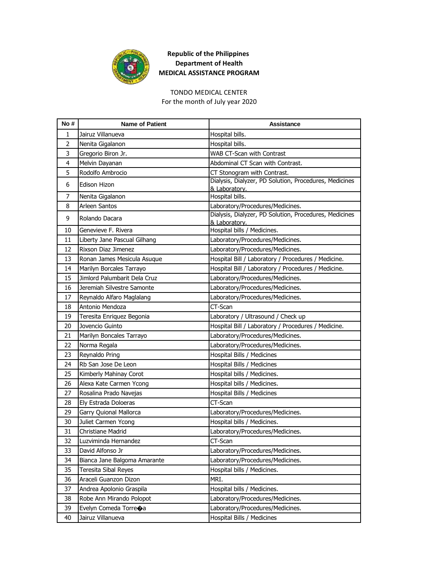

#### TONDO MEDICAL CENTER

For the month of July year 2020

| No#            | <b>Name of Patient</b>             | Assistance                                                              |
|----------------|------------------------------------|-------------------------------------------------------------------------|
| 1              | Jairuz Villanueva                  | Hospital bills.                                                         |
| $\overline{2}$ | Nenita Gigalanon                   | Hospital bills.                                                         |
| 3              | Gregorio Biron Jr.                 | WAB CT-Scan with Contrast                                               |
| 4              | Melvin Dayanan                     | Abdominal CT Scan with Contrast.                                        |
| 5              | Rodolfo Ambrocio                   | CT Stonogram with Contrast.                                             |
| 6              | <b>Edison Hizon</b>                | Dialysis, Dialyzer, PD Solution, Procedures, Medicines<br>& Laboratory. |
| $\overline{7}$ | Nenita Gigalanon                   | Hospital bills.                                                         |
| 8              | Arleen Santos                      | Laboratory/Procedures/Medicines.                                        |
| 9              | Rolando Dacara                     | Dialysis, Dialyzer, PD Solution, Procedures, Medicines<br>& Laboratory. |
| 10             | Genevieve F. Rivera                | Hospital bills / Medicines.                                             |
| 11             | Liberty Jane Pascual Gilhang       | Laboratory/Procedures/Medicines.                                        |
| 12             | Rixson Diaz Jimenez                | Laboratory/Procedures/Medicines.                                        |
| 13             | Ronan James Mesicula Asuque        | Hospital Bill / Laboratory / Procedures / Medicine.                     |
| 14             | Marilyn Borcales Tarrayo           | Hospital Bill / Laboratory / Procedures / Medicine.                     |
| 15             | Jimlord Palumbarit Dela Cruz       | Laboratory/Procedures/Medicines.                                        |
| 16             | Jeremiah Silvestre Samonte         | Laboratory/Procedures/Medicines.                                        |
| 17             | Reynaldo Alfaro Maglalang          | Laboratory/Procedures/Medicines.                                        |
| 18             | Antonio Mendoza                    | CT-Scan                                                                 |
| 19             | Teresita Enriquez Begonia          | Laboratory / Ultrasound / Check up                                      |
| 20             | Jovencio Guinto                    | Hospital Bill / Laboratory / Procedures / Medicine.                     |
| 21             | Marilyn Boncales Tarrayo           | Laboratory/Procedures/Medicines.                                        |
| 22             | Norma Regala                       | Laboratory/Procedures/Medicines.                                        |
| 23             | Reynaldo Pring                     | Hospital Bills / Medicines                                              |
| 24             | Rb San Jose De Leon                | Hospital Bills / Medicines                                              |
| 25             | Kimberly Mahinay Corot             | Hospital bills / Medicines.                                             |
| 26             | Alexa Kate Carmen Ycong            | Hospital bills / Medicines.                                             |
| 27             | Rosalina Prado Navejas             | Hospital Bills / Medicines                                              |
| 28             | Ely Estrada Doloeras               | CT-Scan                                                                 |
| 29             | Garry Quional Mallorca             | Laboratory/Procedures/Medicines.                                        |
| 30             | Juliet Carmen Ycong                | Hospital bills / Medicines.                                             |
| 31             | <b>Christiane Madrid</b>           | Laboratory/Procedures/Medicines.                                        |
| 32             | Luzviminda Hernandez               | CT-Scan                                                                 |
| 33             | David Alfonso Jr                   | Laboratory/Procedures/Medicines.                                        |
| 34             | Bianca Jane Balgoma Amarante       | Laboratory/Procedures/Medicines.                                        |
| 35             | Teresita Sibal Reyes               | Hospital bills / Medicines.                                             |
| 36             | Araceli Guanzon Dizon              | MRI.                                                                    |
| 37             | Andrea Apolonio Graspila           | Hospital bills / Medicines.                                             |
| 38             | Robe Ann Mirando Polopot           | Laboratory/Procedures/Medicines.                                        |
| 39             | Evelyn Comeda Torre $\spadesuit$ a | Laboratory/Procedures/Medicines.                                        |
| 40             | Jairuz Villanueva                  | Hospital Bills / Medicines                                              |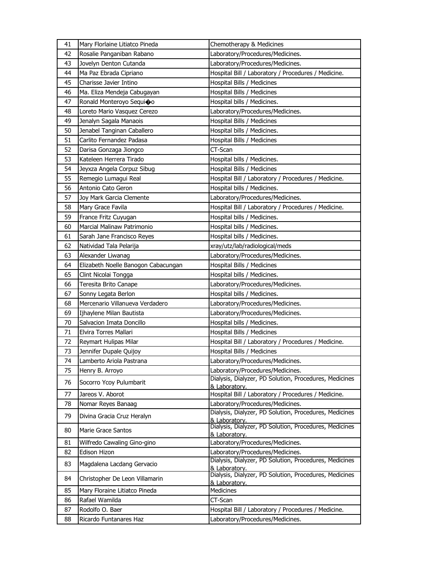| 41 | Mary Florlaine Litiatco Pineda      | Chemotherapy & Medicines                                                |
|----|-------------------------------------|-------------------------------------------------------------------------|
| 42 | Rosalie Panganiban Rabano           | Laboratory/Procedures/Medicines.                                        |
| 43 | Jovelyn Denton Cutanda              | Laboratory/Procedures/Medicines.                                        |
| 44 | Ma Paz Ebrada Cipriano              | Hospital Bill / Laboratory / Procedures / Medicine.                     |
| 45 | Charisse Javier Intino              | Hospital Bills / Medicines                                              |
| 46 | Ma. Eliza Mendeja Cabugayan         | Hospital Bills / Medicines                                              |
| 47 | Ronald Monteroyo Sequi�o            | Hospital bills / Medicines.                                             |
| 48 | Loreto Mario Vasquez Cerezo         | Laboratory/Procedures/Medicines.                                        |
| 49 | Jenalyn Sagala Manaois              | Hospital Bills / Medicines                                              |
| 50 | Jenabel Tanginan Caballero          | Hospital bills / Medicines.                                             |
| 51 | Carlito Fernandez Padasa            | Hospital Bills / Medicines                                              |
| 52 | Darisa Gonzaga Jiongco              | CT-Scan                                                                 |
| 53 | Kateleen Herrera Tirado             | Hospital bills / Medicines.                                             |
| 54 | Jeyxza Angela Corpuz Sibug          | Hospital Bills / Medicines                                              |
| 55 | Remegio Lumagui Real                | Hospital Bill / Laboratory / Procedures / Medicine.                     |
| 56 | Antonio Cato Geron                  | Hospital bills / Medicines.                                             |
| 57 | Joy Mark Garcia Clemente            | Laboratory/Procedures/Medicines.                                        |
| 58 | Mary Grace Favila                   | Hospital Bill / Laboratory / Procedures / Medicine.                     |
| 59 | France Fritz Cuyugan                | Hospital bills / Medicines.                                             |
| 60 | Marcial Malinaw Patrimonio          | Hospital bills / Medicines.                                             |
| 61 | Sarah Jane Francisco Reyes          | Hospital bills / Medicines.                                             |
| 62 | Natividad Tala Pelarija             | xray/utz/lab/radiological/meds                                          |
| 63 | Alexander Liwanag                   | Laboratory/Procedures/Medicines.                                        |
| 64 | Elizabeth Noelle Banogon Cabacungan | Hospital Bills / Medicines                                              |
| 65 | Clint Nicolai Tongga                | Hospital bills / Medicines.                                             |
| 66 | Teresita Brito Canape               | Laboratory/Procedures/Medicines.                                        |
| 67 | Sonny Legata Berlon                 | Hospital bills / Medicines.                                             |
| 68 | Mercenario Villanueva Verdadero     | Laboratory/Procedures/Medicines.                                        |
| 69 | Ijhaylene Milan Bautista            | Laboratory/Procedures/Medicines.                                        |
| 70 | Salvacion Imata Doncillo            | Hospital bills / Medicines.                                             |
| 71 | Elvira Torres Mallari               | Hospital Bills / Medicines                                              |
| 72 | Reymart Hulipas Milar               | Hospital Bill / Laboratory / Procedures / Medicine.                     |
| 73 | Jennifer Dupale Quijoy              | Hospital Bills / Medicines                                              |
| 74 | Lamberto Ariola Pastrana            | Laboratory/Procedures/Medicines.                                        |
| 75 | Henry B. Arroyo                     | Laboratory/Procedures/Medicines.                                        |
| 76 | Socorro Ycoy Pulumbarit             | Dialysis, Dialyzer, PD Solution, Procedures, Medicines<br>& Laboratory. |
| 77 | Jareos V. Aborot                    | Hospital Bill / Laboratory / Procedures / Medicine.                     |
| 78 | Nomar Reyes Banaag                  | Laboratory/Procedures/Medicines.                                        |
| 79 | Divina Gracia Cruz Heralyn          | Dialysis, Dialyzer, PD Solution, Procedures, Medicines<br>& Laboratory. |
| 80 | <b>Marie Grace Santos</b>           | Dialysis, Dialyzer, PD Solution, Procedures, Medicines<br>& Laboratory. |
| 81 | Wilfredo Cawaling Gino-gino         | Laboratory/Procedures/Medicines.                                        |
| 82 | Edison Hizon                        | Laboratory/Procedures/Medicines.                                        |
| 83 | Magdalena Lacdang Gervacio          | Dialysis, Dialyzer, PD Solution, Procedures, Medicines<br>& Laboratory. |
| 84 | Christopher De Leon Villamarin      | Dialysis, Dialyzer, PD Solution, Procedures, Medicines<br>& Laboratory. |
| 85 | Mary Floraine Litiatco Pineda       | Medicines                                                               |
| 86 | Rafael Wamilda                      | CT-Scan                                                                 |
| 87 | Rodolfo O. Baer                     | Hospital Bill / Laboratory / Procedures / Medicine.                     |
| 88 | Ricardo Funtanares Haz              | Laboratory/Procedures/Medicines.                                        |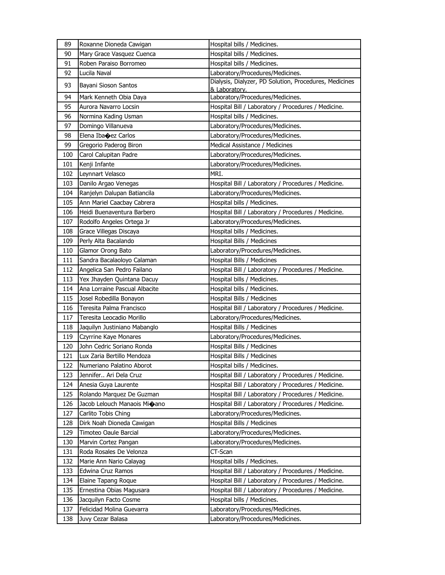| 89  | Roxanne Dioneda Cawigan        | Hospital bills / Medicines.                                             |
|-----|--------------------------------|-------------------------------------------------------------------------|
| 90  | Mary Grace Vasquez Cuenca      | Hospital bills / Medicines.                                             |
| 91  | Roben Paraiso Borromeo         | Hospital bills / Medicines.                                             |
| 92  | Lucila Naval                   | Laboratory/Procedures/Medicines.                                        |
| 93  | Bayani Sioson Santos           | Dialysis, Dialyzer, PD Solution, Procedures, Medicines<br>& Laboratory. |
| 94  | Mark Kenneth Obia Daya         | Laboratory/Procedures/Medicines.                                        |
| 95  | Aurora Navarro Locsin          | Hospital Bill / Laboratory / Procedures / Medicine.                     |
| 96  | Normina Kading Usman           | Hospital bills / Medicines.                                             |
| 97  | Domingo Villanueva             | Laboratory/Procedures/Medicines.                                        |
| 98  | Elena Iba $\bigcirc$ ez Carlos | Laboratory/Procedures/Medicines.                                        |
| 99  | Gregorio Paderog Biron         | Medical Assistance / Medicines                                          |
| 100 | Carol Calupitan Padre          | Laboratory/Procedures/Medicines.                                        |
| 101 | Kenji Infante                  | Laboratory/Procedures/Medicines.                                        |
| 102 | Leynnart Velasco               | MRI.                                                                    |
| 103 | Danilo Argao Venegas           | Hospital Bill / Laboratory / Procedures / Medicine.                     |
| 104 | Ranjelyn Dalupan Batiancila    | Laboratory/Procedures/Medicines.                                        |
| 105 | Ann Mariel Caacbay Cabrera     | Hospital bills / Medicines.                                             |
| 106 | Heidi Buenaventura Barbero     | Hospital Bill / Laboratory / Procedures / Medicine.                     |
| 107 | Rodolfo Angeles Ortega Jr      | Laboratory/Procedures/Medicines.                                        |
| 108 | Grace Villegas Discaya         | Hospital bills / Medicines.                                             |
| 109 | Perly Alta Bacalando           | Hospital Bills / Medicines                                              |
| 110 | Glamor Orong Bato              | Laboratory/Procedures/Medicines.                                        |
| 111 | Sandra Bacalaoloyo Calaman     | Hospital Bills / Medicines                                              |
| 112 | Angelica San Pedro Failano     | Hospital Bill / Laboratory / Procedures / Medicine.                     |
| 113 | Yex Jhayden Quintana Dacuy     | Hospital bills / Medicines.                                             |
| 114 | Ana Lorraine Pascual Albacite  | Hospital bills / Medicines.                                             |
| 115 | Josel Robedilla Bonayon        | Hospital Bills / Medicines                                              |
| 116 | Teresita Palma Francisco       | Hospital Bill / Laboratory / Procedures / Medicine.                     |
| 117 | Teresita Leocadio Morillo      | Laboratory/Procedures/Medicines.                                        |
| 118 | Jaquilyn Justiniano Mabanglo   | Hospital Bills / Medicines                                              |
| 119 | Czyrrine Kaye Monares          | Laboratory/Procedures/Medicines.                                        |
| 120 | John Cedric Soriano Ronda      | Hospital Bills / Medicines                                              |
| 121 | Lux Zaria Bertillo Mendoza     | Hospital Bills / Medicines                                              |
| 122 | Numeriano Palatino Aborot      | Hospital bills / Medicines.                                             |
| 123 | Jennifer Ari Dela Cruz         | Hospital Bill / Laboratory / Procedures / Medicine.                     |
| 124 | Anesia Guya Laurente           | Hospital Bill / Laboratory / Procedures / Medicine.                     |
| 125 | Rolando Marquez De Guzman      | Hospital Bill / Laboratory / Procedures / Medicine.                     |
| 126 | Jacob Lelouch Manaois Mi�ano   | Hospital Bill / Laboratory / Procedures / Medicine.                     |
| 127 | Carlito Tobis Ching            | Laboratory/Procedures/Medicines.                                        |
| 128 | Dirk Noah Dioneda Cawigan      | Hospital Bills / Medicines                                              |
| 129 | Timoteo Oaule Barcial          | Laboratory/Procedures/Medicines.                                        |
| 130 | Marvin Cortez Pangan           | Laboratory/Procedures/Medicines.                                        |
| 131 | Roda Rosales De Velonza        | CT-Scan                                                                 |
| 132 | Marie Ann Nario Calayag        | Hospital bills / Medicines.                                             |
| 133 | Edwina Cruz Ramos              | Hospital Bill / Laboratory / Procedures / Medicine.                     |
| 134 | Elaine Tapang Roque            | Hospital Bill / Laboratory / Procedures / Medicine.                     |
| 135 | Ernestina Obias Magusara       | Hospital Bill / Laboratory / Procedures / Medicine.                     |
| 136 | Jacquilyn Facto Cosme          | Hospital bills / Medicines.                                             |
| 137 | Felicidad Molina Guevarra      | Laboratory/Procedures/Medicines.                                        |
| 138 | Juvy Cezar Balasa              | Laboratory/Procedures/Medicines.                                        |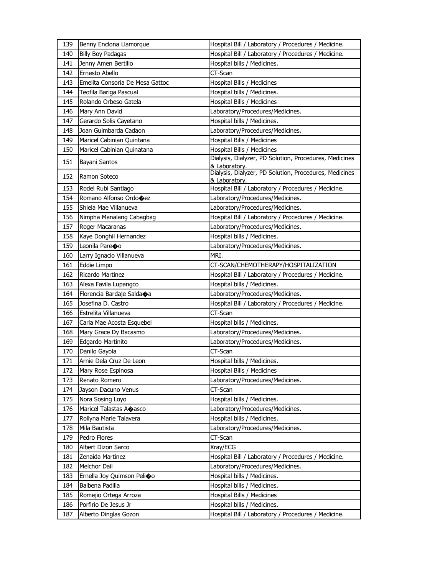| 139 | Benny Enclona Llamorque         | Hospital Bill / Laboratory / Procedures / Medicine.                     |
|-----|---------------------------------|-------------------------------------------------------------------------|
| 140 | Billy Boy Padagas               | Hospital Bill / Laboratory / Procedures / Medicine.                     |
| 141 | Jenny Amen Bertillo             | Hospital bills / Medicines.                                             |
| 142 | Ernesto Abello                  | CT-Scan                                                                 |
| 143 | Emelita Consoria De Mesa Gattoc | Hospital Bills / Medicines                                              |
| 144 | Teofila Bariga Pascual          | Hospital bills / Medicines.                                             |
| 145 | Rolando Orbeso Gatela           | Hospital Bills / Medicines                                              |
| 146 | Mary Ann David                  | Laboratory/Procedures/Medicines.                                        |
| 147 | Gerardo Solis Cayetano          | Hospital bills / Medicines.                                             |
| 148 | Joan Guimbarda Cadaon           | Laboratory/Procedures/Medicines.                                        |
| 149 | Maricel Cabinian Quintana       | Hospital Bills / Medicines                                              |
| 150 | Maricel Cabinian Quinatana      | Hospital Bills / Medicines                                              |
| 151 | Bayani Santos                   | Dialysis, Dialyzer, PD Solution, Procedures, Medicines<br>& Laboratory. |
| 152 | Ramon Soteco                    | Dialysis, Dialyzer, PD Solution, Procedures, Medicines<br>& Laboratory. |
| 153 | Rodel Rubi Santiago             | Hospital Bill / Laboratory / Procedures / Medicine.                     |
| 154 | Romano Alfonso Ordo�ez          | Laboratory/Procedures/Medicines.                                        |
| 155 | Shiela Mae Villanueva           | Laboratory/Procedures/Medicines.                                        |
| 156 | Nimpha Manalang Cabagbag        | Hospital Bill / Laboratory / Procedures / Medicine.                     |
| 157 | Roger Macaranas                 | Laboratory/Procedures/Medicines.                                        |
| 158 | Kaye Donghil Hernandez          | Hospital bills / Medicines.                                             |
| 159 | Leonila Pareoo                  | Laboratory/Procedures/Medicines.                                        |
| 160 | Larry Ignacio Villanueva        | MRI.                                                                    |
| 161 | Eddie Limpo                     | CT-SCAN/CHEMOTHERAPY/HOSPITALIZATION                                    |
| 162 | Ricardo Martinez                | Hospital Bill / Laboratory / Procedures / Medicine.                     |
| 163 | Alexa Favila Lupangco           | Hospital bills / Medicines.                                             |
|     |                                 |                                                                         |
| 164 | Florencia Bardaje Salda�a       | Laboratory/Procedures/Medicines.                                        |
| 165 | Josefina D. Castro              | Hospital Bill / Laboratory / Procedures / Medicine.                     |
| 166 | Estrelita Villanueva            | CT-Scan                                                                 |
| 167 | Carla Mae Acosta Esquebel       | Hospital bills / Medicines.                                             |
| 168 | Mary Grace Dy Bacasmo           | Laboratory/Procedures/Medicines.                                        |
| 169 | Edgardo Martinito               | Laboratory/Procedures/Medicines.                                        |
| 170 | Danilo Gayola                   | CT-Scan                                                                 |
| 171 | Arnie Dela Cruz De Leon         | Hospital bills / Medicines.                                             |
| 172 | Mary Rose Espinosa              | Hospital Bills / Medicines                                              |
| 173 | Renato Romero                   | Laboratory/Procedures/Medicines.                                        |
| 174 | Jayson Dacuno Venus             | CT-Scan                                                                 |
| 175 | Nora Sosing Loyo                | Hospital bills / Medicines.                                             |
| 176 | Maricel Talastas Aoasco         | Laboratory/Procedures/Medicines.                                        |
| 177 | Rollyna Marie Talavera          | Hospital bills / Medicines.                                             |
| 178 | Mila Bautista                   | Laboratory/Procedures/Medicines.                                        |
| 179 | Pedro Flores                    | CT-Scan                                                                 |
| 180 | Albert Dizon Sarco              | Xray/ECG                                                                |
| 181 | Zenaida Martinez                | Hospital Bill / Laboratory / Procedures / Medicine.                     |
| 182 | Melchor Dail                    | Laboratory/Procedures/Medicines.                                        |
| 183 | Ernella Joy Quimson Pelioo      | Hospital bills / Medicines.                                             |
| 184 | Balbena Padilla                 | Hospital bills / Medicines.                                             |
| 185 | Romejio Ortega Arroza           | Hospital Bills / Medicines                                              |
| 186 | Porfirio De Jesus Jr            | Hospital bills / Medicines.                                             |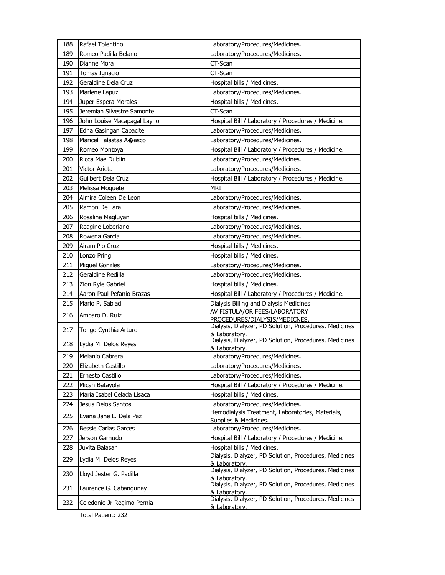| 188 | Rafael Tolentino            | Laboratory/Procedures/Medicines.                                                        |
|-----|-----------------------------|-----------------------------------------------------------------------------------------|
| 189 | Romeo Padilla Belano        | Laboratory/Procedures/Medicines.                                                        |
| 190 | Dianne Mora                 | CT-Scan                                                                                 |
| 191 | Tomas Ignacio               | CT-Scan                                                                                 |
| 192 | Geraldine Dela Cruz         | Hospital bills / Medicines.                                                             |
| 193 | Marlene Lapuz               | Laboratory/Procedures/Medicines.                                                        |
| 194 | Juper Espera Morales        | Hospital bills / Medicines.                                                             |
| 195 | Jeremiah Silvestre Samonte  | CT-Scan                                                                                 |
| 196 | John Louise Macapagal Layno | Hospital Bill / Laboratory / Procedures / Medicine.                                     |
| 197 | Edna Gasingan Capacite      | Laboratory/Procedures/Medicines.                                                        |
| 198 | Maricel Talastas Aoasco     | Laboratory/Procedures/Medicines.                                                        |
| 199 | Romeo Montoya               | Hospital Bill / Laboratory / Procedures / Medicine.                                     |
| 200 | Ricca Mae Dublin            | Laboratory/Procedures/Medicines.                                                        |
| 201 | Victor Arieta               | Laboratory/Procedures/Medicines.                                                        |
| 202 | Guilbert Dela Cruz          | Hospital Bill / Laboratory / Procedures / Medicine.                                     |
| 203 | Melissa Moquete             | MRI.                                                                                    |
| 204 | Almira Coleen De Leon       | Laboratory/Procedures/Medicines.                                                        |
| 205 | Ramon De Lara               | Laboratory/Procedures/Medicines.                                                        |
| 206 | Rosalina Magluyan           | Hospital bills / Medicines.                                                             |
| 207 | Reagine Loberiano           | Laboratory/Procedures/Medicines.                                                        |
| 208 | Rowena Garcia               | Laboratory/Procedures/Medicines.                                                        |
| 209 | Airam Pio Cruz              | Hospital bills / Medicines.                                                             |
| 210 | Lonzo Pring                 | Hospital bills / Medicines.                                                             |
| 211 | <b>Miguel Gonzles</b>       | Laboratory/Procedures/Medicines.                                                        |
| 212 | Geraldine Redilla           | Laboratory/Procedures/Medicines.                                                        |
| 213 | Zion Ryle Gabriel           | Hospital bills / Medicines.                                                             |
| 214 | Aaron Paul Pefanio Brazas   | Hospital Bill / Laboratory / Procedures / Medicine.                                     |
| 215 | Mario P. Sablad             | Dialysis Billing and Dialysis Medicines                                                 |
| 216 | Amparo D. Ruiz              | AV FISTULA/OR FEES/LABORATORY                                                           |
|     |                             | PROCEDURES/DIALYSIS/MEDICNES.<br>Dialysis, Dialyzer, PD Solution, Procedures, Medicines |
| 217 | Tongo Cynthia Arturo        | & Laboratory.                                                                           |
| 218 | Lydia M. Delos Reyes        | Dialysis, Dialyzer, PD Solution, Procedures, Medicines                                  |
| 219 | Melanio Cabrera             | & Laboratory.<br>Laboratory/Procedures/Medicines.                                       |
| 220 | Elizabeth Castillo          | Laboratory/Procedures/Medicines.                                                        |
| 221 | Ernesto Castillo            | Laboratory/Procedures/Medicines.                                                        |
| 222 | Micah Batayola              | Hospital Bill / Laboratory / Procedures / Medicine.                                     |
| 223 | Maria Isabel Celada Lisaca  | Hospital bills / Medicines.                                                             |
| 224 | Jesus Delos Santos          | Laboratory/Procedures/Medicines.                                                        |
|     |                             | Hemodialysis Treatment, Laboratories, Materials,                                        |
| 225 | Evana Jane L. Dela Paz      | Supplies & Medicines.                                                                   |
| 226 | <b>Bessie Carias Garces</b> | Laboratory/Procedures/Medicines.                                                        |
| 227 | Jerson Garnudo              | Hospital Bill / Laboratory / Procedures / Medicine.                                     |
| 228 | Juvita Balasan              | Hospital bills / Medicines.                                                             |
| 229 | Lydia M. Delos Reyes        | Dialysis, Dialyzer, PD Solution, Procedures, Medicines<br>& Laboratory.                 |
| 230 | Lloyd Jester G. Padilla     | Dialysis, Dialyzer, PD Solution, Procedures, Medicines                                  |
|     |                             | & Laboratory.<br>Dialysis, Dialyzer, PD Solution, Procedures, Medicines                 |
| 231 | Laurence G. Cabangunay      | & Laboratory.                                                                           |
| 232 | Celedonio Jr Regimo Pernia  | Dialysis, Dialyzer, PD Solution, Procedures, Medicines                                  |
|     |                             | & Laboratory.                                                                           |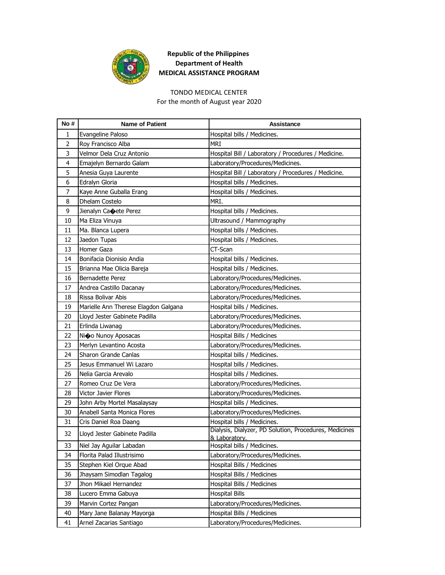

#### TONDO MEDICAL CENTER

For the month of August year 2020

| No# | <b>Name of Patient</b>               | <b>Assistance</b>                                                       |
|-----|--------------------------------------|-------------------------------------------------------------------------|
| 1   | Evangeline Paloso                    | Hospital bills / Medicines.                                             |
| 2   | Roy Francisco Alba                   | MRI                                                                     |
| 3   | Velmor Dela Cruz Antonio             | Hospital Bill / Laboratory / Procedures / Medicine.                     |
| 4   | Emajelyn Bernardo Galam              | Laboratory/Procedures/Medicines.                                        |
| 5   | Anesia Guya Laurente                 | Hospital Bill / Laboratory / Procedures / Medicine.                     |
| 6   | Edralyn Gloria                       | Hospital bills / Medicines.                                             |
| 7   | Kaye Anne Guballa Erang              | Hospital bills / Medicines.                                             |
| 8   | Dhelam Costelo                       | MRI.                                                                    |
| 9   | Jienalyn Ca $\bigcirc$ ete Perez     | Hospital bills / Medicines.                                             |
| 10  | Ma Eliza Vinuya                      | Ultrasound / Mammography                                                |
| 11  | Ma. Blanca Lupera                    | Hospital bills / Medicines.                                             |
| 12  | Jaedon Tupas                         | Hospital bills / Medicines.                                             |
| 13  | Homer Gaza                           | CT-Scan                                                                 |
| 14  | Bonifacia Dionisio Andia             | Hospital bills / Medicines.                                             |
| 15  | Brianna Mae Olicia Bareja            | Hospital bills / Medicines.                                             |
| 16  | Bernadette Perez                     | Laboratory/Procedures/Medicines.                                        |
| 17  | Andrea Castillo Dacanay              | Laboratory/Procedures/Medicines.                                        |
| 18  | Rissa Bolivar Abis                   | Laboratory/Procedures/Medicines.                                        |
| 19  | Marielle Ann Therese Elagdon Galgana | Hospital bills / Medicines.                                             |
| 20  | Lloyd Jester Gabinete Padilla        | Laboratory/Procedures/Medicines.                                        |
| 21  | Erlinda Liwanag                      | Laboratory/Procedures/Medicines.                                        |
| 22  | Ni�o Nunoy Aposacas                  | Hospital Bills / Medicines                                              |
| 23  | Merlyn Levantino Acosta              | Laboratory/Procedures/Medicines.                                        |
| 24  | Sharon Grande Canlas                 | Hospital bills / Medicines.                                             |
| 25  | Jesus Emmanuel Wi Lazaro             | Hospital bills / Medicines.                                             |
| 26  | Nelia Garcia Arevalo                 | Hospital bills / Medicines.                                             |
| 27  | Romeo Cruz De Vera                   | Laboratory/Procedures/Medicines.                                        |
| 28  | Victor Javier Flores                 | Laboratory/Procedures/Medicines.                                        |
| 29  | John Arby Mortel Masalaysay          | Hospital bills / Medicines.                                             |
| 30  | Anabell Santa Monica Flores          | Laboratory/Procedures/Medicines.                                        |
| 31  | Cris Daniel Roa Daang                | Hospital bills / Medicines.                                             |
| 32  | Lloyd Jester Gabinete Padilla        | Dialysis, Dialyzer, PD Solution, Procedures, Medicines<br>& Laboratory. |
| 33  | Niel Jay Aguilar Labadan             | Hospital bills / Medicines.                                             |
| 34  | Florita Palad Illustrisimo           | Laboratory/Procedures/Medicines.                                        |
| 35  | Stephen Kiel Orque Abad              | Hospital Bills / Medicines                                              |
| 36  | Jhaysam Simodlan Tagalog             | Hospital Bills / Medicines                                              |
| 37  | Jhon Mikael Hernandez                | Hospital Bills / Medicines                                              |
| 38  | Lucero Emma Gabuya                   | <b>Hospital Bills</b>                                                   |
| 39  | Marvin Cortez Pangan                 | Laboratory/Procedures/Medicines.                                        |
| 40  | Mary Jane Balanay Mayorga            | Hospital Bills / Medicines                                              |
| 41  | Arnel Zacarias Santiago              | Laboratory/Procedures/Medicines.                                        |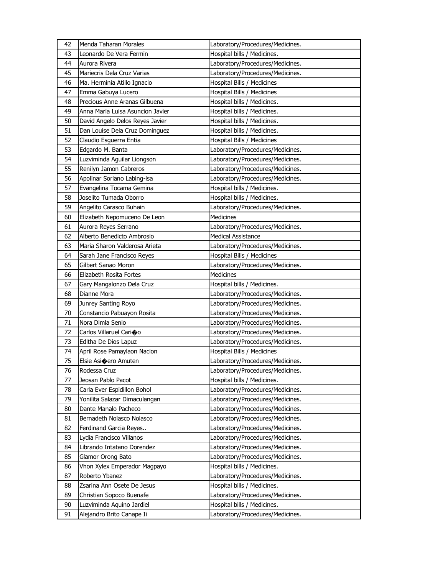| 42 | Menda Taharan Morales            | Laboratory/Procedures/Medicines. |
|----|----------------------------------|----------------------------------|
| 43 | Leonardo De Vera Fermin          | Hospital bills / Medicines.      |
| 44 | Aurora Rivera                    | Laboratory/Procedures/Medicines. |
| 45 | Mariecris Dela Cruz Varias       | Laboratory/Procedures/Medicines. |
| 46 | Ma. Herminia Atillo Ignacio      | Hospital Bills / Medicines       |
| 47 | Emma Gabuya Lucero               | Hospital Bills / Medicines       |
| 48 | Precious Anne Aranas Gilbuena    | Hospital bills / Medicines.      |
| 49 | Anna Maria Luisa Asuncion Javier | Hospital bills / Medicines.      |
| 50 | David Angelo Delos Reyes Javier  | Hospital bills / Medicines.      |
| 51 | Dan Louise Dela Cruz Dominguez   | Hospital bills / Medicines.      |
| 52 | Claudio Esguerra Entia           | Hospital Bills / Medicines       |
| 53 | Edgardo M. Banta                 | Laboratory/Procedures/Medicines. |
| 54 | Luzviminda Aguilar Liongson      | Laboratory/Procedures/Medicines. |
| 55 | Renilyn Jamon Cabreros           | Laboratory/Procedures/Medicines. |
| 56 | Apolinar Soriano Labing-isa      | Laboratory/Procedures/Medicines. |
| 57 | Evangelina Tocama Gemina         | Hospital bills / Medicines.      |
| 58 | Joselito Tumada Oborro           | Hospital bills / Medicines.      |
| 59 | Angelito Carasco Buhain          | Laboratory/Procedures/Medicines. |
| 60 | Elizabeth Nepomuceno De Leon     | Medicines                        |
| 61 | Aurora Reyes Serrano             | Laboratory/Procedures/Medicines. |
| 62 | Alberto Benedicto Ambrosio       | <b>Medical Assistance</b>        |
| 63 | Maria Sharon Valderosa Arieta    | Laboratory/Procedures/Medicines. |
| 64 | Sarah Jane Francisco Reyes       | Hospital Bills / Medicines       |
| 65 | Gilbert Sanao Moron              | Laboratory/Procedures/Medicines. |
| 66 | Elizabeth Rosita Fortes          | Medicines                        |
|    |                                  |                                  |
| 67 | Gary Mangalonzo Dela Cruz        | Hospital bills / Medicines.      |
| 68 | Dianne Mora                      | Laboratory/Procedures/Medicines. |
| 69 | Junrey Santing Royo              | Laboratory/Procedures/Medicines. |
| 70 | Constancio Pabuayon Rosita       | Laboratory/Procedures/Medicines. |
| 71 | Nora Dimla Senio                 | Laboratory/Procedures/Medicines. |
| 72 | Carlos Villaruel Carioo          | Laboratory/Procedures/Medicines. |
| 73 | Editha De Dios Lapuz             | Laboratory/Procedures/Medicines. |
| 74 | April Rose Pamaylaon Nacion      | Hospital Bills / Medicines       |
| 75 | Elsie Asioero Amuten             | Laboratory/Procedures/Medicines. |
| 76 | Rodessa Cruz                     | Laboratory/Procedures/Medicines. |
| 77 | Jeosan Pablo Pacot               | Hospital bills / Medicines.      |
| 78 | Carla Ever Espidillon Bohol      | Laboratory/Procedures/Medicines. |
| 79 | Yonilita Salazar Dimaculangan    | Laboratory/Procedures/Medicines. |
| 80 | Dante Manalo Pacheco             | Laboratory/Procedures/Medicines. |
| 81 | Bernadeth Nolasco Nolasco        | Laboratory/Procedures/Medicines. |
| 82 | Ferdinand Garcia Reyes           | Laboratory/Procedures/Medicines. |
| 83 | Lydia Francisco Villanos         | Laboratory/Procedures/Medicines. |
| 84 | Librando Intatano Dorendez       | Laboratory/Procedures/Medicines. |
| 85 | Glamor Orong Bato                | Laboratory/Procedures/Medicines. |
| 86 | Vhon Xylex Emperador Magpayo     | Hospital bills / Medicines.      |
| 87 | Roberto Ybanez                   | Laboratory/Procedures/Medicines. |
| 88 | Zsarina Ann Osete De Jesus       | Hospital bills / Medicines.      |
| 89 | Christian Sopoco Buenafe         | Laboratory/Procedures/Medicines. |
| 90 | Luzviminda Aquino Jardiel        | Hospital bills / Medicines.      |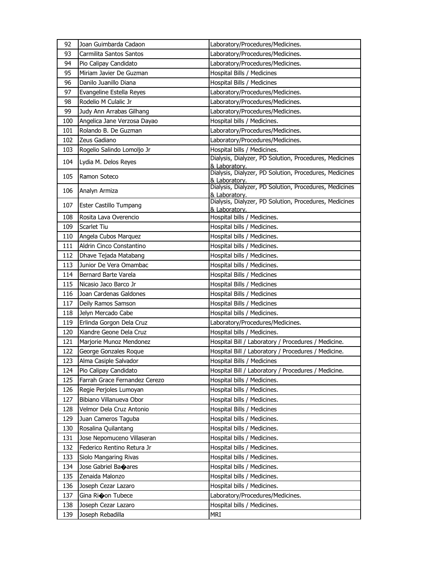| 92  | Joan Guimbarda Cadaon         | Laboratory/Procedures/Medicines.                                        |
|-----|-------------------------------|-------------------------------------------------------------------------|
| 93  | Carmilita Santos Santos       | Laboratory/Procedures/Medicines.                                        |
| 94  | Pio Calipay Candidato         | Laboratory/Procedures/Medicines.                                        |
| 95  | Miriam Javier De Guzman       | Hospital Bills / Medicines                                              |
| 96  | Danilo Juanillo Diana         | Hospital Bills / Medicines                                              |
| 97  | Evangeline Estella Reyes      | Laboratory/Procedures/Medicines.                                        |
| 98  | Rodelio M Culalic Jr          | Laboratory/Procedures/Medicines.                                        |
| 99  | Judy Ann Arrabas Gilhang      | Laboratory/Procedures/Medicines.                                        |
| 100 | Angelica Jane Verzosa Dayao   | Hospital bills / Medicines.                                             |
| 101 | Rolando B. De Guzman          | Laboratory/Procedures/Medicines.                                        |
| 102 | Zeus Gadiano                  | Laboratory/Procedures/Medicines.                                        |
| 103 | Rogelio Salindo Lomoljo Jr    | Hospital bills / Medicines.                                             |
| 104 | Lydia M. Delos Reyes          | Dialysis, Dialyzer, PD Solution, Procedures, Medicines                  |
|     |                               | & Laboratory.<br>Dialysis, Dialyzer, PD Solution, Procedures, Medicines |
| 105 | Ramon Soteco                  |                                                                         |
| 106 | Analyn Armiza                 | & Laboratory.<br>Dialysis, Dialyzer, PD Solution, Procedures, Medicines |
|     |                               | & Laboratory.<br>Dialysis, Dialyzer, PD Solution, Procedures, Medicines |
| 107 | Ester Castillo Tumpang        | & Laboratory.                                                           |
| 108 | Rosita Lava Overencio         | Hospital bills / Medicines.                                             |
| 109 | Scarlet Tiu                   | Hospital bills / Medicines.                                             |
| 110 | Angela Cubos Marquez          | Hospital bills / Medicines.                                             |
| 111 | Aldrin Cinco Constantino      | Hospital bills / Medicines.                                             |
| 112 | Dhave Tejada Matabang         | Hospital bills / Medicines.                                             |
| 113 | Junior De Vera Omambac        | Hospital bills / Medicines.                                             |
| 114 | Bernard Barte Varela          | Hospital Bills / Medicines                                              |
| 115 | Nicasio Jaco Barco Jr         | Hospital Bills / Medicines                                              |
| 116 | Joan Cardenas Galdones        | Hospital Bills / Medicines                                              |
| 117 | Deily Ramos Samson            | Hospital Bills / Medicines                                              |
| 118 | Jelyn Mercado Cabe            | Hospital bills / Medicines.                                             |
| 119 | Erlinda Gorgon Dela Cruz      | Laboratory/Procedures/Medicines.                                        |
| 120 | Xiandre Geone Dela Cruz       | Hospital bills / Medicines.                                             |
| 121 | Marjorie Munoz Mendonez       | Hospital Bill / Laboratory / Procedures / Medicine.                     |
| 122 | George Gonzales Roque         | Hospital Bill / Laboratory / Procedures / Medicine.                     |
| 123 | Alma Casiple Salvador         | Hospital Bills / Medicines                                              |
| 124 | Pio Calipay Candidato         | Hospital Bill / Laboratory / Procedures / Medicine.                     |
| 125 | Farrah Grace Fernandez Cerezo | Hospital bills / Medicines.                                             |
| 126 | Regie Perjoles Lumoyan        | Hospital bills / Medicines.                                             |
| 127 | Bibiano Villanueva Obor       | Hospital bills / Medicines.                                             |
| 128 | Velmor Dela Cruz Antonio      | Hospital Bills / Medicines                                              |
| 129 | Juan Cameros Taguba           | Hospital bills / Medicines.                                             |
| 130 | Rosalina Quilantang           | Hospital bills / Medicines.                                             |
| 131 | Jose Nepomuceno Villaseran    | Hospital bills / Medicines.                                             |
| 132 | Federico Rentino Retura Jr    | Hospital bills / Medicines.                                             |
| 133 | Siolo Mangaring Rivas         | Hospital bills / Medicines.                                             |
| 134 | Jose Gabriel Banares          | Hospital bills / Medicines.                                             |
| 135 | Zenaida Malonzo               | Hospital bills / Medicines.                                             |
| 136 | Joseph Cezar Lazaro           | Hospital bills / Medicines.                                             |
| 137 | Gina Ricon Tubece             | Laboratory/Procedures/Medicines.                                        |
| 138 | Joseph Cezar Lazaro           | Hospital bills / Medicines.                                             |
| 139 | Joseph Rebadilla              | MRI                                                                     |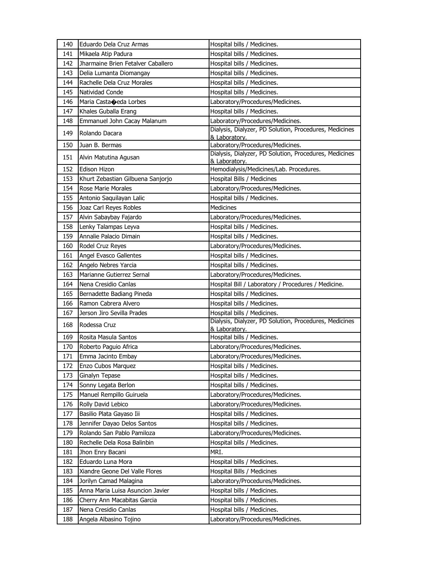| 140 | Eduardo Dela Cruz Armas            | Hospital bills / Medicines.                            |
|-----|------------------------------------|--------------------------------------------------------|
| 141 | Mikaela Atip Padura                | Hospital bills / Medicines.                            |
| 142 | Jharmaine Brien Fetalver Caballero | Hospital bills / Medicines.                            |
| 143 | Delia Lumanta Diomangay            | Hospital bills / Medicines.                            |
| 144 | Rachelle Dela Cruz Morales         | Hospital bills / Medicines.                            |
| 145 | Natividad Conde                    | Hospital bills / Medicines.                            |
| 146 | Maria Castaceda Lorbes             | Laboratory/Procedures/Medicines.                       |
| 147 | Khales Guballa Erang               | Hospital bills / Medicines.                            |
| 148 | Emmanuel John Cacay Malanum        | Laboratory/Procedures/Medicines.                       |
| 149 | Rolando Dacara                     | Dialysis, Dialyzer, PD Solution, Procedures, Medicines |
| 150 | Juan B. Bermas                     | & Laboratory.<br>Laboratory/Procedures/Medicines.      |
|     |                                    | Dialysis, Dialyzer, PD Solution, Procedures, Medicines |
| 151 | Alvin Matutina Agusan              | & Laboratory.                                          |
| 152 | <b>Edison Hizon</b>                | Hemodialysis/Medicines/Lab. Procedures.                |
| 153 | Khurt Zebastian Gilbuena Sanjorjo  | Hospital Bills / Medicines                             |
| 154 | Rose Marie Morales                 | Laboratory/Procedures/Medicines.                       |
| 155 | Antonio Saquilayan Lalic           | Hospital bills / Medicines.                            |
| 156 | Joaz Carl Reyes Robles             | Medicines                                              |
| 157 | Alvin Sabaybay Fajardo             | Laboratory/Procedures/Medicines.                       |
| 158 | Lenky Talampas Leyva               | Hospital bills / Medicines.                            |
| 159 | Annalie Palacio Dimain             | Hospital bills / Medicines.                            |
| 160 | Rodel Cruz Reyes                   | Laboratory/Procedures/Medicines.                       |
| 161 | Angel Evasco Gallentes             | Hospital bills / Medicines.                            |
| 162 | Angelo Nebres Yarcia               | Hospital bills / Medicines.                            |
| 163 | Marianne Gutierrez Sernal          | Laboratory/Procedures/Medicines.                       |
| 164 | Nena Cresidio Canlas               | Hospital Bill / Laboratory / Procedures / Medicine.    |
| 165 | Bernadette Badiang Pineda          | Hospital bills / Medicines.                            |
| 166 | Ramon Cabrera Alvero               | Hospital bills / Medicines.                            |
| 167 | Jerson Jiro Sevilla Prades         | Hospital bills / Medicines.                            |
| 168 | Rodessa Cruz                       | Dialysis, Dialyzer, PD Solution, Procedures, Medicines |
| 169 | Rosita Masula Santos               | & Laboratory.<br>Hospital bills / Medicines.           |
| 170 | Roberto Paguio Africa              | Laboratory/Procedures/Medicines.                       |
| 171 | Emma Jacinto Embay                 | Laboratory/Procedures/Medicines.                       |
| 172 | Enzo Cubos Marquez                 | Hospital bills / Medicines.                            |
| 173 | Ginalyn Tepase                     | Hospital bills / Medicines.                            |
| 174 | Sonny Legata Berlon                | Hospital bills / Medicines.                            |
| 175 | Manuel Rempillo Guiruela           | Laboratory/Procedures/Medicines.                       |
| 176 | Rolly David Lebico                 | Laboratory/Procedures/Medicines.                       |
| 177 | Basilio Plata Gayaso Iii           | Hospital bills / Medicines.                            |
| 178 | Jennifer Dayao Delos Santos        | Hospital bills / Medicines.                            |
| 179 | Rolando San Pablo Pamiloza         | Laboratory/Procedures/Medicines.                       |
| 180 | Rechelle Dela Rosa Balinbin        | Hospital bills / Medicines.                            |
| 181 | Jhon Enry Bacani                   | MRI.                                                   |
| 182 | Eduardo Luna Mora                  | Hospital bills / Medicines.                            |
| 183 | Xiandre Geone Del Valle Flores     | Hospital Bills / Medicines                             |
| 184 | Jorilyn Camad Malagina             | Laboratory/Procedures/Medicines.                       |
| 185 | Anna Maria Luisa Asuncion Javier   | Hospital bills / Medicines.                            |
| 186 | Cherry Ann Macabitas Garcia        | Hospital bills / Medicines.                            |
|     |                                    |                                                        |
| 187 | Nena Cresidio Canlas               | Hospital bills / Medicines.                            |
| 188 | Angela Albasino Tojino             | Laboratory/Procedures/Medicines.                       |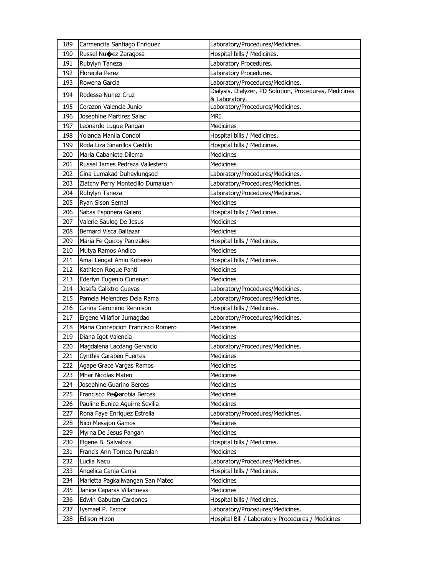| 189 | Carmencita Santiago Enriquez      | Laboratory/Procedures/Medicines.                                        |
|-----|-----------------------------------|-------------------------------------------------------------------------|
| 190 | Russel Nu�ez Zaragosa             | Hospital bills / Medicines.                                             |
| 191 | Rubylyn Taneza                    | Laboratory Procedures.                                                  |
| 192 | <b>Florecita Perez</b>            | Laboratory Procedures.                                                  |
| 193 | Rowena Garcia                     | Laboratory/Procedures/Medicines.                                        |
| 194 | Rodessa Nunez Cruz                | Dialysis, Dialyzer, PD Solution, Procedures, Medicines<br>& Laboratory. |
| 195 | Corazon Valencia Junio            | Laboratory/Procedures/Medicines.                                        |
| 196 | Josephine Martirez Salac          | MRI.                                                                    |
| 197 | Leonardo Lugue Pangan             | Medicines                                                               |
| 198 | Yolanda Manila Condol             | Hospital bills / Medicines.                                             |
| 199 | Roda Liza Sinarillos Castillo     | Hospital bills / Medicines.                                             |
| 200 | Marla Cabaniete Dilema            | <b>Medicines</b>                                                        |
| 201 | Russel James Pedreza Vallestero   | <b>Medicines</b>                                                        |
| 202 | Gina Lumakad Duhaylungsod         | Laboratory/Procedures/Medicines.                                        |
| 203 | Ziatchy Perry Montecillo Dumaluan | Laboratory/Procedures/Medicines.                                        |
| 204 | Rubylyn Taneza                    | Laboratory/Procedures/Medicines.                                        |
| 205 | Ryan Sison Sernal                 | <b>Medicines</b>                                                        |
| 206 | Sabas Esponera Galero             | Hospital bills / Medicines.                                             |
| 207 | Valerie Saulog De Jesus           | <b>Medicines</b>                                                        |
| 208 | Bernard Visca Baltazar            | <b>Medicines</b>                                                        |
| 209 | Maria Fe Quicoy Panizales         | Hospital bills / Medicines.                                             |
| 210 | Mutya Ramos Andico                | <b>Medicines</b>                                                        |
| 211 | Amal Lengat Amin Kobeissi         | Hospital bills / Medicines.                                             |
| 212 | Kathleen Roque Panti              | <b>Medicines</b>                                                        |
| 213 | Ederlyn Eugenio Cunanan           | <b>Medicines</b>                                                        |
| 214 | Josefa Calixtro Cuevas            | Laboratory/Procedures/Medicines.                                        |
| 215 | Pamela Melendres Dela Rama        | Laboratory/Procedures/Medicines.                                        |
| 216 | Carina Geronimo Rennison          | Hospital bills / Medicines.                                             |
| 217 | Ergene Villaflor Jumagdao         | Laboratory/Procedures/Medicines.                                        |
| 218 | Maria Concepcion Francisco Romero | <b>Medicines</b>                                                        |
| 219 | Diana Igot Valencia               | <b>Medicines</b>                                                        |
| 220 | Magdalena Lacdang Gervacio        | Laboratory/Procedures/Medicines.                                        |
| 221 | Cynthis Carabeo Fuertes           | <b>Medicines</b>                                                        |
| 222 | Agape Grace Vargas Ramos          | Medicines                                                               |
| 223 | Mhar Nicolas Mateo                | Medicines                                                               |
| 224 | Josephine Guarino Berces          | Medicines                                                               |
| 225 | Francisco Peoarobia Berces        | Medicines                                                               |
| 226 | Pauline Eunice Aguirre Sevilla    | Medicines                                                               |
| 227 | Rona Faye Enriquez Estrella       | Laboratory/Procedures/Medicines.                                        |
| 228 | Nico Mesajon Gamos                | <b>Medicines</b>                                                        |
| 229 | Myrna De Jesus Pangan             | <b>Medicines</b>                                                        |
| 230 | Elgene B. Salvaloza               | Hospital bills / Medicines.                                             |
| 231 | Francis Ann Tornea Punzalan       | Medicines                                                               |
| 232 | Lucila Nacu                       | Laboratory/Procedures/Medicines.                                        |
| 233 | Angelica Canja Canja              | Hospital bills / Medicines.                                             |
| 234 | Marietta Pagkaliwangan San Mateo  | Medicines                                                               |
| 235 | Janice Caparas Villanueva         | Medicines                                                               |
| 236 | Edwin Gabutan Cardones            | Hospital bills / Medicines.                                             |
| 237 | Iysmael P. Factor                 | Laboratory/Procedures/Medicines.                                        |
| 238 | Edison Hizon                      | Hospital Bill / Laboratory Procedures / Medicines                       |
|     |                                   |                                                                         |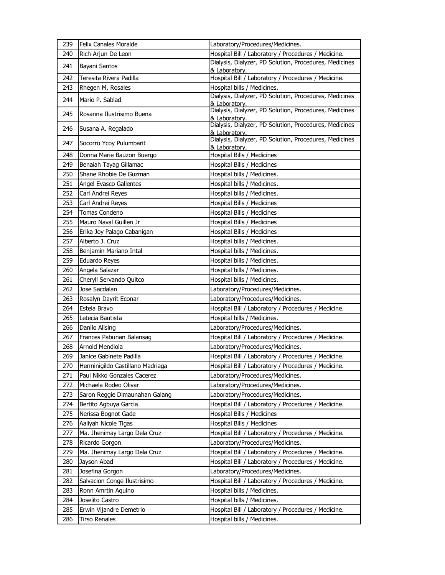| 239 | <b>Felix Canales Moralde</b>     | Laboratory/Procedures/Medicines.                                        |
|-----|----------------------------------|-------------------------------------------------------------------------|
| 240 | Rich Arjun De Leon               | Hospital Bill / Laboratory / Procedures / Medicine.                     |
| 241 | Bayani Santos                    | Dialysis, Dialyzer, PD Solution, Procedures, Medicines<br>& Laboratory. |
| 242 | Teresita Rivera Padilla          | Hospital Bill / Laboratory / Procedures / Medicine.                     |
| 243 | Rhegen M. Rosales                | Hospital bills / Medicines.                                             |
| 244 | Mario P. Sablad                  | Dialysis, Dialyzer, PD Solution, Procedures, Medicines<br>& Laboratory. |
| 245 | Rosanna Ilustrisimo Buena        | Dialysis, Dialyzer, PD Solution, Procedures, Medicines<br>& Laboratory. |
| 246 | Susana A. Regalado               | Dialysis, Dialyzer, PD Solution, Procedures, Medicines<br>& Laboratory. |
| 247 | Socorro Ycoy Pulumbarit          | Dialysis, Dialyzer, PD Solution, Procedures, Medicines<br>& Laboratory. |
| 248 | Donna Marie Bauzon Buergo        | Hospital Bills / Medicines                                              |
| 249 | Benaiah Tayag Gillamac           | Hospital Bills / Medicines                                              |
| 250 | Shane Rhobie De Guzman           | Hospital bills / Medicines.                                             |
| 251 | Angel Evasco Gallentes           | Hospital bills / Medicines.                                             |
| 252 | Carl Andrei Reyes                | Hospital bills / Medicines.                                             |
| 253 | Carl Andrei Reyes                | Hospital Bills / Medicines                                              |
| 254 | Tomas Condeno                    | Hospital Bills / Medicines                                              |
| 255 | Mauro Naval Guillen Jr           | Hospital Bills / Medicines                                              |
| 256 | Erika Joy Palago Cabanigan       | Hospital Bills / Medicines                                              |
| 257 | Alberto J. Cruz                  | Hospital bills / Medicines.                                             |
| 258 | Benjamin Mariano Intal           | Hospital bills / Medicines.                                             |
| 259 | Eduardo Reyes                    | Hospital bills / Medicines.                                             |
| 260 | Angela Salazar                   | Hospital bills / Medicines.                                             |
| 261 | Cheryll Servando Quitco          | Hospital bills / Medicines.                                             |
| 262 | Jose Sacdalan                    | Laboratory/Procedures/Medicines.                                        |
| 263 | Rosalyn Dayrit Econar            | Laboratory/Procedures/Medicines.                                        |
| 264 | Estela Bravo                     | Hospital Bill / Laboratory / Procedures / Medicine.                     |
| 265 | Letecia Bautista                 | Hospital bills / Medicines.                                             |
| 266 |                                  |                                                                         |
|     | Danilo Alising                   | Laboratory/Procedures/Medicines.                                        |
| 267 | Frances Pabunan Balansag         | Hospital Bill / Laboratory / Procedures / Medicine.                     |
| 268 | Arnold Mendiola                  | Laboratory/Procedures/Medicines.                                        |
| 269 | Janice Gabinete Padilla          | Hospital Bill / Laboratory / Procedures / Medicine.                     |
| 270 | Herminigildo Castillano Madriaga | Hospital Bill / Laboratory / Procedures / Medicine.                     |
| 271 | Paul Nikko Gonzales Cacerez      | Laboratory/Procedures/Medicines.                                        |
| 272 | Michaela Rodeo Olivar            | Laboratory/Procedures/Medicines.                                        |
| 273 | Saron Reggie Dimaunahan Galang   | Laboratory/Procedures/Medicines.                                        |
| 274 | Bertito Agbuya Garcia            | Hospital Bill / Laboratory / Procedures / Medicine.                     |
| 275 | Nerissa Bognot Gade              | Hospital Bills / Medicines                                              |
| 276 | Aaliyah Nicole Tigas             | Hospital Bills / Medicines                                              |
| 277 | Ma. Jhenimay Largo Dela Cruz     | Hospital Bill / Laboratory / Procedures / Medicine.                     |
| 278 | Ricardo Gorgon                   | Laboratory/Procedures/Medicines.                                        |
| 279 | Ma. Jhenimay Largo Dela Cruz     | Hospital Bill / Laboratory / Procedures / Medicine.                     |
| 280 | Jayson Abad                      | Hospital Bill / Laboratory / Procedures / Medicine.                     |
| 281 | Josefina Gorgon                  | Laboratory/Procedures/Medicines.                                        |
| 282 | Salvacion Conge Ilustrisimo      | Hospital Bill / Laboratory / Procedures / Medicine.                     |
| 283 | Ronn Amrtin Aquino               | Hospital bills / Medicines.                                             |
| 284 | Joselito Castro                  | Hospital bills / Medicines.                                             |
| 285 | Erwin Vijandre Demetrio          | Hospital Bill / Laboratory / Procedures / Medicine.                     |
| 286 | Tirso Renales                    | Hospital bills / Medicines.                                             |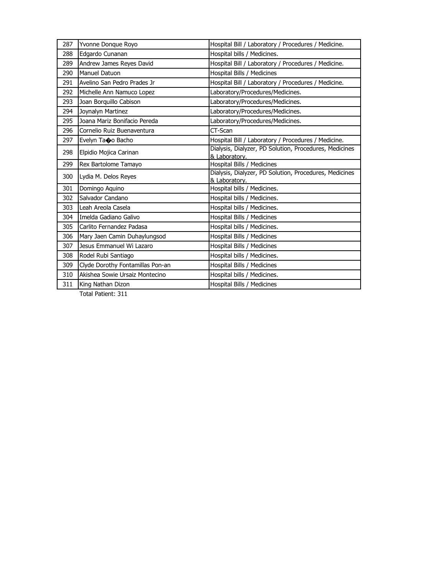| 287 | Yvonne Donque Royo               | Hospital Bill / Laboratory / Procedures / Medicine.                     |
|-----|----------------------------------|-------------------------------------------------------------------------|
| 288 | Edgardo Cunanan                  | Hospital bills / Medicines.                                             |
| 289 | Andrew James Reyes David         | Hospital Bill / Laboratory / Procedures / Medicine.                     |
| 290 | Manuel Datuon                    | Hospital Bills / Medicines                                              |
| 291 | Avelino San Pedro Prades Jr      | Hospital Bill / Laboratory / Procedures / Medicine.                     |
| 292 | Michelle Ann Namuco Lopez        | Laboratory/Procedures/Medicines.                                        |
| 293 | Joan Borquillo Cabison           | Laboratory/Procedures/Medicines.                                        |
| 294 | Joynalyn Martinez                | Laboratory/Procedures/Medicines.                                        |
| 295 | Joana Mariz Bonifacio Pereda     | Laboratory/Procedures/Medicines.                                        |
| 296 | Cornelio Ruiz Buenaventura       | CT-Scan                                                                 |
| 297 | Evelyn Ta�o Bacho                | Hospital Bill / Laboratory / Procedures / Medicine.                     |
| 298 | Elpidio Mojica Carinan           | Dialysis, Dialyzer, PD Solution, Procedures, Medicines<br>& Laboratory. |
| 299 | Rex Bartolome Tamayo             | Hospital Bills / Medicines                                              |
| 300 | Lydia M. Delos Reyes             | Dialysis, Dialyzer, PD Solution, Procedures, Medicines<br>& Laboratory. |
| 301 | Domingo Aquino                   | Hospital bills / Medicines.                                             |
| 302 | Salvador Candano                 | Hospital bills / Medicines.                                             |
| 303 | Leah Areola Casela               | Hospital bills / Medicines.                                             |
| 304 | Imelda Gadiano Galivo            | Hospital Bills / Medicines                                              |
| 305 | Carlito Fernandez Padasa         | Hospital bills / Medicines.                                             |
| 306 | Mary Jaen Camin Duhaylungsod     | Hospital Bills / Medicines                                              |
| 307 | Jesus Emmanuel Wi Lazaro         | Hospital Bills / Medicines                                              |
| 308 | Rodel Rubi Santiago              | Hospital bills / Medicines.                                             |
| 309 | Clyde Dorothy Fontamillas Pon-an | Hospital Bills / Medicines                                              |
| 310 | Akishea Sowie Ursaiz Montecino   | Hospital bills / Medicines.                                             |
| 311 | King Nathan Dizon                | Hospital Bills / Medicines                                              |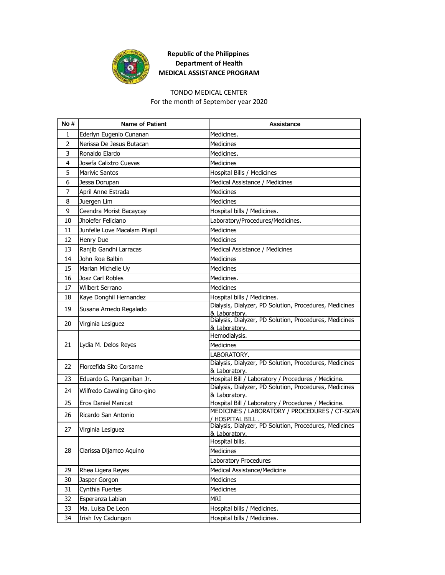

#### TONDO MEDICAL CENTER

For the month of September year 2020

| No #           | <b>Name of Patient</b>        | Assistance                                                              |
|----------------|-------------------------------|-------------------------------------------------------------------------|
| 1              | Ederlyn Eugenio Cunanan       | Medicines.                                                              |
| $\overline{2}$ | Nerissa De Jesus Butacan      | Medicines                                                               |
| 3              | Ronaldo Elardo                | Medicines.                                                              |
| 4              | Josefa Calixtro Cuevas        | <b>Medicines</b>                                                        |
| 5              | <b>Marivic Santos</b>         | Hospital Bills / Medicines                                              |
| 6              | Jessa Dorupan                 | Medical Assistance / Medicines                                          |
| $\overline{7}$ | April Anne Estrada            | Medicines                                                               |
| 8              | Juergen Lim                   | Medicines                                                               |
| 9              | Ceendra Morist Bacaycay       | Hospital bills / Medicines.                                             |
| 10             | Jhoiefer Feliciano            | Laboratory/Procedures/Medicines.                                        |
| 11             | Junfelle Love Macalam Pilapil | <b>Medicines</b>                                                        |
| 12             | Henry Due                     | Medicines                                                               |
| 13             | Ranjib Gandhi Larracas        | Medical Assistance / Medicines                                          |
| 14             | John Roe Balbin               | <b>Medicines</b>                                                        |
| 15             | Marian Michelle Uy            | <b>Medicines</b>                                                        |
| 16             | Joaz Carl Robles              | Medicines.                                                              |
| 17             | <b>Wilbert Serrano</b>        | Medicines                                                               |
| 18             | Kaye Donghil Hernandez        | Hospital bills / Medicines.                                             |
| 19             | Susana Arnedo Regalado        | Dialysis, Dialyzer, PD Solution, Procedures, Medicines<br>& Laboratory. |
| 20             | Virginia Lesiguez             | Dialysis, Dialyzer, PD Solution, Procedures, Medicines<br>& Laboratory. |
|                | Lydia M. Delos Reyes          | Hemodialysis.                                                           |
| 21             |                               | Medicines                                                               |
|                |                               | LABORATORY.                                                             |
| 22             | Florcefida Sito Corsame       | Dialysis, Dialyzer, PD Solution, Procedures, Medicines<br>& Laboratory. |
| 23             | Eduardo G. Panganiban Jr.     | Hospital Bill / Laboratory / Procedures / Medicine.                     |
| 24             | Wilfredo Cawaling Gino-gino   | Dialysis, Dialyzer, PD Solution, Procedures, Medicines                  |
| 25             | Eros Daniel Manicat           | & Laboratory.<br>Hospital Bill / Laboratory / Procedures / Medicine.    |
|                |                               | MEDICINES / LABORATORY / PROCEDURES / CT-SCAN                           |
| 26             | Ricardo San Antonio           | / HOSPITAL BILL                                                         |
| 27             | Virginia Lesiguez             | Dialysis, Dialyzer, PD Solution, Procedures, Medicines<br>& Laboratory. |
|                |                               | Hospital bills.                                                         |
| 28             | Clarissa Dijamco Aquino       | Medicines                                                               |
|                |                               | Laboratory Procedures                                                   |
| 29             | Rhea Ligera Reyes             | Medical Assistance/Medicine                                             |
| 30             | Jasper Gorgon                 | Medicines                                                               |
| 31             | Cynthia Fuertes               | Medicines                                                               |
| 32             | Esperanza Labian              | MRI                                                                     |
| 33             | Ma. Luisa De Leon             | Hospital bills / Medicines.                                             |
| 34             | Irish Ivy Cadungon            | Hospital bills / Medicines.                                             |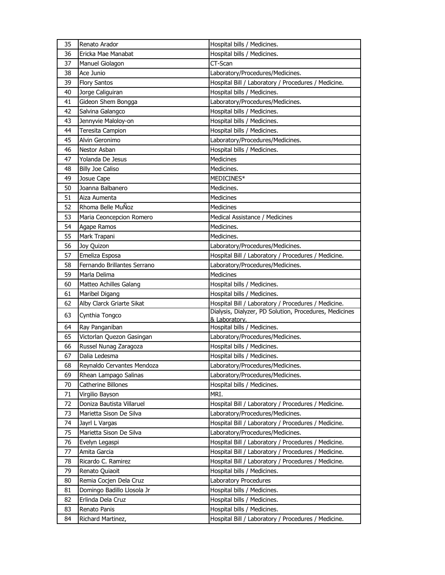| 35 | Renato Arador               | Hospital bills / Medicines.                            |
|----|-----------------------------|--------------------------------------------------------|
| 36 | Ericka Mae Manabat          | Hospital bills / Medicines.                            |
| 37 | Manuel Giolagon             | CT-Scan                                                |
| 38 | Ace Junio                   | Laboratory/Procedures/Medicines.                       |
| 39 | <b>Flory Santos</b>         | Hospital Bill / Laboratory / Procedures / Medicine.    |
| 40 | Jorge Caliguiran            | Hospital bills / Medicines.                            |
| 41 | Gideon Shem Bongga          | Laboratory/Procedures/Medicines.                       |
| 42 | Salvina Galangco            | Hospital bills / Medicines.                            |
| 43 | Jennyvie Maloloy-on         | Hospital bills / Medicines.                            |
| 44 | Teresita Campion            | Hospital bills / Medicines.                            |
| 45 | Alvin Geronimo              | Laboratory/Procedures/Medicines.                       |
| 46 | Nestor Asban                | Hospital bills / Medicines.                            |
| 47 | Yolanda De Jesus            | <b>Medicines</b>                                       |
| 48 | <b>Billy Joe Caliso</b>     | Medicines.                                             |
| 49 | Josue Cape                  | MEDICINES*                                             |
| 50 | Joanna Balbanero            | Medicines.                                             |
| 51 | Aiza Aumenta                | <b>Medicines</b>                                       |
| 52 | Rhoma Belle MuÑoz           | <b>Medicines</b>                                       |
| 53 | Maria Ceoncepcion Romero    | Medical Assistance / Medicines                         |
| 54 | Agape Ramos                 | Medicines.                                             |
| 55 | Mark Trapani                | Medicines.                                             |
| 56 | Joy Quizon                  | Laboratory/Procedures/Medicines.                       |
| 57 | Emeliza Esposa              | Hospital Bill / Laboratory / Procedures / Medicine.    |
| 58 | Fernando Brillantes Serrano | Laboratory/Procedures/Medicines.                       |
| 59 | Marla Delima                | Medicines                                              |
| 60 | Matteo Achilles Galang      | Hospital bills / Medicines.                            |
| 61 | Maribel Digang              | Hospital bills / Medicines.                            |
| 62 | Alby Clarck Griarte Sikat   | Hospital Bill / Laboratory / Procedures / Medicine.    |
| 63 | Cynthia Tongco              | Dialysis, Dialyzer, PD Solution, Procedures, Medicines |
|    |                             | & Laboratory.                                          |
| 64 | Ray Panganiban              | Hospital bills / Medicines.                            |
| 65 | Victorlan Quezon Gasingan   | Laboratory/Procedures/Medicines.                       |
| 66 | Russel Nunag Zaragoza       | Hospital bills / Medicines.                            |
| 67 | Dalia Ledesma               | Hospital bills / Medicines.                            |
| 68 | Reynaldo Cervantes Mendoza  | Laboratory/Procedures/Medicines.                       |
| 69 | Rhean Lampago Salinas       | Laboratory/Procedures/Medicines.                       |
| 70 | Catherine Billones          | Hospital bills / Medicines.                            |
| 71 | Virgilio Bayson             | MRI.                                                   |
| 72 | Doniza Bautista Villaruel   | Hospital Bill / Laboratory / Procedures / Medicine.    |
| 73 | Marietta Sison De Silva     | Laboratory/Procedures/Medicines.                       |
| 74 | Jayrl L Vargas              | Hospital Bill / Laboratory / Procedures / Medicine.    |
| 75 | Marietta Sison De Silva     | Laboratory/Procedures/Medicines.                       |
| 76 | Evelyn Legaspi              | Hospital Bill / Laboratory / Procedures / Medicine.    |
| 77 | Amita Garcia                | Hospital Bill / Laboratory / Procedures / Medicine.    |
| 78 | Ricardo C. Ramirez          | Hospital Bill / Laboratory / Procedures / Medicine.    |
| 79 | Renato Quiaoit              | Hospital bills / Medicines.                            |
| 80 | Remia Cocjen Dela Cruz      | Laboratory Procedures                                  |
| 81 | Domingo Badillo Llosola Jr  | Hospital bills / Medicines.                            |
| 82 | Erlinda Dela Cruz           | Hospital bills / Medicines.                            |
| 83 | Renato Panis                | Hospital bills / Medicines.                            |
| 84 | Richard Martinez,           | Hospital Bill / Laboratory / Procedures / Medicine.    |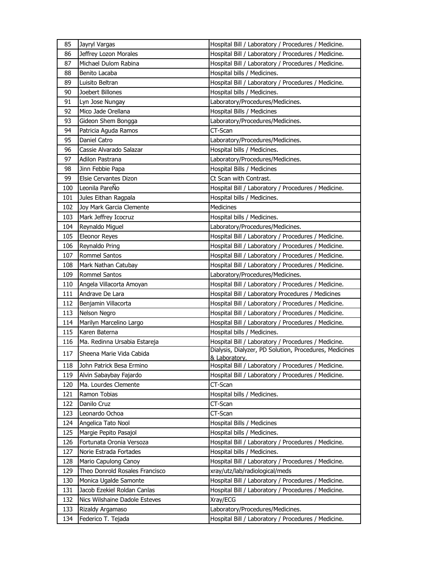| 85  | Jayryl Vargas                                          | Hospital Bill / Laboratory / Procedures / Medicine.                             |
|-----|--------------------------------------------------------|---------------------------------------------------------------------------------|
| 86  | Jeffrey Lozon Morales                                  | Hospital Bill / Laboratory / Procedures / Medicine.                             |
| 87  | Michael Dulom Rabina                                   | Hospital Bill / Laboratory / Procedures / Medicine.                             |
| 88  | Benito Lacaba                                          | Hospital bills / Medicines.                                                     |
| 89  | Luisito Beltran                                        | Hospital Bill / Laboratory / Procedures / Medicine.                             |
| 90  | Joebert Billones                                       | Hospital bills / Medicines.                                                     |
| 91  | Lyn Jose Nungay                                        | Laboratory/Procedures/Medicines.                                                |
| 92  | Mico Jade Orellana                                     | Hospital Bills / Medicines                                                      |
| 93  | Gideon Shem Bongga                                     | Laboratory/Procedures/Medicines.                                                |
| 94  | Patricia Aguda Ramos                                   | CT-Scan                                                                         |
| 95  | Daniel Catro                                           | Laboratory/Procedures/Medicines.                                                |
| 96  | Cassie Alvarado Salazar                                | Hospital bills / Medicines.                                                     |
| 97  | Adilon Pastrana                                        | Laboratory/Procedures/Medicines.                                                |
| 98  | Jinn Febbie Papa                                       | Hospital Bills / Medicines                                                      |
| 99  | Elsie Cervantes Dizon                                  | Ct Scan with Contrast.                                                          |
| 100 | Leonila PareÑo                                         | Hospital Bill / Laboratory / Procedures / Medicine.                             |
| 101 | Jules Eithan Ragpala                                   | Hospital bills / Medicines.                                                     |
| 102 | Joy Mark Garcia Clemente                               | Medicines                                                                       |
| 103 | Mark Jeffrey Icocruz                                   | Hospital bills / Medicines.                                                     |
| 104 | Reynaldo Miguel                                        | Laboratory/Procedures/Medicines.                                                |
| 105 | <b>Eleonor Reyes</b>                                   | Hospital Bill / Laboratory / Procedures / Medicine.                             |
| 106 | Reynaldo Pring                                         | Hospital Bill / Laboratory / Procedures / Medicine.                             |
| 107 | <b>Rommel Santos</b>                                   | Hospital Bill / Laboratory / Procedures / Medicine.                             |
| 108 | Mark Nathan Catubay                                    | Hospital Bill / Laboratory / Procedures / Medicine.                             |
| 109 | <b>Rommel Santos</b>                                   | Laboratory/Procedures/Medicines.                                                |
| 110 | Angela Villacorta Amoyan                               | Hospital Bill / Laboratory / Procedures / Medicine.                             |
| 111 | Andrave De Lara                                        | Hospital Bill / Laboratory Procedures / Medicines                               |
| 112 | Benjamin Villacorta                                    | Hospital Bill / Laboratory / Procedures / Medicine.                             |
| 113 | Nelson Negro                                           | Hospital Bill / Laboratory / Procedures / Medicine.                             |
| 114 | Marilyn Marcelino Largo                                | Hospital Bill / Laboratory / Procedures / Medicine.                             |
| 115 | Karen Baterna                                          | Hospital bills / Medicines.                                                     |
| 116 | Ma. Redinna Ursabia Estareja                           | Hospital Bill / Laboratory / Procedures / Medicine.                             |
| 117 | Sheena Marie Vida Cabida                               | Dialysis, Dialyzer, PD Solution, Procedures, Medicines                          |
| 118 | John Patrick Besa Ermino                               | <u>&amp; Laboratory.</u><br>Hospital Bill / Laboratory / Procedures / Medicine. |
| 119 | Alvin Sabaybay Fajardo                                 | Hospital Bill / Laboratory / Procedures / Medicine.                             |
| 120 | Ma. Lourdes Clemente                                   | CT-Scan                                                                         |
| 121 | Ramon Tobias                                           | Hospital bills / Medicines.                                                     |
| 122 | Danilo Cruz                                            | CT-Scan                                                                         |
| 123 | Leonardo Ochoa                                         | CT-Scan                                                                         |
| 124 | Angelica Tato Nool                                     | Hospital Bills / Medicines                                                      |
| 125 | Margie Pepito Pasajol                                  | Hospital bills / Medicines.                                                     |
| 126 | Fortunata Oronia Versoza                               | Hospital Bill / Laboratory / Procedures / Medicine.                             |
|     |                                                        | Hospital bills / Medicines.                                                     |
| 127 | Norie Estrada Fortades                                 |                                                                                 |
| 128 | Mario Capulong Canoy<br>Theo Donrold Rosales Francisco | Hospital Bill / Laboratory / Procedures / Medicine.                             |
| 129 |                                                        | xray/utz/lab/radiological/meds                                                  |
| 130 | Monica Ugalde Samonte                                  | Hospital Bill / Laboratory / Procedures / Medicine.                             |
| 131 | Jacob Ezekiel Roldan Canlas                            | Hospital Bill / Laboratory / Procedures / Medicine.                             |
| 132 | Nics Wilshaine Dadole Esteves                          | Xray/ECG                                                                        |
| 133 | Rizaldy Argamaso                                       | Laboratory/Procedures/Medicines.                                                |
| 134 | Federico T. Tejada                                     | Hospital Bill / Laboratory / Procedures / Medicine.                             |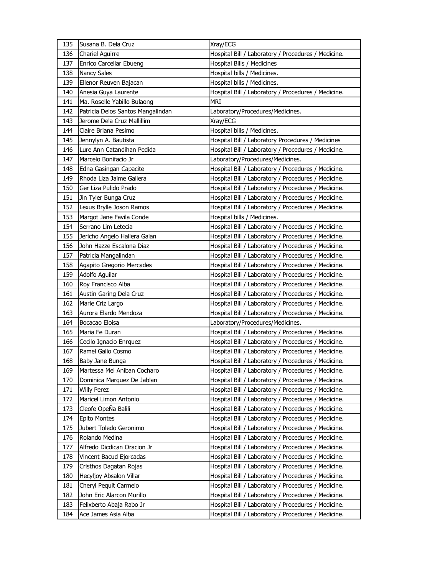| 135 | Susana B. Dela Cruz               | Xray/ECG                                            |
|-----|-----------------------------------|-----------------------------------------------------|
| 136 | <b>Chariel Aguirre</b>            | Hospital Bill / Laboratory / Procedures / Medicine. |
| 137 | Enrico Carcellar Ebueng           | Hospital Bills / Medicines                          |
| 138 | <b>Nancy Sales</b>                | Hospital bills / Medicines.                         |
| 139 | Ellenor Reuven Bajacan            | Hospital bills / Medicines.                         |
| 140 | Anesia Guya Laurente              | Hospital Bill / Laboratory / Procedures / Medicine. |
| 141 | Ma. Roselle Yabillo Bulaong       | MRI                                                 |
| 142 | Patricia Delos Santos Mangalindan | Laboratory/Procedures/Medicines.                    |
| 143 | Jerome Dela Cruz Mallillim        | Xray/ECG                                            |
| 144 | Claire Briana Pesimo              | Hospital bills / Medicines.                         |
| 145 | Jennylyn A. Bautista              | Hospital Bill / Laboratory Procedures / Medicines   |
| 146 | Lure Ann Catandihan Pedida        | Hospital Bill / Laboratory / Procedures / Medicine. |
| 147 | Marcelo Bonifacio Jr              | Laboratory/Procedures/Medicines.                    |
| 148 | Edna Gasingan Capacite            | Hospital Bill / Laboratory / Procedures / Medicine. |
| 149 | Rhoda Liza Jaime Gallera          | Hospital Bill / Laboratory / Procedures / Medicine. |
| 150 | Ger Liza Pulido Prado             | Hospital Bill / Laboratory / Procedures / Medicine. |
| 151 | Jin Tyler Bunga Cruz              | Hospital Bill / Laboratory / Procedures / Medicine. |
| 152 | Lexus Brylle Joson Ramos          | Hospital Bill / Laboratory / Procedures / Medicine. |
| 153 | Margot Jane Favila Conde          | Hospital bills / Medicines.                         |
| 154 | Serrano Lim Letecia               | Hospital Bill / Laboratory / Procedures / Medicine. |
| 155 | Jericho Angelo Hallera Galan      | Hospital Bill / Laboratory / Procedures / Medicine. |
| 156 | John Hazze Escalona Diaz          | Hospital Bill / Laboratory / Procedures / Medicine. |
| 157 | Patricia Mangalindan              | Hospital Bill / Laboratory / Procedures / Medicine. |
| 158 | Agapito Gregorio Mercades         | Hospital Bill / Laboratory / Procedures / Medicine. |
| 159 | Adolfo Aguilar                    | Hospital Bill / Laboratory / Procedures / Medicine. |
| 160 | Roy Francisco Alba                | Hospital Bill / Laboratory / Procedures / Medicine. |
| 161 | Austin Garing Dela Cruz           | Hospital Bill / Laboratory / Procedures / Medicine. |
| 162 | Marie Criz Largo                  | Hospital Bill / Laboratory / Procedures / Medicine. |
| 163 | Aurora Elardo Mendoza             | Hospital Bill / Laboratory / Procedures / Medicine. |
| 164 | Bocacao Eloisa                    | Laboratory/Procedures/Medicines.                    |
| 165 | Maria Fe Duran                    | Hospital Bill / Laboratory / Procedures / Medicine. |
| 166 | Cecilo Ignacio Enrquez            | Hospital Bill / Laboratory / Procedures / Medicine. |
| 167 | Ramel Gallo Cosmo                 | Hospital Bill / Laboratory / Procedures / Medicine. |
| 168 | Baby Jane Bunga                   | Hospital Bill / Laboratory / Procedures / Medicine. |
| 169 | Martessa Mei Aniban Cocharo       | Hospital Bill / Laboratory / Procedures / Medicine. |
| 170 | Dominica Marquez De Jablan        | Hospital Bill / Laboratory / Procedures / Medicine. |
| 171 | <b>Willy Perez</b>                | Hospital Bill / Laboratory / Procedures / Medicine. |
| 172 | Maricel Limon Antonio             | Hospital Bill / Laboratory / Procedures / Medicine. |
| 173 | Cleofe OpeÑa Balili               | Hospital Bill / Laboratory / Procedures / Medicine. |
| 174 | <b>Epito Montes</b>               | Hospital Bill / Laboratory / Procedures / Medicine. |
| 175 | Jubert Toledo Geronimo            | Hospital Bill / Laboratory / Procedures / Medicine. |
| 176 | Rolando Medina                    | Hospital Bill / Laboratory / Procedures / Medicine. |
| 177 | Alfredo Dicdican Oracion Jr       | Hospital Bill / Laboratory / Procedures / Medicine. |
| 178 | Vincent Bacud Ejorcadas           | Hospital Bill / Laboratory / Procedures / Medicine. |
| 179 | Cristhos Dagatan Rojas            | Hospital Bill / Laboratory / Procedures / Medicine. |
| 180 | Hecyljoy Absalon Villar           | Hospital Bill / Laboratory / Procedures / Medicine. |
| 181 | Cheryl Pequit Carmelo             | Hospital Bill / Laboratory / Procedures / Medicine. |
| 182 | John Eric Alarcon Murillo         | Hospital Bill / Laboratory / Procedures / Medicine. |
| 183 | Felixberto Abaja Rabo Jr          | Hospital Bill / Laboratory / Procedures / Medicine. |
| 184 | Ace James Asia Alba               | Hospital Bill / Laboratory / Procedures / Medicine. |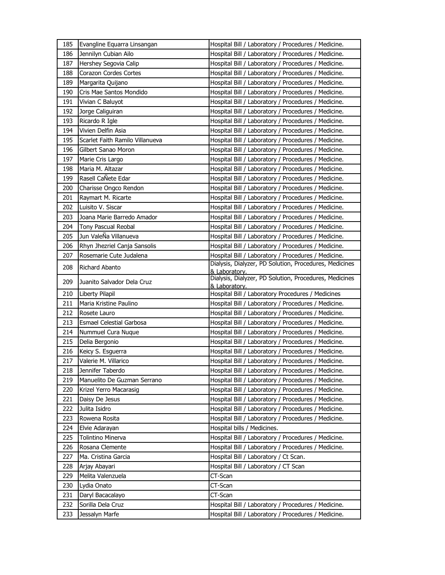| 185 | Evangline Equarra Linsangan     | Hospital Bill / Laboratory / Procedures / Medicine.                     |
|-----|---------------------------------|-------------------------------------------------------------------------|
| 186 | Jennilyn Cubian Ailo            | Hospital Bill / Laboratory / Procedures / Medicine.                     |
| 187 | Hershey Segovia Calip           | Hospital Bill / Laboratory / Procedures / Medicine.                     |
| 188 | Corazon Cordes Cortes           | Hospital Bill / Laboratory / Procedures / Medicine.                     |
| 189 | Margarita Quijano               | Hospital Bill / Laboratory / Procedures / Medicine.                     |
| 190 | Cris Mae Santos Mondido         | Hospital Bill / Laboratory / Procedures / Medicine.                     |
| 191 | Vivian C Baluyot                | Hospital Bill / Laboratory / Procedures / Medicine.                     |
| 192 | Jorge Caliguiran                | Hospital Bill / Laboratory / Procedures / Medicine.                     |
| 193 | Ricardo R Igle                  | Hospital Bill / Laboratory / Procedures / Medicine.                     |
| 194 | Vivien Delfin Asia              | Hospital Bill / Laboratory / Procedures / Medicine.                     |
| 195 | Scarlet Faith Ramilo Villanueva | Hospital Bill / Laboratory / Procedures / Medicine.                     |
| 196 | Gilbert Sanao Moron             | Hospital Bill / Laboratory / Procedures / Medicine.                     |
| 197 | Marie Cris Largo                | Hospital Bill / Laboratory / Procedures / Medicine.                     |
| 198 | Maria M. Altazar                | Hospital Bill / Laboratory / Procedures / Medicine.                     |
| 199 | Rasell CaÑete Edar              | Hospital Bill / Laboratory / Procedures / Medicine.                     |
| 200 | Charisse Ongco Rendon           | Hospital Bill / Laboratory / Procedures / Medicine.                     |
| 201 | Raymart M. Ricarte              | Hospital Bill / Laboratory / Procedures / Medicine.                     |
| 202 | Luisito V. Siscar               | Hospital Bill / Laboratory / Procedures / Medicine.                     |
| 203 | Joana Marie Barredo Amador      | Hospital Bill / Laboratory / Procedures / Medicine.                     |
| 204 | <b>Tony Pascual Reobal</b>      | Hospital Bill / Laboratory / Procedures / Medicine.                     |
| 205 | Jun ValeÑa Villanueva           | Hospital Bill / Laboratory / Procedures / Medicine.                     |
| 206 | Rhyn Jhezriel Canja Sansolis    | Hospital Bill / Laboratory / Procedures / Medicine.                     |
| 207 | Rosemarie Cute Judalena         | Hospital Bill / Laboratory / Procedures / Medicine.                     |
| 208 | Richard Abanto                  | Dialysis, Dialyzer, PD Solution, Procedures, Medicines<br>& Laboratory. |
| 209 | Juanito Salvador Dela Cruz      | Dialysis, Dialyzer, PD Solution, Procedures, Medicines                  |
| 210 | Liberty Pilapil                 | & Laboratory.<br>Hospital Bill / Laboratory Procedures / Medicines      |
| 211 | Maria Kristine Paulino          | Hospital Bill / Laboratory / Procedures / Medicine.                     |
| 212 | Rosete Lauro                    | Hospital Bill / Laboratory / Procedures / Medicine.                     |
| 213 | Esmael Celestial Garbosa        | Hospital Bill / Laboratory / Procedures / Medicine.                     |
| 214 | Nummuel Cura Nugue              | Hospital Bill / Laboratory / Procedures / Medicine.                     |
| 215 | Delia Bergonio                  | Hospital Bill / Laboratory / Procedures / Medicine.                     |
| 216 | Keicy S. Esguerra               | Hospital Bill / Laboratory / Procedures / Medicine.                     |
| 217 | Valerie M. Villarico            | Hospital Bill / Laboratory / Procedures / Medicine.                     |
| 218 | Jennifer Taberdo                | Hospital Bill / Laboratory / Procedures / Medicine.                     |
| 219 | Manuelito De Guzman Serrano     | Hospital Bill / Laboratory / Procedures / Medicine.                     |
| 220 | Krizel Yerro Macarasig          | Hospital Bill / Laboratory / Procedures / Medicine.                     |
| 221 | Daisy De Jesus                  | Hospital Bill / Laboratory / Procedures / Medicine.                     |
| 222 | Julita Isidro                   | Hospital Bill / Laboratory / Procedures / Medicine.                     |
| 223 | Rowena Rosita                   | Hospital Bill / Laboratory / Procedures / Medicine.                     |
| 224 | Elvie Adarayan                  | Hospital bills / Medicines.                                             |
| 225 | Tolintino Minerva               | Hospital Bill / Laboratory / Procedures / Medicine.                     |
| 226 | Rosana Clemente                 | Hospital Bill / Laboratory / Procedures / Medicine.                     |
| 227 | Ma. Cristina Garcia             | Hospital Bill / Laboratory / Ct Scan.                                   |
| 228 | Arjay Abayari                   | Hospital Bill / Laboratory / CT Scan                                    |
| 229 | Melita Valenzuela               | CT-Scan                                                                 |
| 230 | Lydia Onato                     | CT-Scan                                                                 |
| 231 | Daryl Bacacalayo                | CT-Scan                                                                 |
| 232 | Sorilla Dela Cruz               | Hospital Bill / Laboratory / Procedures / Medicine.                     |
| 233 | Jessalyn Marfe                  | Hospital Bill / Laboratory / Procedures / Medicine.                     |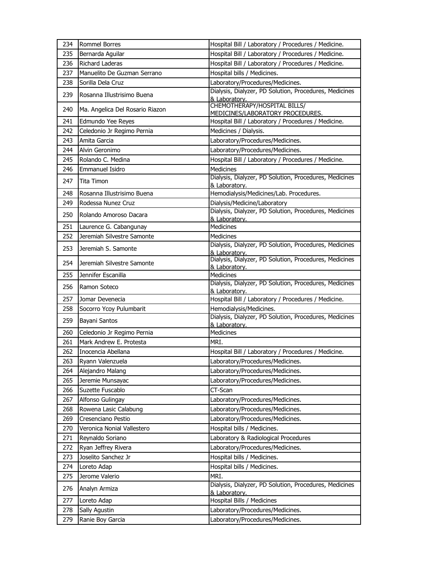| 234 | <b>Rommel Borres</b>            | Hospital Bill / Laboratory / Procedures / Medicine.                     |
|-----|---------------------------------|-------------------------------------------------------------------------|
| 235 | Bernarda Aguilar                | Hospital Bill / Laboratory / Procedures / Medicine.                     |
| 236 | Richard Laderas                 | Hospital Bill / Laboratory / Procedures / Medicine.                     |
| 237 | Manuelito De Guzman Serrano     | Hospital bills / Medicines.                                             |
| 238 | Sorilla Dela Cruz               | Laboratory/Procedures/Medicines.                                        |
| 239 | Rosanna Illustrisimo Buena      | Dialysis, Dialyzer, PD Solution, Procedures, Medicines<br>& Laboratorv. |
| 240 | Ma. Angelica Del Rosario Riazon | CHEMOTHERAPY/HOSPITAL BILLS/<br>MEDICINES/LABORATORY PROCEDURES.        |
| 241 | Edmundo Yee Reyes               | Hospital Bill / Laboratory / Procedures / Medicine.                     |
| 242 | Celedonio Jr Regimo Pernia      | Medicines / Dialysis.                                                   |
| 243 | Amita Garcia                    | Laboratory/Procedures/Medicines.                                        |
| 244 | Alvin Geronimo                  | Laboratory/Procedures/Medicines.                                        |
| 245 | Rolando C. Medina               | Hospital Bill / Laboratory / Procedures / Medicine.                     |
| 246 | Emmanuel Isidro                 | Medicines                                                               |
| 247 | Tita Timon                      | Dialysis, Dialyzer, PD Solution, Procedures, Medicines<br>& Laboratory. |
| 248 | Rosanna Illustrisimo Buena      | Hemodialysis/Medicines/Lab. Procedures.                                 |
| 249 | Rodessa Nunez Cruz              | Dialysis/Medicine/Laboratory                                            |
| 250 | Rolando Amoroso Dacara          | Dialysis, Dialyzer, PD Solution, Procedures, Medicines<br>& Laboratory. |
| 251 | Laurence G. Cabangunay          | <b>Medicines</b>                                                        |
| 252 | Jeremiah Silvestre Samonte      | <b>Medicines</b>                                                        |
| 253 | Jeremiah S. Samonte             | Dialysis, Dialyzer, PD Solution, Procedures, Medicines<br>& Laboratory. |
| 254 | Jeremiah Silvestre Samonte      | Dialysis, Dialyzer, PD Solution, Procedures, Medicines<br>& Laboratory. |
| 255 | Jennifer Escanilla              | Medicines                                                               |
| 256 | Ramon Soteco                    | Dialysis, Dialyzer, PD Solution, Procedures, Medicines<br>& Laboratory. |
| 257 | Jomar Devenecia                 | Hospital Bill / Laboratory / Procedures / Medicine.                     |
| 258 | Socorro Ycoy Pulumbarit         | Hemodialysis/Medicines.                                                 |
| 259 | Bayani Santos                   | Dialysis, Dialyzer, PD Solution, Procedures, Medicines<br>& Laboratory. |
| 260 | Celedonio Jr Regimo Pernia      | Medicines                                                               |
| 261 | Mark Andrew E. Protesta         | MRI.                                                                    |
| 262 | Inocencia Abellana              | Hospital Bill / Laboratory / Procedures / Medicine.                     |
| 263 | Ryann Valenzuela                | Laboratory/Procedures/Medicines.                                        |
| 264 | Alejandro Malang                | Laboratory/Procedures/Medicines.                                        |
| 265 | Jeremie Munsayac                | Laboratory/Procedures/Medicines.                                        |
| 266 | Suzette Fuscablo                | CT-Scan                                                                 |
| 267 | Alfonso Gulingay                | Laboratory/Procedures/Medicines.                                        |
| 268 | Rowena Lasic Calabung           | Laboratory/Procedures/Medicines.                                        |
| 269 | Cresenciano Pestio              | Laboratory/Procedures/Medicines.                                        |
| 270 | Veronica Nonial Vallestero      | Hospital bills / Medicines.                                             |
| 271 | Reynaldo Soriano                | Laboratory & Radiological Procedures                                    |
| 272 | Ryan Jeffrey Rivera             | Laboratory/Procedures/Medicines.                                        |
| 273 | Joselito Sanchez Jr             | Hospital bills / Medicines.                                             |
| 274 | Loreto Adap                     | Hospital bills / Medicines.                                             |
| 275 | Jerome Valerio                  | MRI.                                                                    |
| 276 | Analyn Armiza                   | Dialysis, Dialyzer, PD Solution, Procedures, Medicines<br>& Laboratory. |
| 277 | Loreto Adap                     | Hospital Bills / Medicines                                              |
| 278 | Sally Agustin                   | Laboratory/Procedures/Medicines.                                        |
| 279 | Ranie Boy Garcia                | Laboratory/Procedures/Medicines.                                        |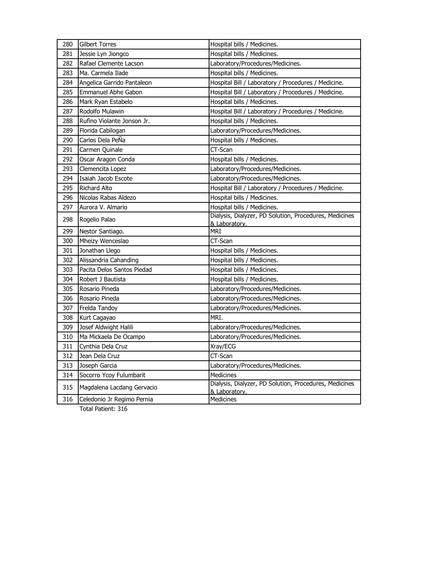| 280 | <b>Gilbert Torres</b>      | Hospital bills / Medicines.                                             |
|-----|----------------------------|-------------------------------------------------------------------------|
| 281 | Jessie Lyn Jiongco         | Hospital bills / Medicines.                                             |
| 282 | Rafael Clemente Lacson     | Laboratory/Procedures/Medicines.                                        |
| 283 | Ma. Carmela Ilade          | Hospital bills / Medicines.                                             |
| 284 | Angelica Garrido Pantaleon | Hospital Bill / Laboratory / Procedures / Medicine.                     |
| 285 | Emmanuel Abhe Gabon        | Hospital Bill / Laboratory / Procedures / Medicine.                     |
| 286 | Mark Ryan Estabelo         | Hospital bills / Medicines.                                             |
| 287 | Rodolfo Mulawin            | Hospital Bill / Laboratory / Procedures / Medicine.                     |
| 288 | Rufino Violante Jonson Jr. | Hospital bills / Medicines.                                             |
| 289 | Florida Cabilogan          | Laboratory/Procedures/Medicines.                                        |
| 290 | Carlos Dela PeÑa           | Hospital bills / Medicines.                                             |
| 291 | Carmen Quinale             | CT-Scan                                                                 |
| 292 | Oscar Aragon Conda         | Hospital bills / Medicines.                                             |
| 293 | Clemencita Lopez           | Laboratory/Procedures/Medicines.                                        |
| 294 | Isaiah Jacob Escote        | Laboratory/Procedures/Medicines.                                        |
| 295 | <b>Richard Alto</b>        | Hospital Bill / Laboratory / Procedures / Medicine.                     |
| 296 | Nicolas Rabas Aldezo       | Hospital bills / Medicines.                                             |
| 297 | Aurora V. Almario          | Hospital bills / Medicines.                                             |
| 298 | Rogelio Palao              | Dialysis, Dialyzer, PD Solution, Procedures, Medicines<br>& Laboratory. |
| 299 | Nestor Santiago.           | MRI                                                                     |
| 300 | Mheizy Wenceslao           | CT-Scan                                                                 |
| 301 | Jonathan Llego             | Hospital bills / Medicines.                                             |
| 302 | Alissandria Cahanding      | Hospital bills / Medicines.                                             |
| 303 | Pacita Delos Santos Piedad | Hospital bills / Medicines.                                             |
| 304 | Robert J Bautista          | Hospital bills / Medicines.                                             |
| 305 | Rosario Pineda             | Laboratory/Procedures/Medicines.                                        |
| 306 | Rosario Pineda             | Laboratory/Procedures/Medicines.                                        |
| 307 | Frelda Tandoy              | Laboratory/Procedures/Medicines.                                        |
| 308 | Kurt Cagayao               | MRI.                                                                    |
| 309 | Josef Aldwight Halili      | Laboratory/Procedures/Medicines.                                        |
| 310 | Ma Mickaela De Ocampo      | Laboratory/Procedures/Medicines.                                        |
| 311 | Cynthia Dela Cruz          | Xray/ECG                                                                |
| 312 | Jean Dela Cruz             | CT-Scan                                                                 |
| 313 | Joseph Garcia              | Laboratory/Procedures/Medicines.                                        |
| 314 | Socorro Ycoy Fulumbarit    | <b>Medicines</b>                                                        |
| 315 | Magdalena Lacdang Gervacio | Dialysis, Dialyzer, PD Solution, Procedures, Medicines<br>& Laboratory. |
| 316 | Celedonio Jr Regimo Pernia | Medicines                                                               |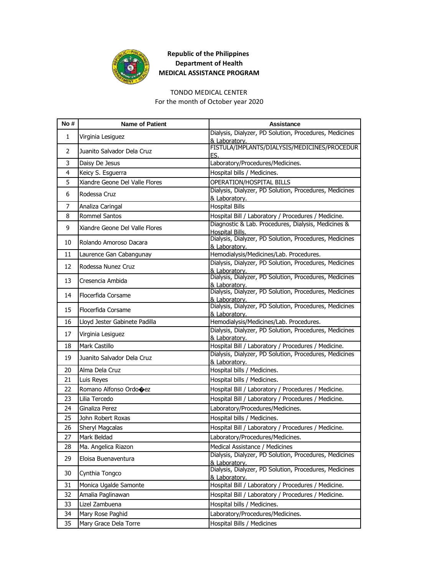

#### TONDO MEDICAL CENTER

For the month of October year 2020

| No# | <b>Name of Patient</b>         | <b>Assistance</b>                                                       |
|-----|--------------------------------|-------------------------------------------------------------------------|
| 1   | Virginia Lesiguez              | Dialysis, Dialyzer, PD Solution, Procedures, Medicines<br>& Laboratory. |
| 2   | Juanito Salvador Dela Cruz     | FISTULA/IMPLANTS/DIALYSIS/MEDICINES/PROCEDUR<br>ES.                     |
| 3   | Daisy De Jesus                 | Laboratory/Procedures/Medicines.                                        |
| 4   | Keicy S. Esguerra              | Hospital bills / Medicines.                                             |
| 5   | Xiandre Geone Del Valle Flores | OPERATION/HOSPITAL BILLS                                                |
| 6   | Rodessa Cruz                   | Dialysis, Dialyzer, PD Solution, Procedures, Medicines<br>& Laboratory. |
| 7   | Analiza Caringal               | <b>Hospital Bills</b>                                                   |
| 8   | <b>Rommel Santos</b>           | Hospital Bill / Laboratory / Procedures / Medicine.                     |
| 9   | Xiandre Geone Del Valle Flores | Diagnostic & Lab. Procedures, Dialysis, Medicines &<br>Hospital Bills.  |
| 10  | Rolando Amoroso Dacara         | Dialysis, Dialyzer, PD Solution, Procedures, Medicines<br>& Laboratory. |
| 11  | Laurence Gan Cabangunay        | Hemodialysis/Medicines/Lab. Procedures.                                 |
| 12  | Rodessa Nunez Cruz             | Dialysis, Dialyzer, PD Solution, Procedures, Medicines<br>& Laboratory. |
| 13  | Cresencia Ambida               | Dialysis, Dialyzer, PD Solution, Procedures, Medicines<br>& Laboratory. |
| 14  | Flocerfida Corsame             | Dialysis, Dialyzer, PD Solution, Procedures, Medicines<br>& Laboratory. |
| 15  | Flocerfida Corsame             | Dialysis, Dialyzer, PD Solution, Procedures, Medicines<br>& Laboratory. |
| 16  | Lloyd Jester Gabinete Padilla  | Hemodialysis/Medicines/Lab. Procedures.                                 |
| 17  | Virginia Lesiguez              | Dialysis, Dialyzer, PD Solution, Procedures, Medicines<br>& Laboratory. |
| 18  | Mark Castillo                  | Hospital Bill / Laboratory / Procedures / Medicine.                     |
| 19  | Juanito Salvador Dela Cruz     | Dialysis, Dialyzer, PD Solution, Procedures, Medicines<br>& Laboratory. |
| 20  | Alma Dela Cruz                 | Hospital bills / Medicines.                                             |
| 21  | Luis Reyes                     | Hospital bills / Medicines.                                             |
| 22  | Romano Alfonso Ordo�ez         | Hospital Bill / Laboratory / Procedures / Medicine.                     |
| 23  | Lilia Tercedo                  | Hospital Bill / Laboratory / Procedures / Medicine.                     |
| 24  | Ginaliza Perez                 | Laboratory/Procedures/Medicines.                                        |
| 25  | John Robert Roxas              | Hospital bills / Medicines.                                             |
| 26  | <b>Sheryl Magcalas</b>         | Hospital Bill / Laboratory / Procedures / Medicine.                     |
| 27  | Mark Beldad                    | Laboratory/Procedures/Medicines.                                        |
| 28  | Ma. Angelica Riazon            | Medical Assistance / Medicines                                          |
| 29  | Eloisa Buenaventura            | Dialysis, Dialyzer, PD Solution, Procedures, Medicines<br>& Laboratory. |
| 30  | Cynthia Tongco                 | Dialysis, Dialyzer, PD Solution, Procedures, Medicines<br>& Laboratory. |
| 31  | Monica Ugalde Samonte          | Hospital Bill / Laboratory / Procedures / Medicine.                     |
| 32  | Amalia Paglinawan              | Hospital Bill / Laboratory / Procedures / Medicine.                     |
| 33  | Lizel Zambuena                 | Hospital bills / Medicines.                                             |
| 34  | Mary Rose Paghid               | Laboratory/Procedures/Medicines.                                        |
| 35  | Mary Grace Dela Torre          | Hospital Bills / Medicines                                              |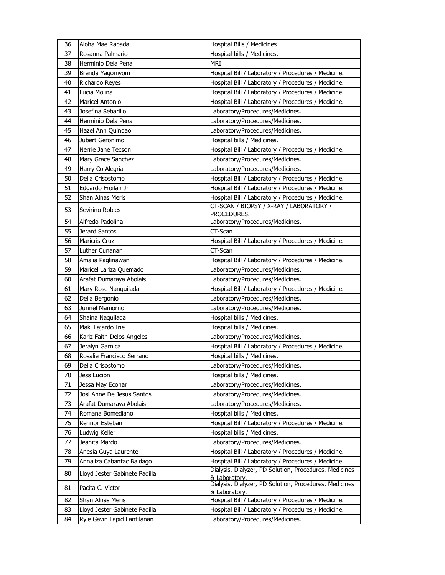| 36 | Aloha Mae Rapada              | Hospital Bills / Medicines                                              |
|----|-------------------------------|-------------------------------------------------------------------------|
| 37 | Rosanna Palmario              | Hospital bills / Medicines.                                             |
| 38 | Herminio Dela Pena            | MRI.                                                                    |
| 39 | Brenda Yagomyom               | Hospital Bill / Laboratory / Procedures / Medicine.                     |
| 40 | Richardo Reyes                | Hospital Bill / Laboratory / Procedures / Medicine.                     |
| 41 | Lucia Molina                  | Hospital Bill / Laboratory / Procedures / Medicine.                     |
| 42 | Maricel Antonio               | Hospital Bill / Laboratory / Procedures / Medicine.                     |
| 43 | Josefina Sebarillo            | Laboratory/Procedures/Medicines.                                        |
| 44 | Herminio Dela Pena            | Laboratory/Procedures/Medicines.                                        |
| 45 | Hazel Ann Quindao             | Laboratory/Procedures/Medicines.                                        |
| 46 | Jubert Geronimo               | Hospital bills / Medicines.                                             |
| 47 | Nerrie Jane Tecson            | Hospital Bill / Laboratory / Procedures / Medicine.                     |
| 48 | Mary Grace Sanchez            | Laboratory/Procedures/Medicines.                                        |
| 49 | Harry Co Alegria              | Laboratory/Procedures/Medicines.                                        |
| 50 | Delia Crisostomo              | Hospital Bill / Laboratory / Procedures / Medicine.                     |
| 51 | Edgardo Froilan Jr            | Hospital Bill / Laboratory / Procedures / Medicine.                     |
| 52 | Shan Alnas Meris              | Hospital Bill / Laboratory / Procedures / Medicine.                     |
|    |                               | CT-SCAN / BIOPSY / X-RAY / LABORATORY /                                 |
| 53 | Sevirino Robles               | PROCEDURES.                                                             |
| 54 | Alfredo Padolina              | Laboratory/Procedures/Medicines.                                        |
| 55 | Jerard Santos                 | CT-Scan                                                                 |
| 56 | <b>Maricris Cruz</b>          | Hospital Bill / Laboratory / Procedures / Medicine.                     |
| 57 | Luther Cunanan                | CT-Scan                                                                 |
| 58 | Amalia Paglinawan             | Hospital Bill / Laboratory / Procedures / Medicine.                     |
| 59 | Maricel Lariza Quemado        | Laboratory/Procedures/Medicines.                                        |
| 60 | Arafat Dumaraya Abolais       | Laboratory/Procedures/Medicines.                                        |
| 61 | Mary Rose Nanquilada          | Hospital Bill / Laboratory / Procedures / Medicine.                     |
| 62 | Delia Bergonio                | Laboratory/Procedures/Medicines.                                        |
| 63 | Junnel Mamorno                | Laboratory/Procedures/Medicines.                                        |
| 64 | Shaina Naquilada              | Hospital bills / Medicines.                                             |
| 65 | Maki Fajardo Irie             | Hospital bills / Medicines.                                             |
| 66 | Kariz Faith Delos Angeles     | Laboratory/Procedures/Medicines.                                        |
| 67 | Jeralyn Garnica               | Hospital Bill / Laboratory / Procedures / Medicine.                     |
| 68 | Rosalie Francisco Serrano     | Hospital bills / Medicines.                                             |
| 69 | Delia Crisostomo              | Laboratory/Procedures/Medicines.                                        |
| 70 | Jess Lucion                   | Hospital bills / Medicines.                                             |
| 71 | Jessa May Econar              | Laboratory/Procedures/Medicines.                                        |
| 72 | Josi Anne De Jesus Santos     | Laboratory/Procedures/Medicines.                                        |
| 73 | Arafat Dumaraya Abolais       | Laboratory/Procedures/Medicines.                                        |
| 74 | Romana Bomediano              | Hospital bills / Medicines.                                             |
| 75 | Rennor Esteban                | Hospital Bill / Laboratory / Procedures / Medicine.                     |
| 76 | Ludwig Keller                 | Hospital bills / Medicines.                                             |
| 77 | Jeanita Mardo                 | Laboratory/Procedures/Medicines.                                        |
| 78 | Anesia Guya Laurente          | Hospital Bill / Laboratory / Procedures / Medicine.                     |
| 79 | Annaliza Cabantac Baldago     | Hospital Bill / Laboratory / Procedures / Medicine.                     |
| 80 | Lloyd Jester Gabinete Padilla | Dialysis, Dialyzer, PD Solution, Procedures, Medicines<br>& Laboratory. |
| 81 | Pacita C. Victor              | Dialysis, Dialyzer, PD Solution, Procedures, Medicines                  |
|    |                               | & Laboratory.                                                           |
| 82 | Shan Alnas Meris              | Hospital Bill / Laboratory / Procedures / Medicine.                     |
| 83 | Lloyd Jester Gabinete Padilla | Hospital Bill / Laboratory / Procedures / Medicine.                     |
| 84 | Ryle Gavin Lapid Fantilanan   | Laboratory/Procedures/Medicines.                                        |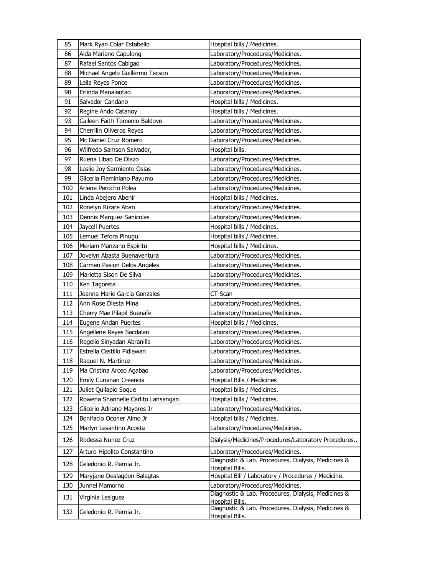| 85  | Mark Ryan Colar Estabello          | Hospital bills / Medicines.                                            |
|-----|------------------------------------|------------------------------------------------------------------------|
| 86  | Aida Mariano Capulong              | Laboratory/Procedures/Medicines.                                       |
| 87  | Rafael Santos Cabigao              | Laboratory/Procedures/Medicines.                                       |
| 88  | Michael Angelo Guillermo Tecson    | Laboratory/Procedures/Medicines.                                       |
| 89  | Leila Reyes Ponce                  | Laboratory/Procedures/Medicines.                                       |
| 90  | Erlinda Manalaotao                 | Laboratory/Procedures/Medicines.                                       |
| 91  | Salvador Candano                   | Hospital bills / Medicines.                                            |
| 92  | Regine Ando Catanoy                | Hospital bills / Medicines.                                            |
| 93  | Caileen Faith Tomenio Baldove      | Laboratory/Procedures/Medicines.                                       |
| 94  | Cherrilin Oliveros Reyes           | Laboratory/Procedures/Medicines.                                       |
| 95  | Mc Daniel Cruz Romero              | Laboratory/Procedures/Medicines.                                       |
| 96  | Wilfredo Samson Salvador,          | Hospital bills.                                                        |
| 97  | Ruena Libao De Olazo               | Laboratory/Procedures/Medicines.                                       |
| 98  | Leslie Joy Sarmiento Osias         | Laboratory/Procedures/Medicines.                                       |
| 99  | Gliceria Flaminiano Payumo         | Laboratory/Procedures/Medicines.                                       |
| 100 | Arlene Perocho Polea               | Laboratory/Procedures/Medicines.                                       |
| 101 | Linda Abejero Abenir               | Hospital bills / Medicines.                                            |
| 102 | Ronelyn Rizare Aban                | Laboratory/Procedures/Medicines.                                       |
| 103 | Dennis Marquez Sanicolas           | Laboratory/Procedures/Medicines.                                       |
| 104 | Jaycell Puertes                    | Hospital bills / Medicines.                                            |
| 105 | Lemuel Tefora Pinugu               | Hospital bills / Medicines.                                            |
| 106 | Meriam Manzano Espiritu            | Hospital bills / Medicines.                                            |
| 107 | Jovelyn Abasta Buenaventura        | Laboratory/Procedures/Medicines.                                       |
| 108 | Carmen Pasion Delos Angeles        | Laboratory/Procedures/Medicines.                                       |
| 109 | Marietta Sison De Silva            | Laboratory/Procedures/Medicines.                                       |
| 110 | Ken Tagoreta                       | Laboratory/Procedures/Medicines.                                       |
| 111 | Joanna Marie Garcia Gonzales       | CT-Scan                                                                |
| 112 | Ann Rose Diesta Mina               | Laboratory/Procedures/Medicines.                                       |
| 113 | Cherry Mae Pilapil Buenafe         | Laboratory/Procedures/Medicines.                                       |
| 114 | Eugene Andan Puertes               | Hospital bills / Medicines.                                            |
| 115 | Angellene Reyes Sacdalan           | Laboratory/Procedures/Medicines.                                       |
| 116 | Rogelio Sinyadan Abranilla         | Laboratory/Procedures/Medicines.                                       |
| 117 | Estrella Castillo Pidlawan         | Laboratory/Procedures/Medicines.                                       |
| 118 | Raquel N. Martinez                 | Laboratory/Procedures/Medicines.                                       |
| 119 | Ma Cristina Arceo Agabao           | Laboratory/Procedures/Medicines.                                       |
| 120 | Emily Cunanan Creencia             | Hospital Bills / Medicines                                             |
| 121 | Juliet Quilapio Soque              | Hospital bills / Medicines.                                            |
| 122 | Rowena Shannelle Carlito Lansangan | Hospital bills / Medicines.                                            |
| 123 | Glicerio Adriano Mayores Jr        | Laboratory/Procedures/Medicines.                                       |
| 124 | Bonifacio Oconer Almo Jr           | Hospital bills / Medicines.                                            |
| 125 | Marlyn Lesantino Acosta            | Laboratory/Procedures/Medicines.                                       |
| 126 | Rodessa Nunez Cruz                 | Dialysis/Medicines/Procedures/Laboratory Procedures                    |
| 127 | Arturo Hipolito Constantino        | Laboratory/Procedures/Medicines.                                       |
| 128 | Celedonio R. Pernia Jr.            | Diagnostic & Lab. Procedures, Dialysis, Medicines &<br>Hospital Bills. |
| 129 | Maryjane Dealagdon Balagtas        | Hospital Bill / Laboratory / Procedures / Medicine.                    |
| 130 | Junnel Mamorno                     | Laboratory/Procedures/Medicines.                                       |
| 131 | Virginia Lesiguez                  | Diagnostic & Lab. Procedures, Dialysis, Medicines &<br>Hospital Bills. |
| 132 | Celedonio R. Pernia Jr.            | Diagnostic & Lab. Procedures, Dialysis, Medicines &<br>Hospital Bills. |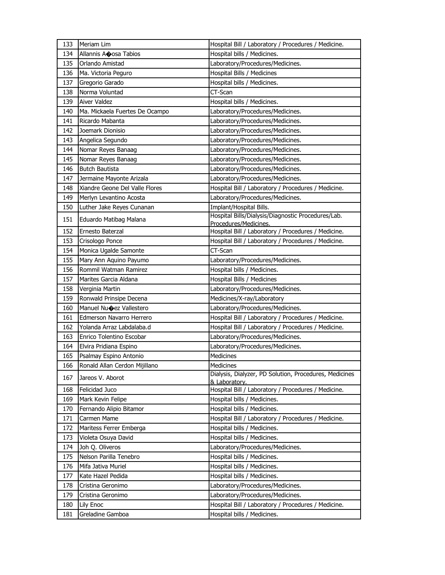| 133        | Meriam Lim                                              | Hospital Bill / Laboratory / Procedures / Medicine.                  |
|------------|---------------------------------------------------------|----------------------------------------------------------------------|
| 134        | Allannis Aoosa Tabios                                   | Hospital bills / Medicines.                                          |
| 135        | Orlando Amistad                                         | Laboratory/Procedures/Medicines.                                     |
| 136        | Ma. Victoria Peguro                                     | Hospital Bills / Medicines                                           |
| 137        | Gregorio Garado                                         | Hospital bills / Medicines.                                          |
| 138        | Norma Voluntad                                          | CT-Scan                                                              |
| 139        | Aiver Valdez                                            | Hospital bills / Medicines.                                          |
| 140        | Ma. Mickaela Fuertes De Ocampo                          | Laboratory/Procedures/Medicines.                                     |
| 141        | Ricardo Mabanta                                         | Laboratory/Procedures/Medicines.                                     |
| 142        | Joemark Dionisio                                        | Laboratory/Procedures/Medicines.                                     |
| 143        | Angelica Segundo                                        | Laboratory/Procedures/Medicines.                                     |
| 144        | Nomar Reyes Banaag                                      | Laboratory/Procedures/Medicines.                                     |
| 145        | Nomar Reyes Banaag                                      | Laboratory/Procedures/Medicines.                                     |
| 146        | <b>Butch Bautista</b>                                   | Laboratory/Procedures/Medicines.                                     |
| 147        | Jermaine Mayonte Arizala                                | Laboratory/Procedures/Medicines.                                     |
| 148        | Xiandre Geone Del Valle Flores                          | Hospital Bill / Laboratory / Procedures / Medicine.                  |
| 149        | Merlyn Levantino Acosta                                 | Laboratory/Procedures/Medicines.                                     |
| 150        | Luther Jake Reyes Cunanan                               | Implant/Hospital Bills.                                              |
| 151        | Eduardo Matibag Malana                                  | Hospital Bills/Dialysis/Diagnostic Procedures/Lab.                   |
|            |                                                         | Procedures/Medicines.                                                |
| 152        | Ernesto Baterzal                                        | Hospital Bill / Laboratory / Procedures / Medicine.                  |
| 153        | Crisologo Ponce                                         | Hospital Bill / Laboratory / Procedures / Medicine.                  |
| 154        | Monica Ugalde Samonte                                   | CT-Scan                                                              |
| 155        | Mary Ann Aquino Payumo                                  | Laboratory/Procedures/Medicines.                                     |
| 156        | Rommil Watman Ramirez                                   | Hospital bills / Medicines.                                          |
| 157        | Marites Garcia Aldana                                   | Hospital Bills / Medicines                                           |
| 158        | Verginia Martin                                         | Laboratory/Procedures/Medicines.                                     |
| 159        | Ronwald Prinsipe Decena                                 | Medicines/X-ray/Laboratory                                           |
| 160        | Manuel Nu�ez Vallestero                                 | Laboratory/Procedures/Medicines.                                     |
| 161        | Edmerson Navarro Herrero                                | Hospital Bill / Laboratory / Procedures / Medicine.                  |
| 162        | Yolanda Arraz Labdalaba.d<br>Enrico Tolentino Escobar   | Hospital Bill / Laboratory / Procedures / Medicine.                  |
| 163<br>164 |                                                         | Laboratory/Procedures/Medicines.                                     |
|            | Elvira Pridiana Espino                                  | Laboratory/Procedures/Medicines.                                     |
| 165<br>166 | Psalmay Espino Antonio<br>Ronald Allan Cerdon Mijillano | Medicines<br>Medicines                                               |
|            |                                                         |                                                                      |
| 167        |                                                         |                                                                      |
|            | Jareos V. Aborot                                        | Dialysis, Dialyzer, PD Solution, Procedures, Medicines               |
| 168        | Felicidad Juco                                          | & Laboratory.<br>Hospital Bill / Laboratory / Procedures / Medicine. |
| 169        | Mark Kevin Felipe                                       | Hospital bills / Medicines.                                          |
| 170        | Fernando Alipio Bitamor                                 | Hospital bills / Medicines.                                          |
| 171        | Carmen Mame                                             | Hospital Bill / Laboratory / Procedures / Medicine.                  |
| 172        | Maritess Ferrer Emberga                                 | Hospital bills / Medicines.                                          |
| 173        | Violeta Osuya David                                     | Hospital bills / Medicines.                                          |
| 174        | Joh Q. Oliveros                                         | Laboratory/Procedures/Medicines.                                     |
| 175        | Nelson Parilla Tenebro                                  | Hospital bills / Medicines.                                          |
| 176        | Mifa Jativa Muriel                                      | Hospital bills / Medicines.                                          |
| 177        | Kate Hazel Pedida                                       | Hospital bills / Medicines.                                          |
| 178        | Cristina Geronimo                                       | Laboratory/Procedures/Medicines.                                     |
| 179        | Cristina Geronimo                                       | Laboratory/Procedures/Medicines.                                     |
| 180        | Lily Enoc                                               | Hospital Bill / Laboratory / Procedures / Medicine.                  |